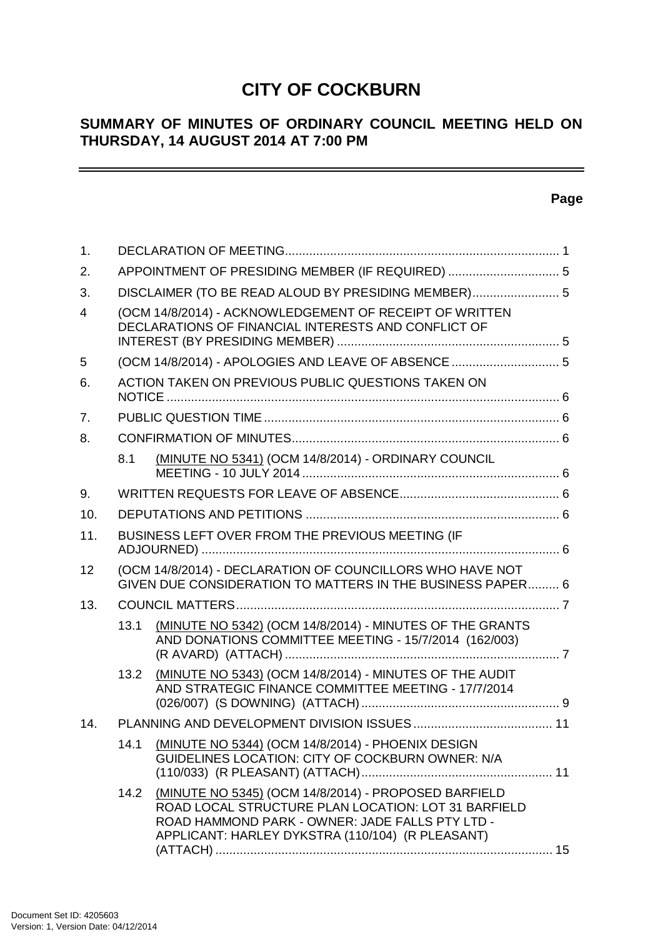# **CITY OF COCKBURN**

# **SUMMARY OF MINUTES OF ORDINARY COUNCIL MEETING HELD ON THURSDAY, 14 AUGUST 2014 AT 7:00 PM**

# **Page**

 $\overline{\phantom{0}}$ 

| $\mathbf{1}$ . |                                                                                                                         |                                                                                                                                                                                                                    |  |  |
|----------------|-------------------------------------------------------------------------------------------------------------------------|--------------------------------------------------------------------------------------------------------------------------------------------------------------------------------------------------------------------|--|--|
| 2.             | APPOINTMENT OF PRESIDING MEMBER (IF REQUIRED)  5                                                                        |                                                                                                                                                                                                                    |  |  |
| 3.             | DISCLAIMER (TO BE READ ALOUD BY PRESIDING MEMBER) 5                                                                     |                                                                                                                                                                                                                    |  |  |
| 4              | (OCM 14/8/2014) - ACKNOWLEDGEMENT OF RECEIPT OF WRITTEN<br>DECLARATIONS OF FINANCIAL INTERESTS AND CONFLICT OF          |                                                                                                                                                                                                                    |  |  |
| 5              | (OCM 14/8/2014) - APOLOGIES AND LEAVE OF ABSENCE  5                                                                     |                                                                                                                                                                                                                    |  |  |
| 6.             | ACTION TAKEN ON PREVIOUS PUBLIC QUESTIONS TAKEN ON                                                                      |                                                                                                                                                                                                                    |  |  |
| 7.             |                                                                                                                         |                                                                                                                                                                                                                    |  |  |
| 8.             |                                                                                                                         |                                                                                                                                                                                                                    |  |  |
|                | 8.1                                                                                                                     | (MINUTE NO 5341) (OCM 14/8/2014) - ORDINARY COUNCIL                                                                                                                                                                |  |  |
| 9.             |                                                                                                                         |                                                                                                                                                                                                                    |  |  |
| 10.            |                                                                                                                         |                                                                                                                                                                                                                    |  |  |
| 11.            | BUSINESS LEFT OVER FROM THE PREVIOUS MEETING (IF                                                                        |                                                                                                                                                                                                                    |  |  |
| 12             | (OCM 14/8/2014) - DECLARATION OF COUNCILLORS WHO HAVE NOT<br>GIVEN DUE CONSIDERATION TO MATTERS IN THE BUSINESS PAPER 6 |                                                                                                                                                                                                                    |  |  |
| 13.            |                                                                                                                         |                                                                                                                                                                                                                    |  |  |
|                | 13.1                                                                                                                    | (MINUTE NO 5342) (OCM 14/8/2014) - MINUTES OF THE GRANTS<br>AND DONATIONS COMMITTEE MEETING - 15/7/2014 (162/003)                                                                                                  |  |  |
|                | 13.2                                                                                                                    | (MINUTE NO 5343) (OCM 14/8/2014) - MINUTES OF THE AUDIT<br>AND STRATEGIC FINANCE COMMITTEE MEETING - 17/7/2014                                                                                                     |  |  |
| 14.            |                                                                                                                         |                                                                                                                                                                                                                    |  |  |
|                | 14.1                                                                                                                    | (MINUTE NO 5344) (OCM 14/8/2014) - PHOENIX DESIGN<br>GUIDELINES LOCATION: CITY OF COCKBURN OWNER: N/A                                                                                                              |  |  |
|                | 14.2                                                                                                                    | (MINUTE NO 5345) (OCM 14/8/2014) - PROPOSED BARFIELD<br>ROAD LOCAL STRUCTURE PLAN LOCATION: LOT 31 BARFIELD<br>ROAD HAMMOND PARK - OWNER: JADE FALLS PTY LTD -<br>APPLICANT: HARLEY DYKSTRA (110/104) (R PLEASANT) |  |  |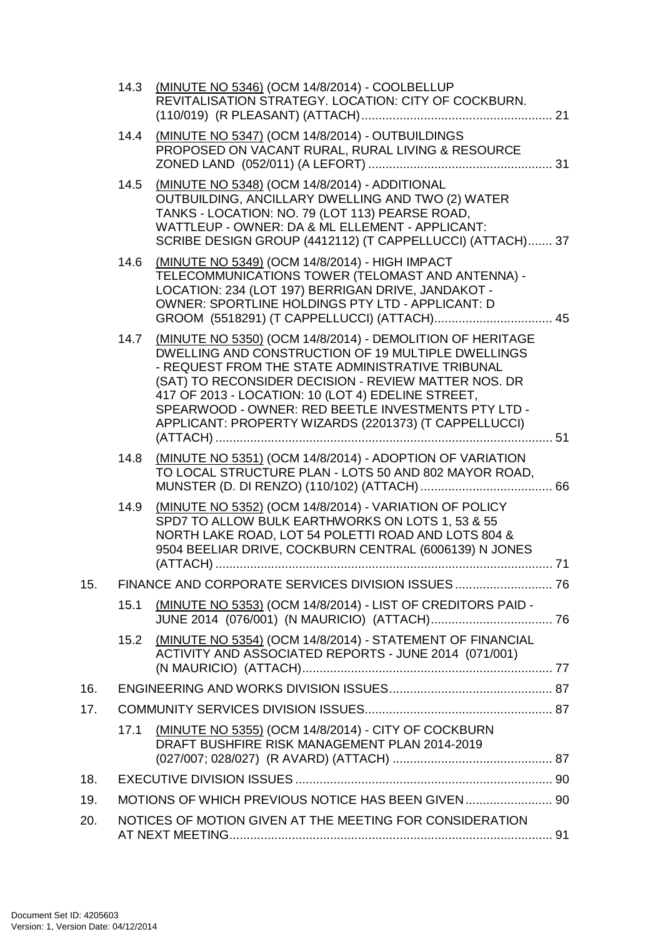|     |      | 14.3 (MINUTE NO 5346) (OCM 14/8/2014) - COOLBELLUP<br>REVITALISATION STRATEGY. LOCATION: CITY OF COCKBURN.                                                                                                                                                                                                                                                                                             |  |
|-----|------|--------------------------------------------------------------------------------------------------------------------------------------------------------------------------------------------------------------------------------------------------------------------------------------------------------------------------------------------------------------------------------------------------------|--|
|     |      | 14.4 (MINUTE NO 5347) (OCM 14/8/2014) - OUTBUILDINGS<br>PROPOSED ON VACANT RURAL, RURAL LIVING & RESOURCE                                                                                                                                                                                                                                                                                              |  |
|     | 14.5 | (MINUTE NO 5348) (OCM 14/8/2014) - ADDITIONAL<br>OUTBUILDING, ANCILLARY DWELLING AND TWO (2) WATER<br>TANKS - LOCATION: NO. 79 (LOT 113) PEARSE ROAD,<br>WATTLEUP - OWNER: DA & ML ELLEMENT - APPLICANT:<br>SCRIBE DESIGN GROUP (4412112) (T CAPPELLUCCI) (ATTACH) 37                                                                                                                                  |  |
|     | 14.6 | (MINUTE NO 5349) (OCM 14/8/2014) - HIGH IMPACT<br>TELECOMMUNICATIONS TOWER (TELOMAST AND ANTENNA) -<br>LOCATION: 234 (LOT 197) BERRIGAN DRIVE, JANDAKOT -<br>OWNER: SPORTLINE HOLDINGS PTY LTD - APPLICANT: D                                                                                                                                                                                          |  |
|     |      | 14.7 (MINUTE NO 5350) (OCM 14/8/2014) - DEMOLITION OF HERITAGE<br>DWELLING AND CONSTRUCTION OF 19 MULTIPLE DWELLINGS<br>- REQUEST FROM THE STATE ADMINISTRATIVE TRIBUNAL<br>(SAT) TO RECONSIDER DECISION - REVIEW MATTER NOS. DR<br>417 OF 2013 - LOCATION: 10 (LOT 4) EDELINE STREET,<br>SPEARWOOD - OWNER: RED BEETLE INVESTMENTS PTY LTD -<br>APPLICANT: PROPERTY WIZARDS (2201373) (T CAPPELLUCCI) |  |
|     | 14.8 | (MINUTE NO 5351) (OCM 14/8/2014) - ADOPTION OF VARIATION<br>TO LOCAL STRUCTURE PLAN - LOTS 50 AND 802 MAYOR ROAD,                                                                                                                                                                                                                                                                                      |  |
|     | 14.9 | (MINUTE NO 5352) (OCM 14/8/2014) - VARIATION OF POLICY<br>SPD7 TO ALLOW BULK EARTHWORKS ON LOTS 1, 53 & 55<br>NORTH LAKE ROAD, LOT 54 POLETTI ROAD AND LOTS 804 &<br>9504 BEELIAR DRIVE, COCKBURN CENTRAL (6006139) N JONES                                                                                                                                                                            |  |
| 15. |      |                                                                                                                                                                                                                                                                                                                                                                                                        |  |
|     | 15.1 | (MINUTE NO 5353) (OCM 14/8/2014) - LIST OF CREDITORS PAID -                                                                                                                                                                                                                                                                                                                                            |  |
|     | 15.2 | (MINUTE NO 5354) (OCM 14/8/2014) - STATEMENT OF FINANCIAL<br>ACTIVITY AND ASSOCIATED REPORTS - JUNE 2014 (071/001)                                                                                                                                                                                                                                                                                     |  |
| 16. |      |                                                                                                                                                                                                                                                                                                                                                                                                        |  |
| 17. |      |                                                                                                                                                                                                                                                                                                                                                                                                        |  |
|     | 17.1 | (MINUTE NO 5355) (OCM 14/8/2014) - CITY OF COCKBURN<br>DRAFT BUSHFIRE RISK MANAGEMENT PLAN 2014-2019                                                                                                                                                                                                                                                                                                   |  |
| 18. |      |                                                                                                                                                                                                                                                                                                                                                                                                        |  |
| 19. |      | MOTIONS OF WHICH PREVIOUS NOTICE HAS BEEN GIVEN  90                                                                                                                                                                                                                                                                                                                                                    |  |
| 20. |      | NOTICES OF MOTION GIVEN AT THE MEETING FOR CONSIDERATION                                                                                                                                                                                                                                                                                                                                               |  |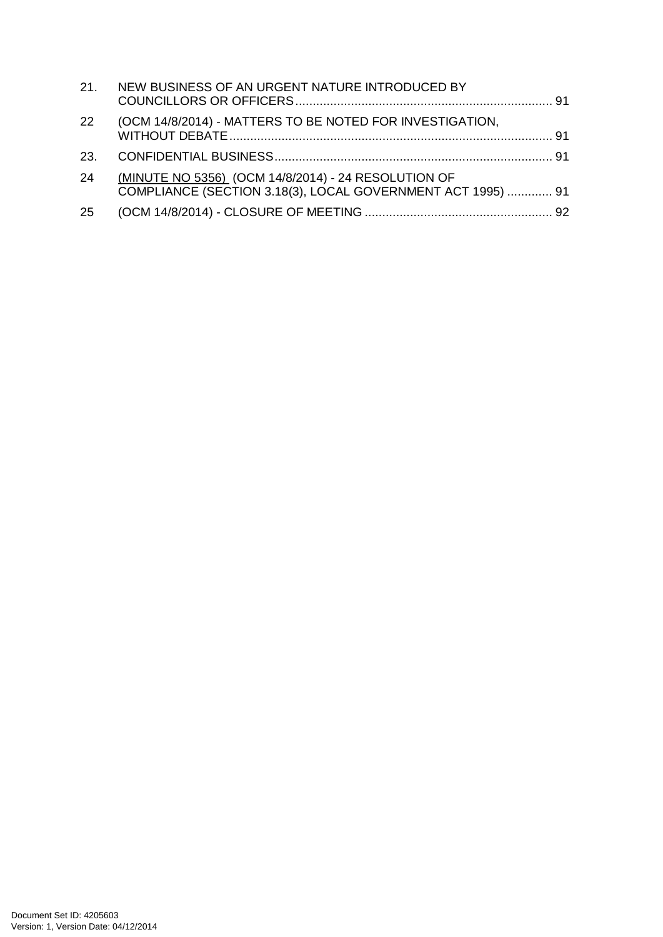|    | 21. NEW BUSINESS OF AN URGENT NATURE INTRODUCED BY                                                                 |  |
|----|--------------------------------------------------------------------------------------------------------------------|--|
| 22 | (OCM 14/8/2014) - MATTERS TO BE NOTED FOR INVESTIGATION,                                                           |  |
|    |                                                                                                                    |  |
| 24 | (MINUTE NO 5356) (OCM 14/8/2014) - 24 RESOLUTION OF<br>COMPLIANCE (SECTION 3.18(3), LOCAL GOVERNMENT ACT 1995)  91 |  |
| 25 |                                                                                                                    |  |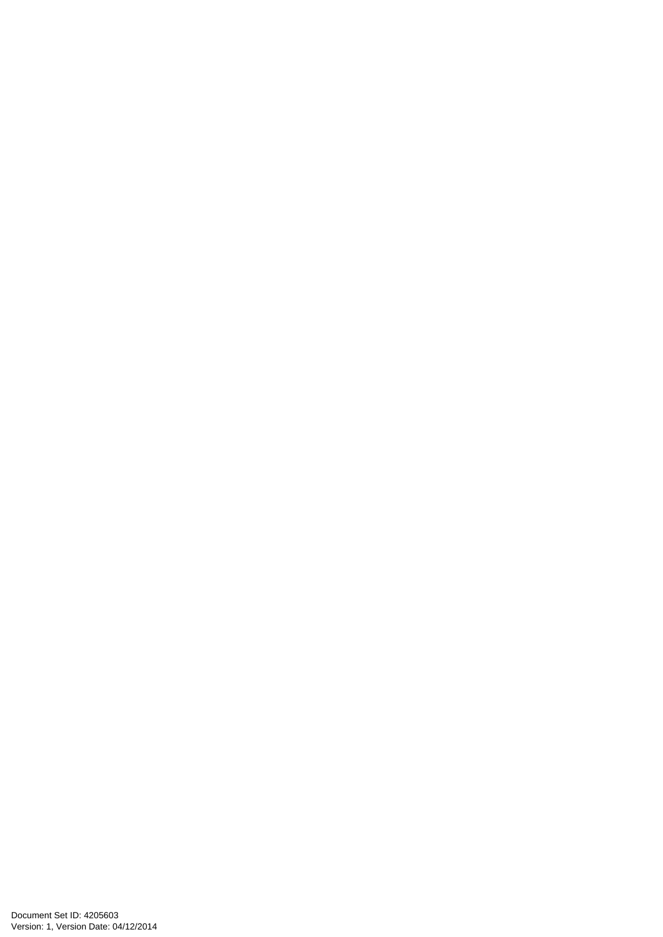Document Set ID: 4205603<br>Version: 1, Version Date: 04/12/2014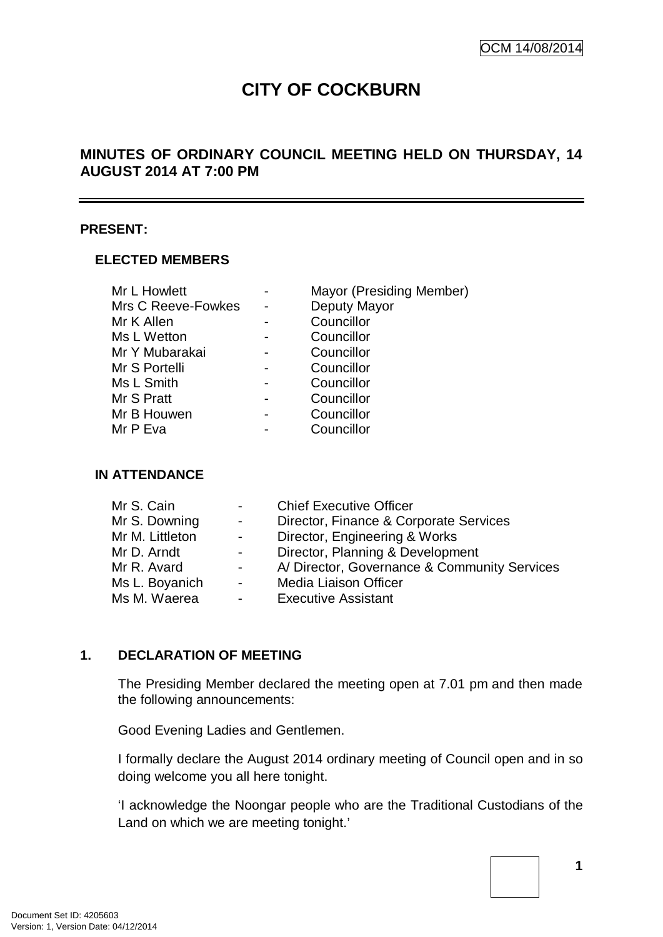# **CITY OF COCKBURN**

# **MINUTES OF ORDINARY COUNCIL MEETING HELD ON THURSDAY, 14 AUGUST 2014 AT 7:00 PM**

## **PRESENT:**

#### **ELECTED MEMBERS**

| Mr L Howlett       | Mayor (Presiding Member) |
|--------------------|--------------------------|
| Mrs C Reeve-Fowkes | Deputy Mayor             |
| Mr K Allen         | Councillor               |
| Ms L Wetton        | Councillor               |
| Mr Y Mubarakai     | Councillor               |
| Mr S Portelli      | Councillor               |
| Ms L Smith         | Councillor               |
| Mr S Pratt         | Councillor               |
| Mr B Houwen        | Councillor               |
| Mr P Eva           | Councillor               |

## **IN ATTENDANCE**

| Mr S. Cain      | $\sim 100$      | <b>Chief Executive Officer</b>               |
|-----------------|-----------------|----------------------------------------------|
| Mr S. Downing   | $\sim$ $-$      | Director, Finance & Corporate Services       |
| Mr M. Littleton | $\blacksquare$  | Director, Engineering & Works                |
| Mr D. Arndt     | $\sim$          | Director, Planning & Development             |
| Mr R. Avard     | $\sim$          | A/ Director, Governance & Community Services |
| Ms L. Boyanich  | $\sim 10^{-10}$ | Media Liaison Officer                        |
| Ms M. Waerea    | $\sim 100$      | <b>Executive Assistant</b>                   |
|                 |                 |                                              |

# **1. DECLARATION OF MEETING**

The Presiding Member declared the meeting open at 7.01 pm and then made the following announcements:

Good Evening Ladies and Gentlemen.

I formally declare the August 2014 ordinary meeting of Council open and in so doing welcome you all here tonight.

'I acknowledge the Noongar people who are the Traditional Custodians of the Land on which we are meeting tonight.'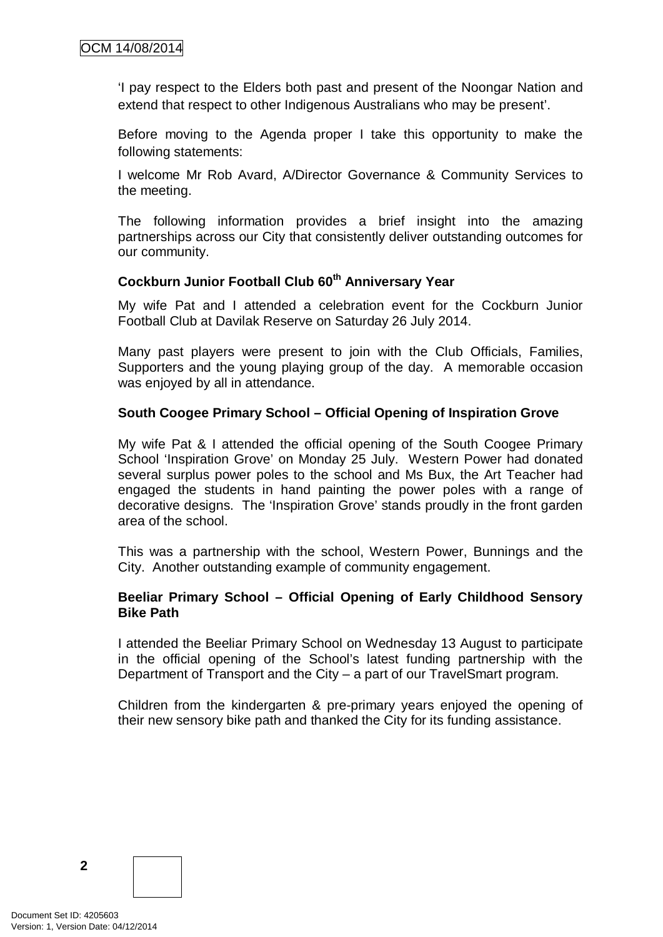'I pay respect to the Elders both past and present of the Noongar Nation and extend that respect to other Indigenous Australians who may be present'.

Before moving to the Agenda proper I take this opportunity to make the following statements:

I welcome Mr Rob Avard, A/Director Governance & Community Services to the meeting.

The following information provides a brief insight into the amazing partnerships across our City that consistently deliver outstanding outcomes for our community.

# **Cockburn Junior Football Club 60th Anniversary Year**

My wife Pat and I attended a celebration event for the Cockburn Junior Football Club at Davilak Reserve on Saturday 26 July 2014.

Many past players were present to join with the Club Officials, Families, Supporters and the young playing group of the day. A memorable occasion was enjoyed by all in attendance.

#### **South Coogee Primary School – Official Opening of Inspiration Grove**

My wife Pat & I attended the official opening of the South Coogee Primary School 'Inspiration Grove' on Monday 25 July. Western Power had donated several surplus power poles to the school and Ms Bux, the Art Teacher had engaged the students in hand painting the power poles with a range of decorative designs. The 'Inspiration Grove' stands proudly in the front garden area of the school.

This was a partnership with the school, Western Power, Bunnings and the City. Another outstanding example of community engagement.

#### **Beeliar Primary School – Official Opening of Early Childhood Sensory Bike Path**

I attended the Beeliar Primary School on Wednesday 13 August to participate in the official opening of the School's latest funding partnership with the Department of Transport and the City – a part of our TravelSmart program.

Children from the kindergarten & pre-primary years enjoyed the opening of their new sensory bike path and thanked the City for its funding assistance.

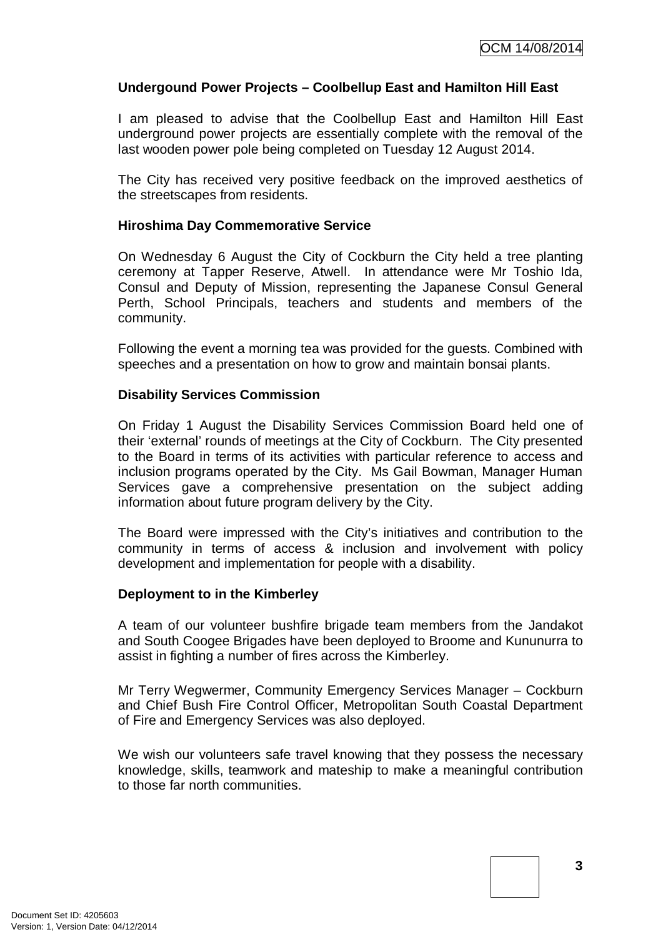#### **Undergound Power Projects – Coolbellup East and Hamilton Hill East**

I am pleased to advise that the Coolbellup East and Hamilton Hill East underground power projects are essentially complete with the removal of the last wooden power pole being completed on Tuesday 12 August 2014.

The City has received very positive feedback on the improved aesthetics of the streetscapes from residents.

#### **Hiroshima Day Commemorative Service**

On Wednesday 6 August the City of Cockburn the City held a tree planting ceremony at Tapper Reserve, Atwell. In attendance were Mr Toshio Ida, Consul and Deputy of Mission, representing the Japanese Consul General Perth, School Principals, teachers and students and members of the community.

Following the event a morning tea was provided for the guests. Combined with speeches and a presentation on how to grow and maintain bonsai plants.

#### **Disability Services Commission**

On Friday 1 August the Disability Services Commission Board held one of their 'external' rounds of meetings at the City of Cockburn. The City presented to the Board in terms of its activities with particular reference to access and inclusion programs operated by the City. Ms Gail Bowman, Manager Human Services gave a comprehensive presentation on the subject adding information about future program delivery by the City.

The Board were impressed with the City's initiatives and contribution to the community in terms of access & inclusion and involvement with policy development and implementation for people with a disability.

#### **Deployment to in the Kimberley**

A team of our volunteer bushfire brigade team members from the Jandakot and South Coogee Brigades have been deployed to Broome and Kununurra to assist in fighting a number of fires across the Kimberley.

Mr Terry Wegwermer, Community Emergency Services Manager – Cockburn and Chief Bush Fire Control Officer, Metropolitan South Coastal Department of Fire and Emergency Services was also deployed.

We wish our volunteers safe travel knowing that they possess the necessary knowledge, skills, teamwork and mateship to make a meaningful contribution to those far north communities.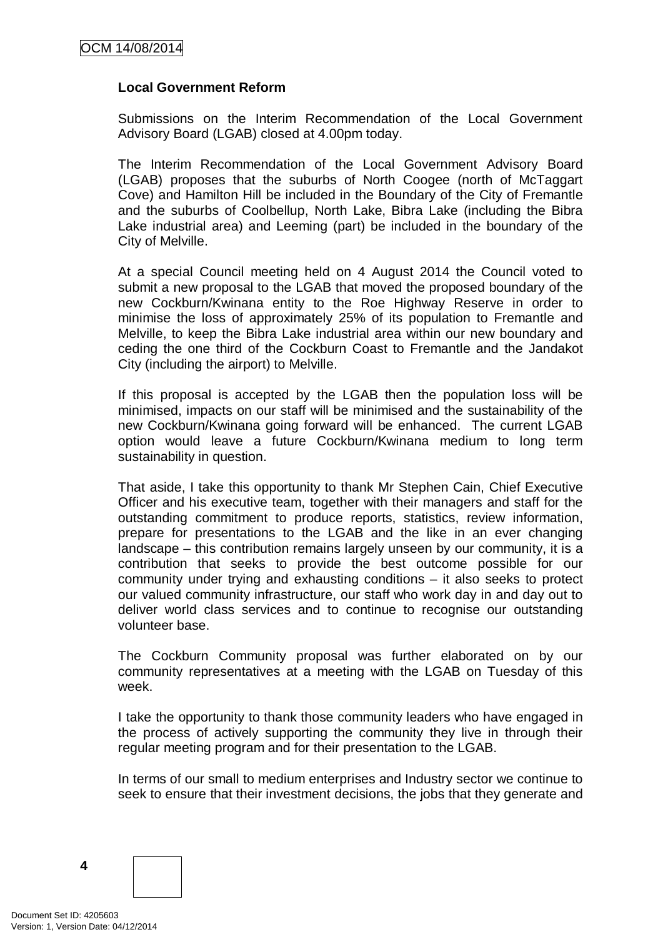#### **Local Government Reform**

Submissions on the Interim Recommendation of the Local Government Advisory Board (LGAB) closed at 4.00pm today.

The Interim Recommendation of the Local Government Advisory Board (LGAB) proposes that the suburbs of North Coogee (north of McTaggart Cove) and Hamilton Hill be included in the Boundary of the City of Fremantle and the suburbs of Coolbellup, North Lake, Bibra Lake (including the Bibra Lake industrial area) and Leeming (part) be included in the boundary of the City of Melville.

At a special Council meeting held on 4 August 2014 the Council voted to submit a new proposal to the LGAB that moved the proposed boundary of the new Cockburn/Kwinana entity to the Roe Highway Reserve in order to minimise the loss of approximately 25% of its population to Fremantle and Melville, to keep the Bibra Lake industrial area within our new boundary and ceding the one third of the Cockburn Coast to Fremantle and the Jandakot City (including the airport) to Melville.

If this proposal is accepted by the LGAB then the population loss will be minimised, impacts on our staff will be minimised and the sustainability of the new Cockburn/Kwinana going forward will be enhanced. The current LGAB option would leave a future Cockburn/Kwinana medium to long term sustainability in question.

That aside, I take this opportunity to thank Mr Stephen Cain, Chief Executive Officer and his executive team, together with their managers and staff for the outstanding commitment to produce reports, statistics, review information, prepare for presentations to the LGAB and the like in an ever changing landscape – this contribution remains largely unseen by our community, it is a contribution that seeks to provide the best outcome possible for our community under trying and exhausting conditions – it also seeks to protect our valued community infrastructure, our staff who work day in and day out to deliver world class services and to continue to recognise our outstanding volunteer base.

The Cockburn Community proposal was further elaborated on by our community representatives at a meeting with the LGAB on Tuesday of this week.

I take the opportunity to thank those community leaders who have engaged in the process of actively supporting the community they live in through their regular meeting program and for their presentation to the LGAB.

In terms of our small to medium enterprises and Industry sector we continue to seek to ensure that their investment decisions, the jobs that they generate and

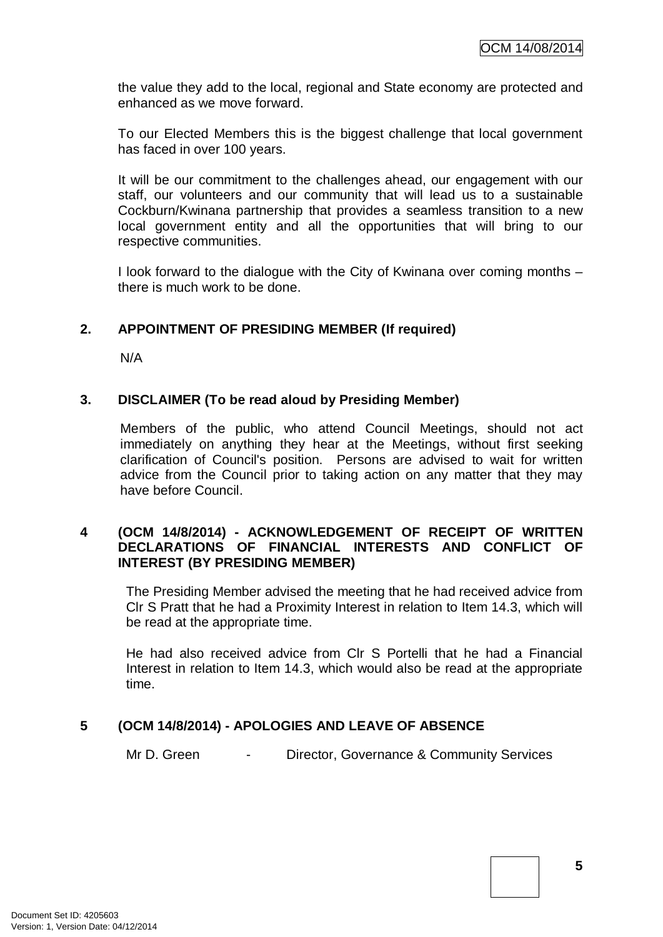the value they add to the local, regional and State economy are protected and enhanced as we move forward.

To our Elected Members this is the biggest challenge that local government has faced in over 100 years.

It will be our commitment to the challenges ahead, our engagement with our staff, our volunteers and our community that will lead us to a sustainable Cockburn/Kwinana partnership that provides a seamless transition to a new local government entity and all the opportunities that will bring to our respective communities.

I look forward to the dialogue with the City of Kwinana over coming months – there is much work to be done.

# **2. APPOINTMENT OF PRESIDING MEMBER (If required)**

N/A

## **3. DISCLAIMER (To be read aloud by Presiding Member)**

Members of the public, who attend Council Meetings, should not act immediately on anything they hear at the Meetings, without first seeking clarification of Council's position. Persons are advised to wait for written advice from the Council prior to taking action on any matter that they may have before Council.

## **4 (OCM 14/8/2014) - ACKNOWLEDGEMENT OF RECEIPT OF WRITTEN DECLARATIONS OF FINANCIAL INTERESTS AND CONFLICT OF INTEREST (BY PRESIDING MEMBER)**

The Presiding Member advised the meeting that he had received advice from Clr S Pratt that he had a Proximity Interest in relation to Item 14.3, which will be read at the appropriate time.

He had also received advice from Clr S Portelli that he had a Financial Interest in relation to Item 14.3, which would also be read at the appropriate time.

## **5 (OCM 14/8/2014) - APOLOGIES AND LEAVE OF ABSENCE**

Mr D. Green - Director, Governance & Community Services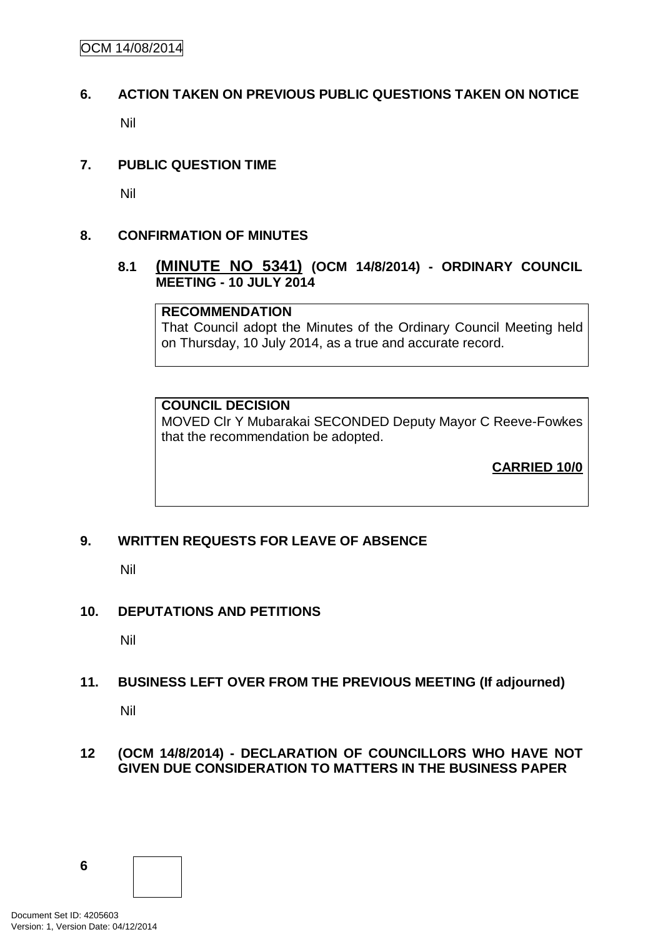# **6. ACTION TAKEN ON PREVIOUS PUBLIC QUESTIONS TAKEN ON NOTICE**

Nil

# **7. PUBLIC QUESTION TIME**

Nil

## **8. CONFIRMATION OF MINUTES**

## **8.1 (MINUTE NO 5341) (OCM 14/8/2014) - ORDINARY COUNCIL MEETING - 10 JULY 2014**

# **RECOMMENDATION**

That Council adopt the Minutes of the Ordinary Council Meeting held on Thursday, 10 July 2014, as a true and accurate record.

# **COUNCIL DECISION**

MOVED Clr Y Mubarakai SECONDED Deputy Mayor C Reeve-Fowkes that the recommendation be adopted.

**CARRIED 10/0**

# **9. WRITTEN REQUESTS FOR LEAVE OF ABSENCE**

Nil

## **10. DEPUTATIONS AND PETITIONS**

Nil

## **11. BUSINESS LEFT OVER FROM THE PREVIOUS MEETING (If adjourned)**

Nil

## **12 (OCM 14/8/2014) - DECLARATION OF COUNCILLORS WHO HAVE NOT GIVEN DUE CONSIDERATION TO MATTERS IN THE BUSINESS PAPER**

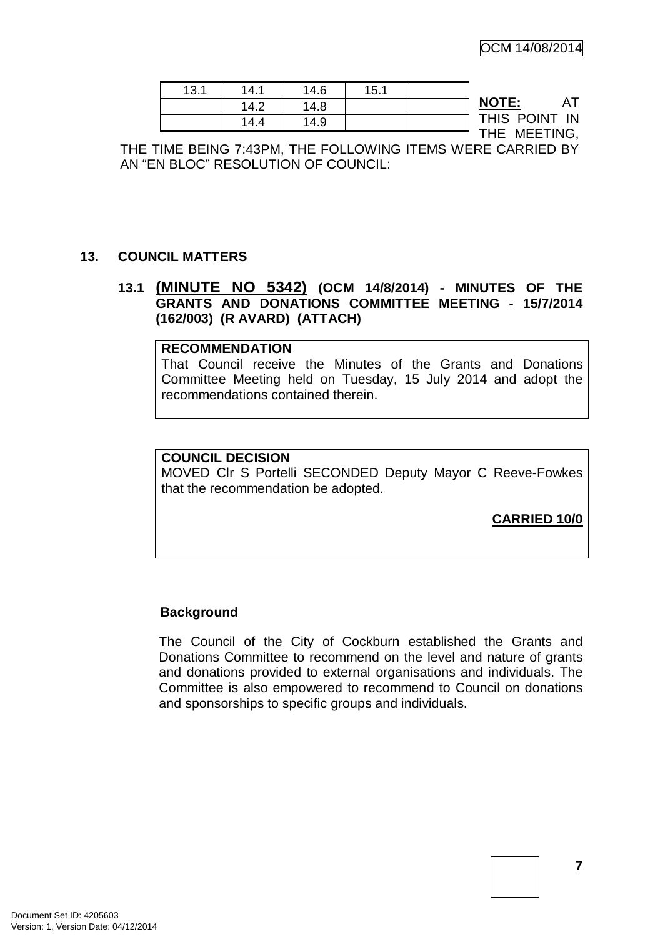| 13.1 | 14.1 | 14.6 | 15.1 |               |  |
|------|------|------|------|---------------|--|
|      | 14.2 | 14.8 |      | <b>NOTE:</b>  |  |
|      | 14.4 | 14.9 |      | THIS POINT IN |  |
|      |      |      |      | THE MEETING,  |  |

THE TIME BEING 7:43PM, THE FOLLOWING ITEMS WERE CARRIED BY AN "EN BLOC" RESOLUTION OF COUNCIL:

# **13. COUNCIL MATTERS**

# **13.1 (MINUTE NO 5342) (OCM 14/8/2014) - MINUTES OF THE GRANTS AND DONATIONS COMMITTEE MEETING - 15/7/2014 (162/003) (R AVARD) (ATTACH)**

#### **RECOMMENDATION**

That Council receive the Minutes of the Grants and Donations Committee Meeting held on Tuesday, 15 July 2014 and adopt the recommendations contained therein.

# **COUNCIL DECISION**

MOVED Clr S Portelli SECONDED Deputy Mayor C Reeve-Fowkes that the recommendation be adopted.

**CARRIED 10/0**

# **Background**

The Council of the City of Cockburn established the Grants and Donations Committee to recommend on the level and nature of grants and donations provided to external organisations and individuals. The Committee is also empowered to recommend to Council on donations and sponsorships to specific groups and individuals.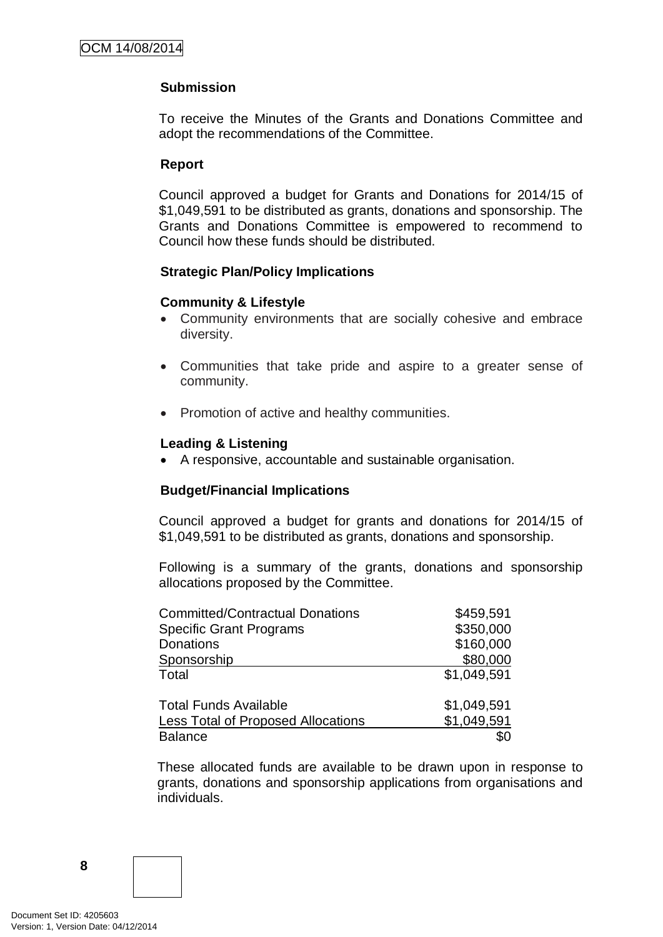## **Submission**

To receive the Minutes of the Grants and Donations Committee and adopt the recommendations of the Committee.

#### **Report**

Council approved a budget for Grants and Donations for 2014/15 of \$1,049,591 to be distributed as grants, donations and sponsorship. The Grants and Donations Committee is empowered to recommend to Council how these funds should be distributed.

#### **Strategic Plan/Policy Implications**

#### **Community & Lifestyle**

- Community environments that are socially cohesive and embrace diversity.
- Communities that take pride and aspire to a greater sense of community.
- Promotion of active and healthy communities.

#### **Leading & Listening**

• A responsive, accountable and sustainable organisation.

#### **Budget/Financial Implications**

Council approved a budget for grants and donations for 2014/15 of \$1,049,591 to be distributed as grants, donations and sponsorship.

Following is a summary of the grants, donations and sponsorship allocations proposed by the Committee.

| <b>Committed/Contractual Donations</b>    | \$459,591   |
|-------------------------------------------|-------------|
| <b>Specific Grant Programs</b>            | \$350,000   |
| <b>Donations</b>                          | \$160,000   |
| Sponsorship                               | \$80,000    |
| Total                                     | \$1,049,591 |
| <b>Total Funds Available</b>              | \$1,049,591 |
| <b>Less Total of Proposed Allocations</b> | \$1,049,591 |
| <b>Balance</b>                            |             |

These allocated funds are available to be drawn upon in response to grants, donations and sponsorship applications from organisations and individuals.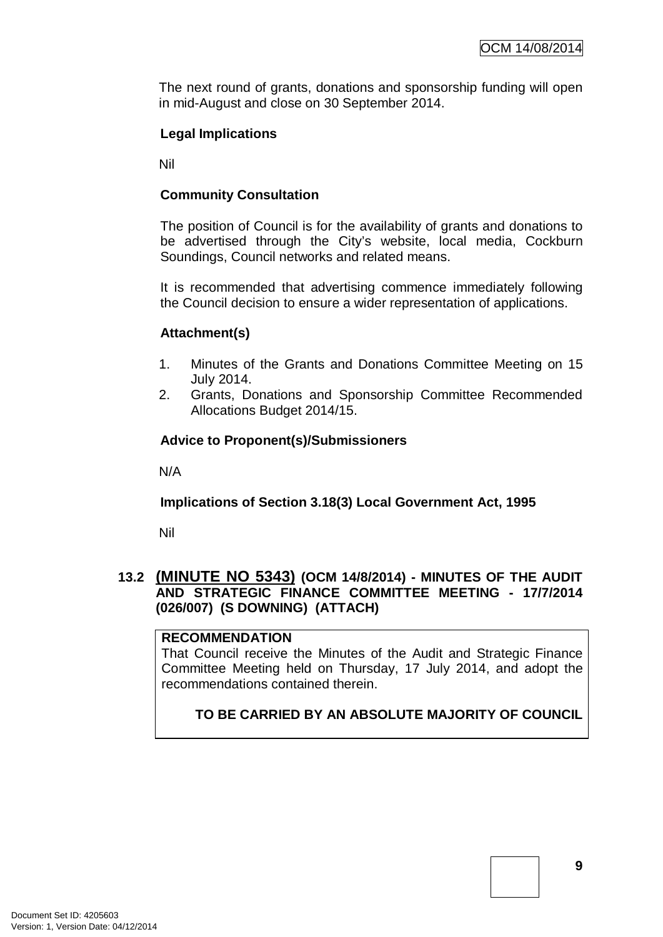The next round of grants, donations and sponsorship funding will open in mid-August and close on 30 September 2014.

# **Legal Implications**

Nil

# **Community Consultation**

The position of Council is for the availability of grants and donations to be advertised through the City's website, local media, Cockburn Soundings, Council networks and related means.

It is recommended that advertising commence immediately following the Council decision to ensure a wider representation of applications.

## **Attachment(s)**

- 1. Minutes of the Grants and Donations Committee Meeting on 15 July 2014.
- 2. Grants, Donations and Sponsorship Committee Recommended Allocations Budget 2014/15.

## **Advice to Proponent(s)/Submissioners**

N/A

## **Implications of Section 3.18(3) Local Government Act, 1995**

Nil

# **13.2 (MINUTE NO 5343) (OCM 14/8/2014) - MINUTES OF THE AUDIT AND STRATEGIC FINANCE COMMITTEE MEETING - 17/7/2014 (026/007) (S DOWNING) (ATTACH)**

#### **RECOMMENDATION**

That Council receive the Minutes of the Audit and Strategic Finance Committee Meeting held on Thursday, 17 July 2014, and adopt the recommendations contained therein.

# **TO BE CARRIED BY AN ABSOLUTE MAJORITY OF COUNCIL**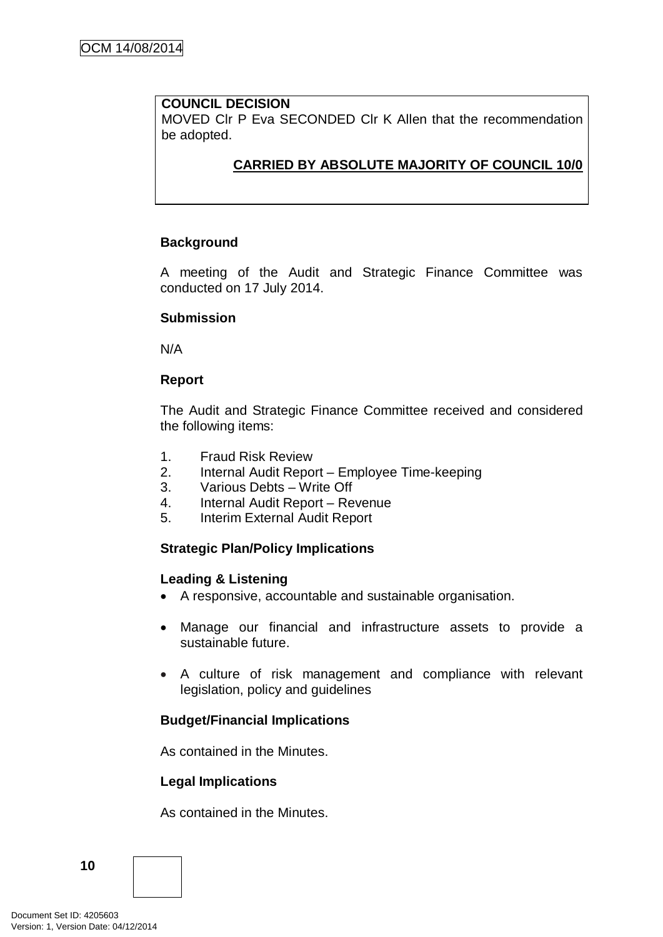#### **COUNCIL DECISION**

MOVED Clr P Eva SECONDED Clr K Allen that the recommendation be adopted.

# **CARRIED BY ABSOLUTE MAJORITY OF COUNCIL 10/0**

# **Background**

A meeting of the Audit and Strategic Finance Committee was conducted on 17 July 2014.

#### **Submission**

N/A

#### **Report**

The Audit and Strategic Finance Committee received and considered the following items:

- 1. Fraud Risk Review
- 2. Internal Audit Report Employee Time-keeping
- 3. Various Debts Write Off
- 4. Internal Audit Report Revenue<br>5. Interim External Audit Report
- 5. Interim External Audit Report

## **Strategic Plan/Policy Implications**

## **Leading & Listening**

- A responsive, accountable and sustainable organisation.
- Manage our financial and infrastructure assets to provide a sustainable future.
- A culture of risk management and compliance with relevant legislation, policy and guidelines

## **Budget/Financial Implications**

As contained in the Minutes.

#### **Legal Implications**

As contained in the Minutes.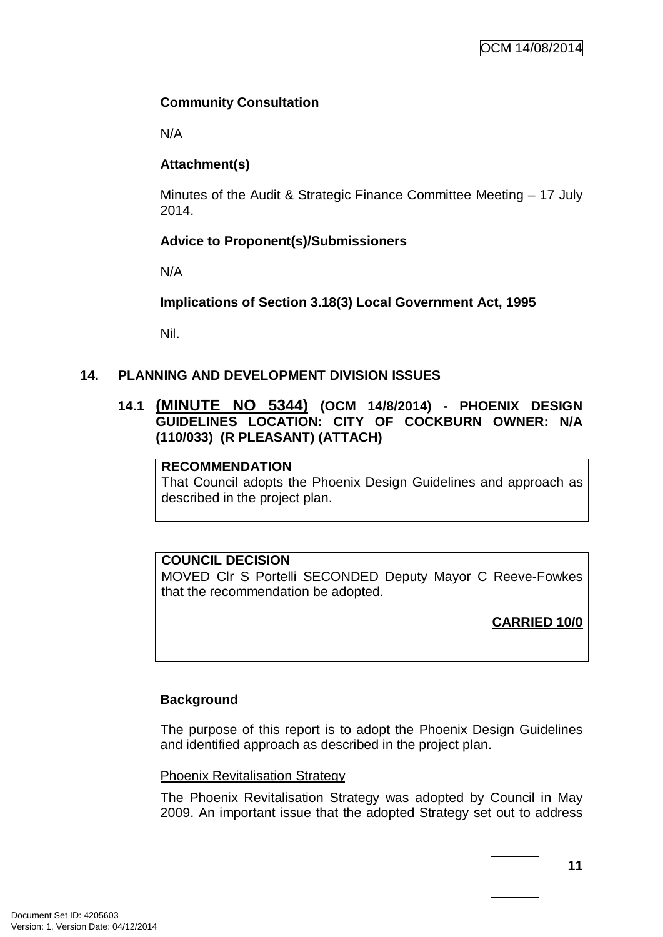# **Community Consultation**

N/A

# **Attachment(s)**

Minutes of the Audit & Strategic Finance Committee Meeting – 17 July 2014.

# **Advice to Proponent(s)/Submissioners**

N/A

**Implications of Section 3.18(3) Local Government Act, 1995**

Nil.

# **14. PLANNING AND DEVELOPMENT DIVISION ISSUES**

**14.1 (MINUTE NO 5344) (OCM 14/8/2014) - PHOENIX DESIGN GUIDELINES LOCATION: CITY OF COCKBURN OWNER: N/A (110/033) (R PLEASANT) (ATTACH)**

#### **RECOMMENDATION**

That Council adopts the Phoenix Design Guidelines and approach as described in the project plan.

# **COUNCIL DECISION**

MOVED Clr S Portelli SECONDED Deputy Mayor C Reeve-Fowkes that the recommendation be adopted.

# **CARRIED 10/0**

## **Background**

The purpose of this report is to adopt the Phoenix Design Guidelines and identified approach as described in the project plan.

#### Phoenix Revitalisation Strategy

The Phoenix Revitalisation Strategy was adopted by Council in May 2009. An important issue that the adopted Strategy set out to address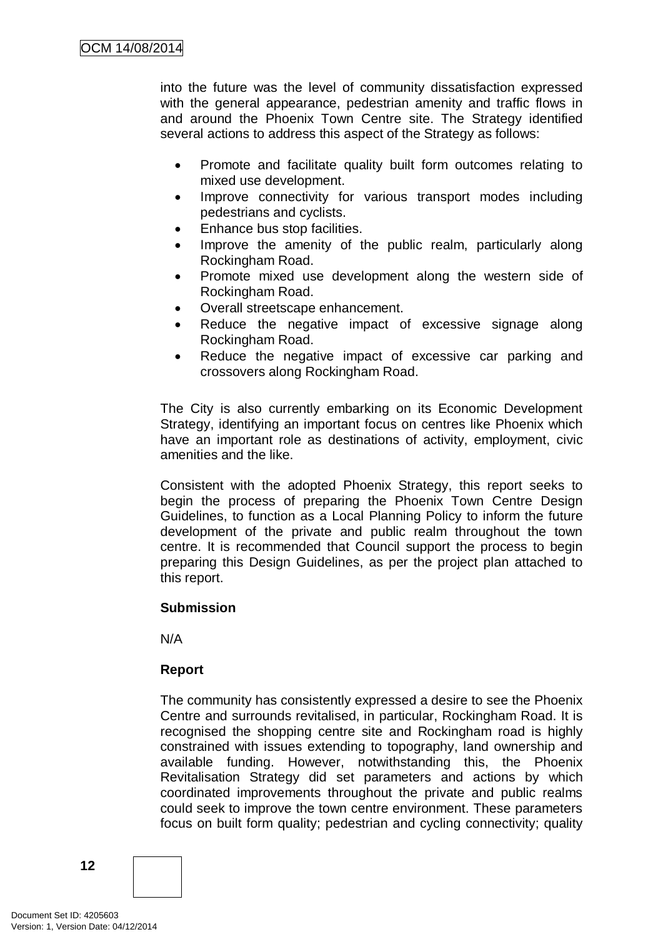into the future was the level of community dissatisfaction expressed with the general appearance, pedestrian amenity and traffic flows in and around the Phoenix Town Centre site. The Strategy identified several actions to address this aspect of the Strategy as follows:

- Promote and facilitate quality built form outcomes relating to mixed use development.
- Improve connectivity for various transport modes including pedestrians and cyclists.
- Enhance bus stop facilities.
- Improve the amenity of the public realm, particularly along Rockingham Road.
- Promote mixed use development along the western side of Rockingham Road.
- Overall streetscape enhancement.
- Reduce the negative impact of excessive signage along Rockingham Road.
- Reduce the negative impact of excessive car parking and crossovers along Rockingham Road.

The City is also currently embarking on its Economic Development Strategy, identifying an important focus on centres like Phoenix which have an important role as destinations of activity, employment, civic amenities and the like.

Consistent with the adopted Phoenix Strategy, this report seeks to begin the process of preparing the Phoenix Town Centre Design Guidelines, to function as a Local Planning Policy to inform the future development of the private and public realm throughout the town centre. It is recommended that Council support the process to begin preparing this Design Guidelines, as per the project plan attached to this report.

## **Submission**

N/A

## **Report**

The community has consistently expressed a desire to see the Phoenix Centre and surrounds revitalised, in particular, Rockingham Road. It is recognised the shopping centre site and Rockingham road is highly constrained with issues extending to topography, land ownership and available funding. However, notwithstanding this, the Phoenix Revitalisation Strategy did set parameters and actions by which coordinated improvements throughout the private and public realms could seek to improve the town centre environment. These parameters focus on built form quality; pedestrian and cycling connectivity; quality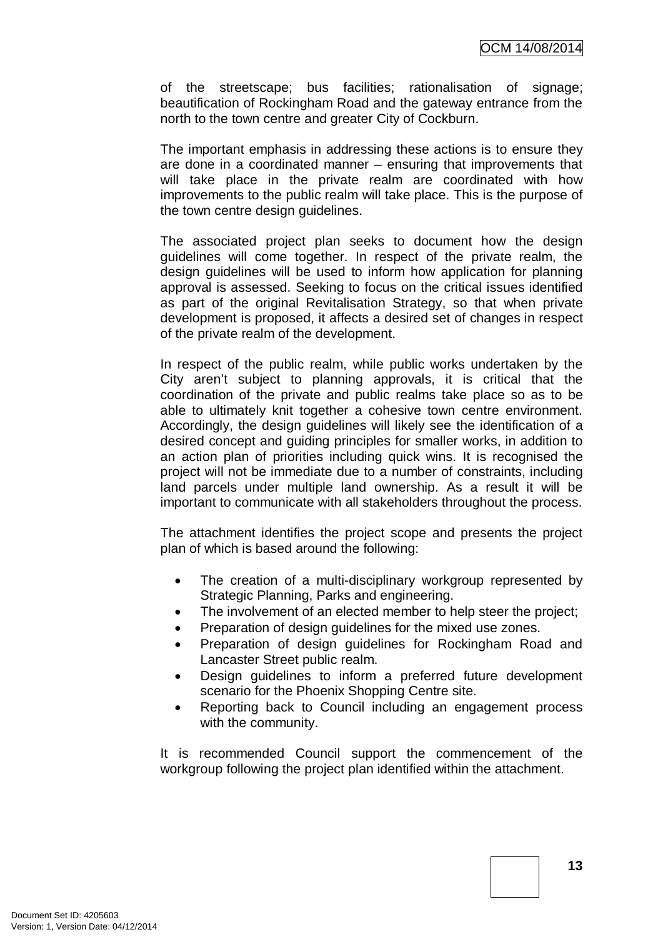of the streetscape; bus facilities; rationalisation of signage; beautification of Rockingham Road and the gateway entrance from the north to the town centre and greater City of Cockburn.

The important emphasis in addressing these actions is to ensure they are done in a coordinated manner – ensuring that improvements that will take place in the private realm are coordinated with how improvements to the public realm will take place. This is the purpose of the town centre design guidelines.

The associated project plan seeks to document how the design guidelines will come together. In respect of the private realm, the design guidelines will be used to inform how application for planning approval is assessed. Seeking to focus on the critical issues identified as part of the original Revitalisation Strategy, so that when private development is proposed, it affects a desired set of changes in respect of the private realm of the development.

In respect of the public realm, while public works undertaken by the City aren't subject to planning approvals, it is critical that the coordination of the private and public realms take place so as to be able to ultimately knit together a cohesive town centre environment. Accordingly, the design guidelines will likely see the identification of a desired concept and guiding principles for smaller works, in addition to an action plan of priorities including quick wins. It is recognised the project will not be immediate due to a number of constraints, including land parcels under multiple land ownership. As a result it will be important to communicate with all stakeholders throughout the process.

The attachment identifies the project scope and presents the project plan of which is based around the following:

- The creation of a multi-disciplinary workgroup represented by Strategic Planning, Parks and engineering.
- The involvement of an elected member to help steer the project;
- Preparation of design guidelines for the mixed use zones.
- Preparation of design guidelines for Rockingham Road and Lancaster Street public realm.
- Design guidelines to inform a preferred future development scenario for the Phoenix Shopping Centre site.
- Reporting back to Council including an engagement process with the community.

It is recommended Council support the commencement of the workgroup following the project plan identified within the attachment.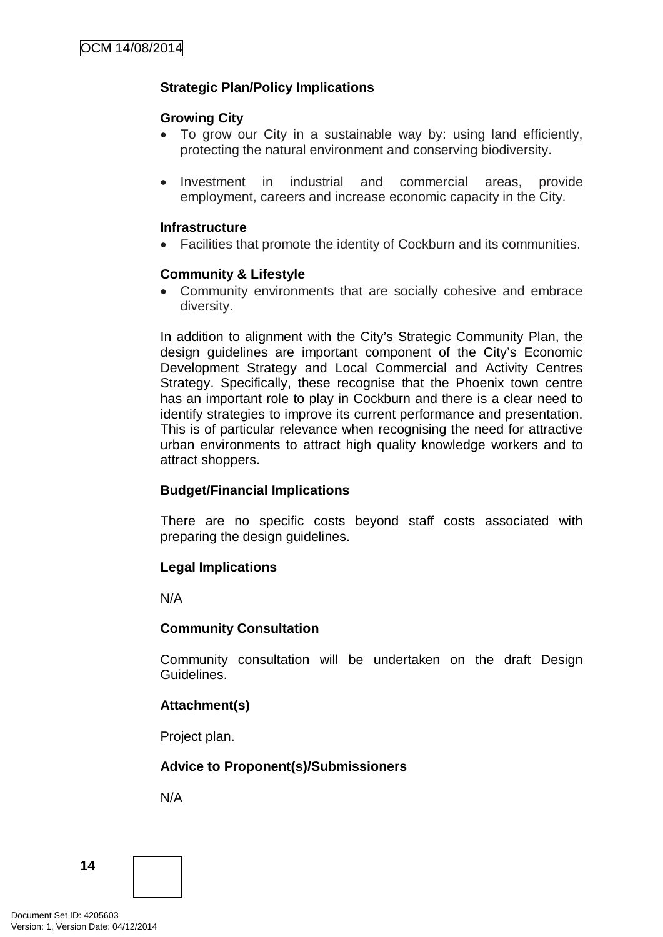## **Strategic Plan/Policy Implications**

## **Growing City**

- To grow our City in a sustainable way by: using land efficiently, protecting the natural environment and conserving biodiversity.
- Investment in industrial and commercial areas, provide employment, careers and increase economic capacity in the City.

#### **Infrastructure**

• Facilities that promote the identity of Cockburn and its communities.

## **Community & Lifestyle**

• Community environments that are socially cohesive and embrace diversity.

In addition to alignment with the City's Strategic Community Plan, the design guidelines are important component of the City's Economic Development Strategy and Local Commercial and Activity Centres Strategy. Specifically, these recognise that the Phoenix town centre has an important role to play in Cockburn and there is a clear need to identify strategies to improve its current performance and presentation. This is of particular relevance when recognising the need for attractive urban environments to attract high quality knowledge workers and to attract shoppers.

## **Budget/Financial Implications**

There are no specific costs beyond staff costs associated with preparing the design guidelines.

## **Legal Implications**

N/A

## **Community Consultation**

Community consultation will be undertaken on the draft Design Guidelines.

## **Attachment(s)**

Project plan.

# **Advice to Proponent(s)/Submissioners**

N/A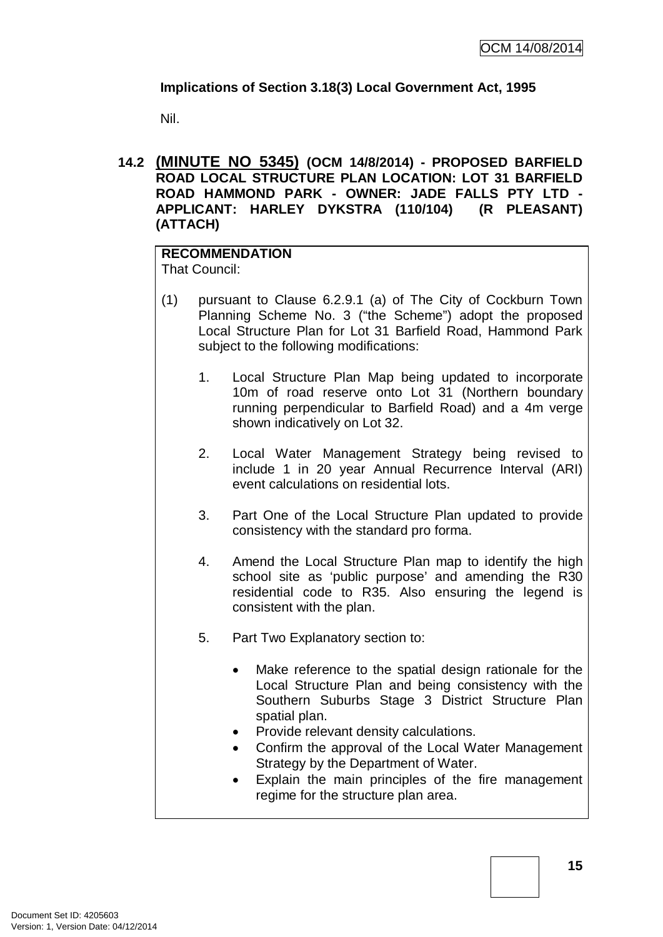# **Implications of Section 3.18(3) Local Government Act, 1995**

Nil.

# **14.2 (MINUTE NO 5345) (OCM 14/8/2014) - PROPOSED BARFIELD ROAD LOCAL STRUCTURE PLAN LOCATION: LOT 31 BARFIELD ROAD HAMMOND PARK - OWNER: JADE FALLS PTY LTD - APPLICANT: HARLEY DYKSTRA (110/104) (R PLEASANT) (ATTACH)**

# **RECOMMENDATION**

That Council:

- (1) pursuant to Clause 6.2.9.1 (a) of The City of Cockburn Town Planning Scheme No. 3 ("the Scheme") adopt the proposed Local Structure Plan for Lot 31 Barfield Road, Hammond Park subject to the following modifications:
	- 1. Local Structure Plan Map being updated to incorporate 10m of road reserve onto Lot 31 (Northern boundary running perpendicular to Barfield Road) and a 4m verge shown indicatively on Lot 32.
	- 2. Local Water Management Strategy being revised to include 1 in 20 year Annual Recurrence Interval (ARI) event calculations on residential lots.
	- 3. Part One of the Local Structure Plan updated to provide consistency with the standard pro forma.
	- 4. Amend the Local Structure Plan map to identify the high school site as 'public purpose' and amending the R30 residential code to R35. Also ensuring the legend is consistent with the plan.
	- 5. Part Two Explanatory section to:
		- Make reference to the spatial design rationale for the Local Structure Plan and being consistency with the Southern Suburbs Stage 3 District Structure Plan spatial plan.
		- Provide relevant density calculations.
		- Confirm the approval of the Local Water Management Strategy by the Department of Water.
		- Explain the main principles of the fire management regime for the structure plan area.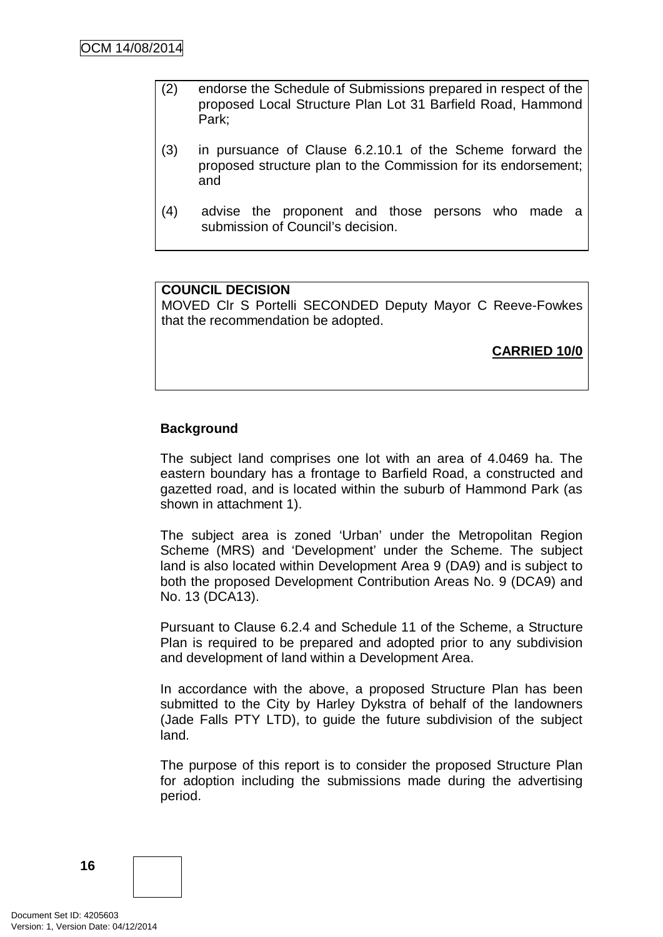- (2) endorse the Schedule of Submissions prepared in respect of the proposed Local Structure Plan Lot 31 Barfield Road, Hammond Park;
- (3) in pursuance of Clause 6.2.10.1 of the Scheme forward the proposed structure plan to the Commission for its endorsement; and
- (4) advise the proponent and those persons who made a submission of Council's decision.

# **COUNCIL DECISION**

MOVED Clr S Portelli SECONDED Deputy Mayor C Reeve-Fowkes that the recommendation be adopted.

**CARRIED 10/0**

# **Background**

The subject land comprises one lot with an area of 4.0469 ha. The eastern boundary has a frontage to Barfield Road, a constructed and gazetted road, and is located within the suburb of Hammond Park (as shown in attachment 1).

The subject area is zoned 'Urban' under the Metropolitan Region Scheme (MRS) and 'Development' under the Scheme. The subject land is also located within Development Area 9 (DA9) and is subject to both the proposed Development Contribution Areas No. 9 (DCA9) and No. 13 (DCA13).

Pursuant to Clause 6.2.4 and Schedule 11 of the Scheme, a Structure Plan is required to be prepared and adopted prior to any subdivision and development of land within a Development Area.

In accordance with the above, a proposed Structure Plan has been submitted to the City by Harley Dykstra of behalf of the landowners (Jade Falls PTY LTD), to guide the future subdivision of the subject land.

The purpose of this report is to consider the proposed Structure Plan for adoption including the submissions made during the advertising period.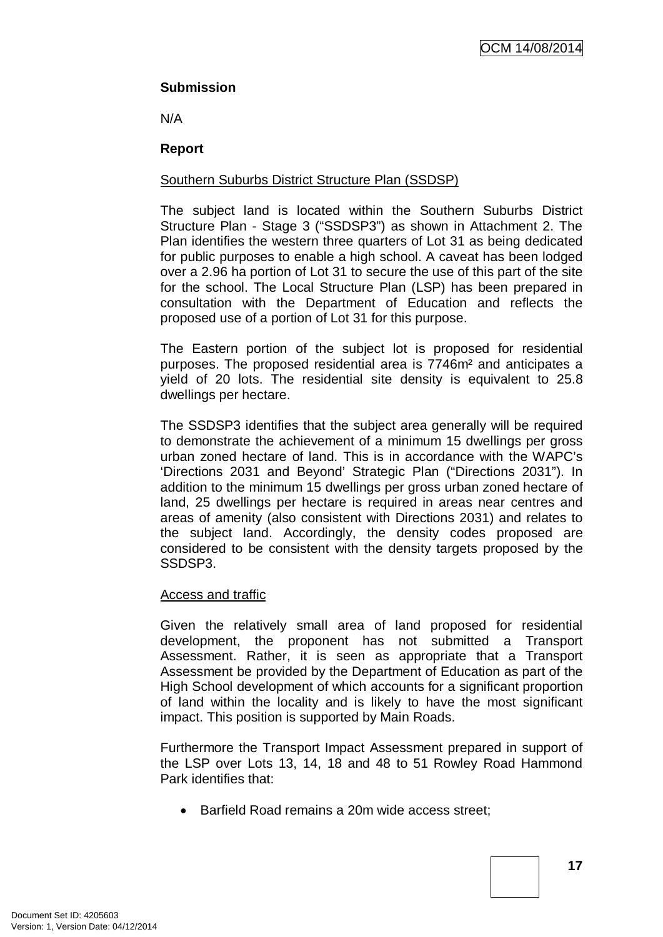# **Submission**

N/A

## **Report**

## Southern Suburbs District Structure Plan (SSDSP)

The subject land is located within the Southern Suburbs District Structure Plan - Stage 3 ("SSDSP3") as shown in Attachment 2. The Plan identifies the western three quarters of Lot 31 as being dedicated for public purposes to enable a high school. A caveat has been lodged over a 2.96 ha portion of Lot 31 to secure the use of this part of the site for the school. The Local Structure Plan (LSP) has been prepared in consultation with the Department of Education and reflects the proposed use of a portion of Lot 31 for this purpose.

The Eastern portion of the subject lot is proposed for residential purposes. The proposed residential area is 7746m² and anticipates a yield of 20 lots. The residential site density is equivalent to 25.8 dwellings per hectare.

The SSDSP3 identifies that the subject area generally will be required to demonstrate the achievement of a minimum 15 dwellings per gross urban zoned hectare of land. This is in accordance with the WAPC's 'Directions 2031 and Beyond' Strategic Plan ("Directions 2031"). In addition to the minimum 15 dwellings per gross urban zoned hectare of land, 25 dwellings per hectare is required in areas near centres and areas of amenity (also consistent with Directions 2031) and relates to the subject land. Accordingly, the density codes proposed are considered to be consistent with the density targets proposed by the SSDSP3.

## Access and traffic

Given the relatively small area of land proposed for residential development, the proponent has not submitted a Transport Assessment. Rather, it is seen as appropriate that a Transport Assessment be provided by the Department of Education as part of the High School development of which accounts for a significant proportion of land within the locality and is likely to have the most significant impact. This position is supported by Main Roads.

Furthermore the Transport Impact Assessment prepared in support of the LSP over Lots 13, 14, 18 and 48 to 51 Rowley Road Hammond Park identifies that:

• Barfield Road remains a 20m wide access street;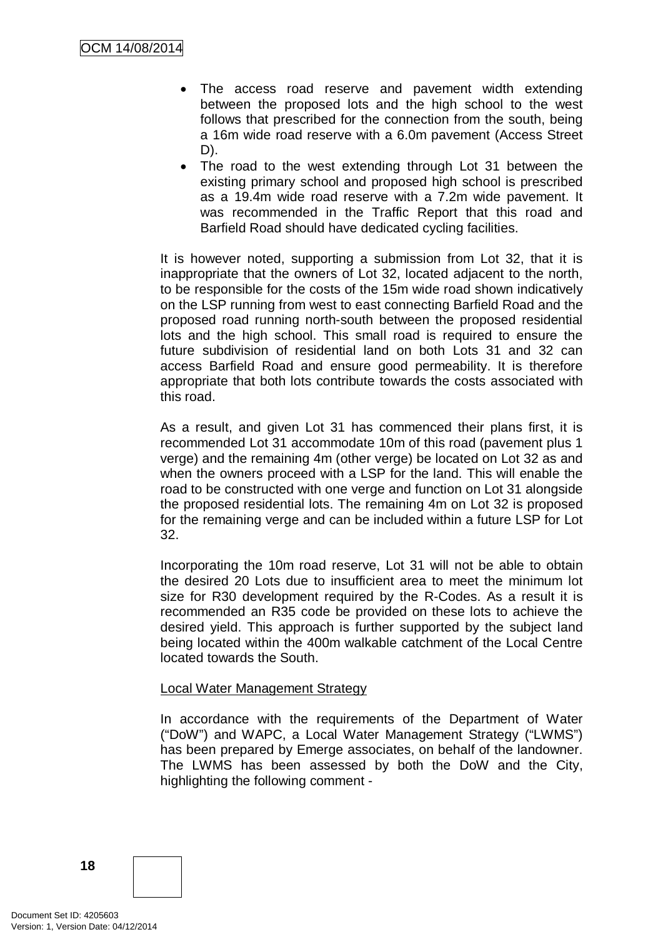- The access road reserve and pavement width extending between the proposed lots and the high school to the west follows that prescribed for the connection from the south, being a 16m wide road reserve with a 6.0m pavement (Access Street D).
- The road to the west extending through Lot 31 between the existing primary school and proposed high school is prescribed as a 19.4m wide road reserve with a 7.2m wide pavement. It was recommended in the Traffic Report that this road and Barfield Road should have dedicated cycling facilities.

It is however noted, supporting a submission from Lot 32, that it is inappropriate that the owners of Lot 32, located adjacent to the north, to be responsible for the costs of the 15m wide road shown indicatively on the LSP running from west to east connecting Barfield Road and the proposed road running north-south between the proposed residential lots and the high school. This small road is required to ensure the future subdivision of residential land on both Lots 31 and 32 can access Barfield Road and ensure good permeability. It is therefore appropriate that both lots contribute towards the costs associated with this road.

As a result, and given Lot 31 has commenced their plans first, it is recommended Lot 31 accommodate 10m of this road (pavement plus 1 verge) and the remaining 4m (other verge) be located on Lot 32 as and when the owners proceed with a LSP for the land. This will enable the road to be constructed with one verge and function on Lot 31 alongside the proposed residential lots. The remaining 4m on Lot 32 is proposed for the remaining verge and can be included within a future LSP for Lot 32.

Incorporating the 10m road reserve, Lot 31 will not be able to obtain the desired 20 Lots due to insufficient area to meet the minimum lot size for R30 development required by the R-Codes. As a result it is recommended an R35 code be provided on these lots to achieve the desired yield. This approach is further supported by the subject land being located within the 400m walkable catchment of the Local Centre located towards the South.

#### Local Water Management Strategy

In accordance with the requirements of the Department of Water ("DoW") and WAPC, a Local Water Management Strategy ("LWMS") has been prepared by Emerge associates, on behalf of the landowner. The LWMS has been assessed by both the DoW and the City, highlighting the following comment -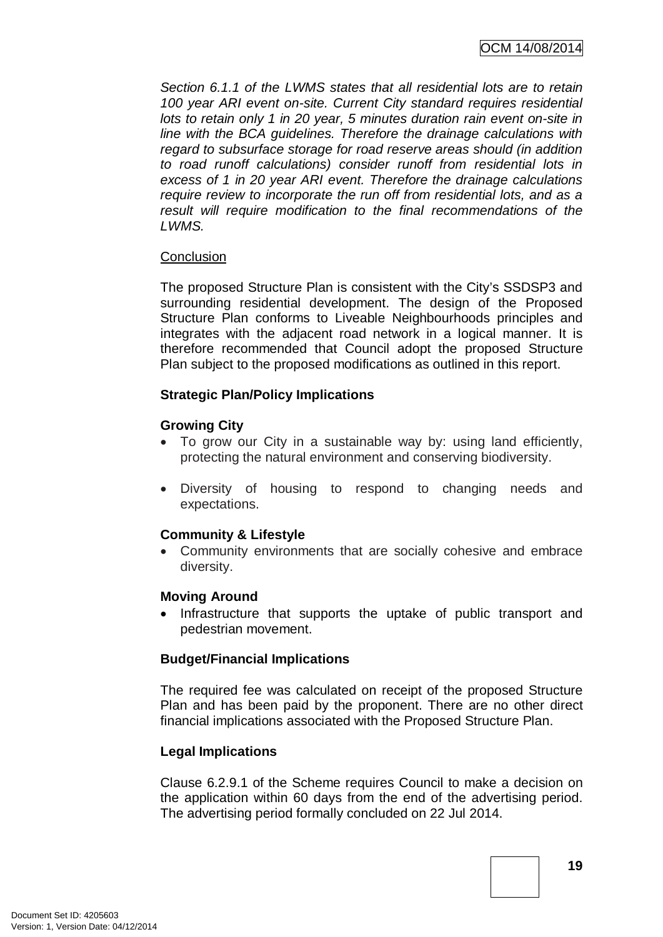*Section 6.1.1 of the LWMS states that all residential lots are to retain 100 year ARI event on-site. Current City standard requires residential lots to retain only 1 in 20 year, 5 minutes duration rain event on-site in line with the BCA guidelines. Therefore the drainage calculations with regard to subsurface storage for road reserve areas should (in addition to road runoff calculations) consider runoff from residential lots in excess of 1 in 20 year ARI event. Therefore the drainage calculations require review to incorporate the run off from residential lots, and as a result will require modification to the final recommendations of the LWMS.*

#### **Conclusion**

The proposed Structure Plan is consistent with the City's SSDSP3 and surrounding residential development. The design of the Proposed Structure Plan conforms to Liveable Neighbourhoods principles and integrates with the adjacent road network in a logical manner. It is therefore recommended that Council adopt the proposed Structure Plan subject to the proposed modifications as outlined in this report.

## **Strategic Plan/Policy Implications**

#### **Growing City**

- To grow our City in a sustainable way by: using land efficiently, protecting the natural environment and conserving biodiversity.
- Diversity of housing to respond to changing needs and expectations.

## **Community & Lifestyle**

• Community environments that are socially cohesive and embrace diversity.

#### **Moving Around**

• Infrastructure that supports the uptake of public transport and pedestrian movement.

## **Budget/Financial Implications**

The required fee was calculated on receipt of the proposed Structure Plan and has been paid by the proponent. There are no other direct financial implications associated with the Proposed Structure Plan.

## **Legal Implications**

Clause 6.2.9.1 of the Scheme requires Council to make a decision on the application within 60 days from the end of the advertising period. The advertising period formally concluded on 22 Jul 2014.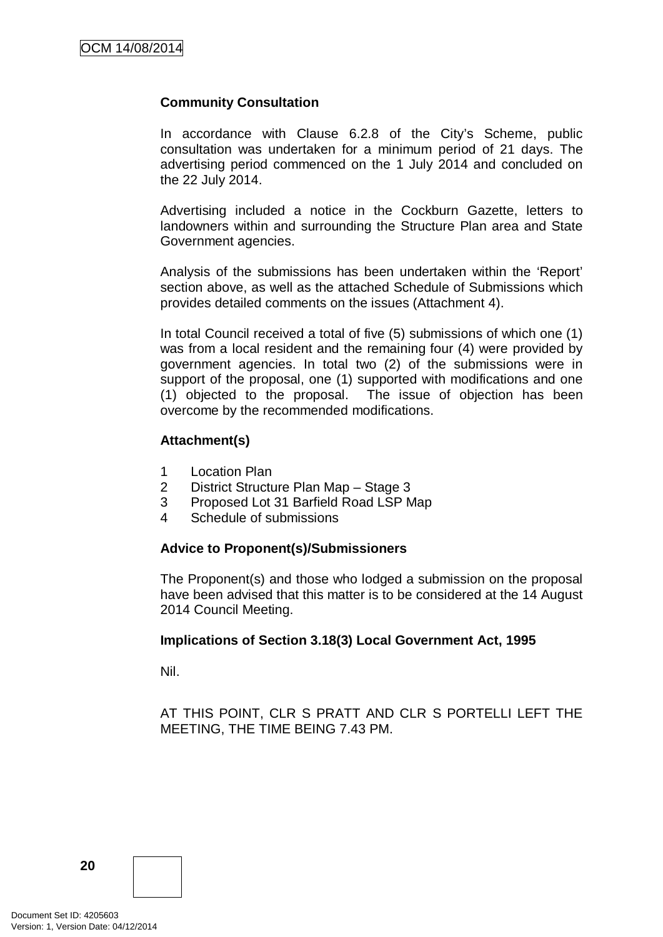## **Community Consultation**

In accordance with Clause 6.2.8 of the City's Scheme, public consultation was undertaken for a minimum period of 21 days. The advertising period commenced on the 1 July 2014 and concluded on the 22 July 2014.

Advertising included a notice in the Cockburn Gazette, letters to landowners within and surrounding the Structure Plan area and State Government agencies.

Analysis of the submissions has been undertaken within the 'Report' section above, as well as the attached Schedule of Submissions which provides detailed comments on the issues (Attachment 4).

In total Council received a total of five (5) submissions of which one (1) was from a local resident and the remaining four (4) were provided by government agencies. In total two (2) of the submissions were in support of the proposal, one (1) supported with modifications and one (1) objected to the proposal. The issue of objection has been overcome by the recommended modifications.

#### **Attachment(s)**

- 1 Location Plan
- 2 District Structure Plan Map Stage 3
- 3 Proposed Lot 31 Barfield Road LSP Map
- 4 Schedule of submissions

#### **Advice to Proponent(s)/Submissioners**

The Proponent(s) and those who lodged a submission on the proposal have been advised that this matter is to be considered at the 14 August 2014 Council Meeting.

## **Implications of Section 3.18(3) Local Government Act, 1995**

Nil.

AT THIS POINT, CLR S PRATT AND CLR S PORTELLI LEFT THE MEETING, THE TIME BEING 7.43 PM.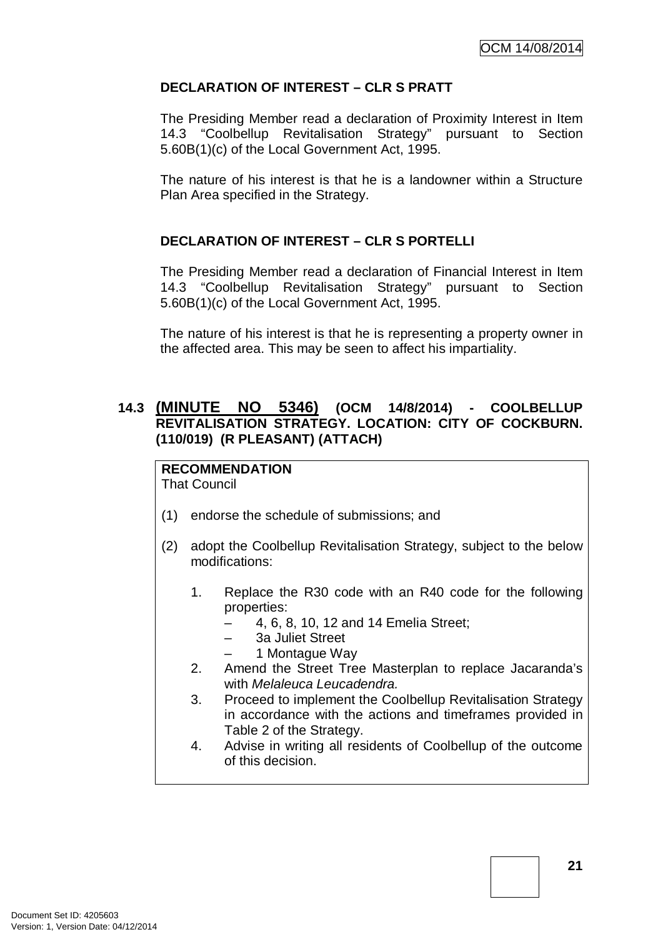# **DECLARATION OF INTEREST – CLR S PRATT**

The Presiding Member read a declaration of Proximity Interest in Item 14.3 "Coolbellup Revitalisation Strategy" pursuant to Section 5.60B(1)(c) of the Local Government Act, 1995.

The nature of his interest is that he is a landowner within a Structure Plan Area specified in the Strategy.

# **DECLARATION OF INTEREST – CLR S PORTELLI**

The Presiding Member read a declaration of Financial Interest in Item 14.3 "Coolbellup Revitalisation Strategy" pursuant to Section 5.60B(1)(c) of the Local Government Act, 1995.

The nature of his interest is that he is representing a property owner in the affected area. This may be seen to affect his impartiality.

# **14.3 (MINUTE NO 5346) (OCM 14/8/2014) - COOLBELLUP REVITALISATION STRATEGY. LOCATION: CITY OF COCKBURN. (110/019) (R PLEASANT) (ATTACH)**

**RECOMMENDATION** That Council

- (1) endorse the schedule of submissions; and
- (2) adopt the Coolbellup Revitalisation Strategy, subject to the below modifications:
	- 1. Replace the R30 code with an R40 code for the following properties:
		- 4, 6, 8, 10, 12 and 14 Emelia Street;
		- 3a Juliet Street
		- 1 Montague Way
	- 2. Amend the Street Tree Masterplan to replace Jacaranda's with *Melaleuca Leucadendra.*
	- 3. Proceed to implement the Coolbellup Revitalisation Strategy in accordance with the actions and timeframes provided in Table 2 of the Strategy.
	- 4. Advise in writing all residents of Coolbellup of the outcome of this decision.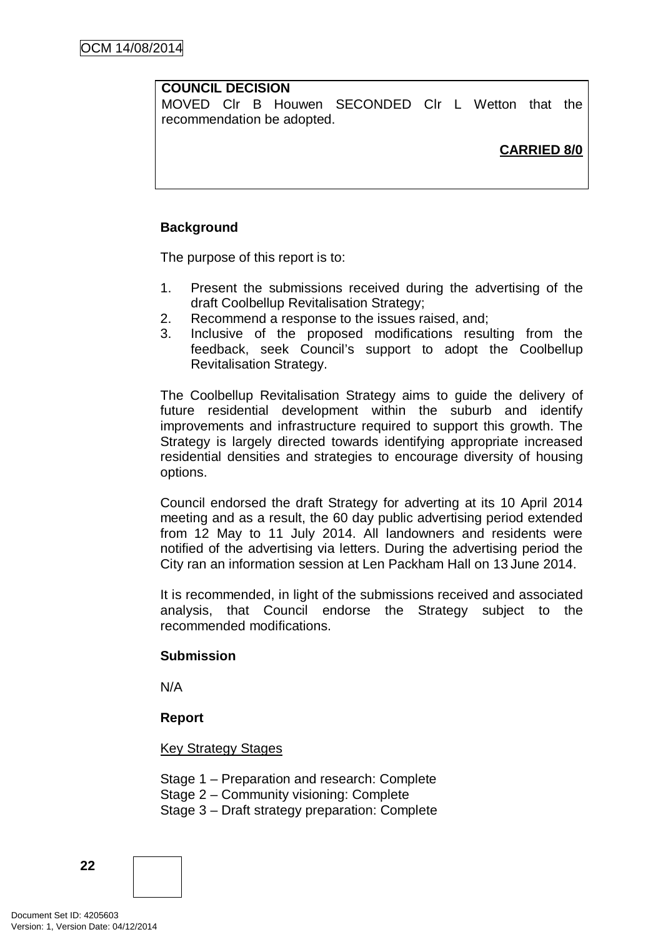# **COUNCIL DECISION**

MOVED Clr B Houwen SECONDED Clr L Wetton that the recommendation be adopted.

# **CARRIED 8/0**

#### **Background**

The purpose of this report is to:

- 1. Present the submissions received during the advertising of the draft Coolbellup Revitalisation Strategy;
- 2. Recommend a response to the issues raised, and;
- 3. Inclusive of the proposed modifications resulting from the feedback, seek Council's support to adopt the Coolbellup Revitalisation Strategy.

The Coolbellup Revitalisation Strategy aims to guide the delivery of future residential development within the suburb and identify improvements and infrastructure required to support this growth. The Strategy is largely directed towards identifying appropriate increased residential densities and strategies to encourage diversity of housing options.

Council endorsed the draft Strategy for adverting at its 10 April 2014 meeting and as a result, the 60 day public advertising period extended from 12 May to 11 July 2014. All landowners and residents were notified of the advertising via letters. During the advertising period the City ran an information session at Len Packham Hall on 13 June 2014.

It is recommended, in light of the submissions received and associated analysis, that Council endorse the Strategy subject to the recommended modifications.

#### **Submission**

N/A

**Report**

Key Strategy Stages

Stage 1 – Preparation and research: Complete

- Stage 2 Community visioning: Complete
- Stage 3 Draft strategy preparation: Complete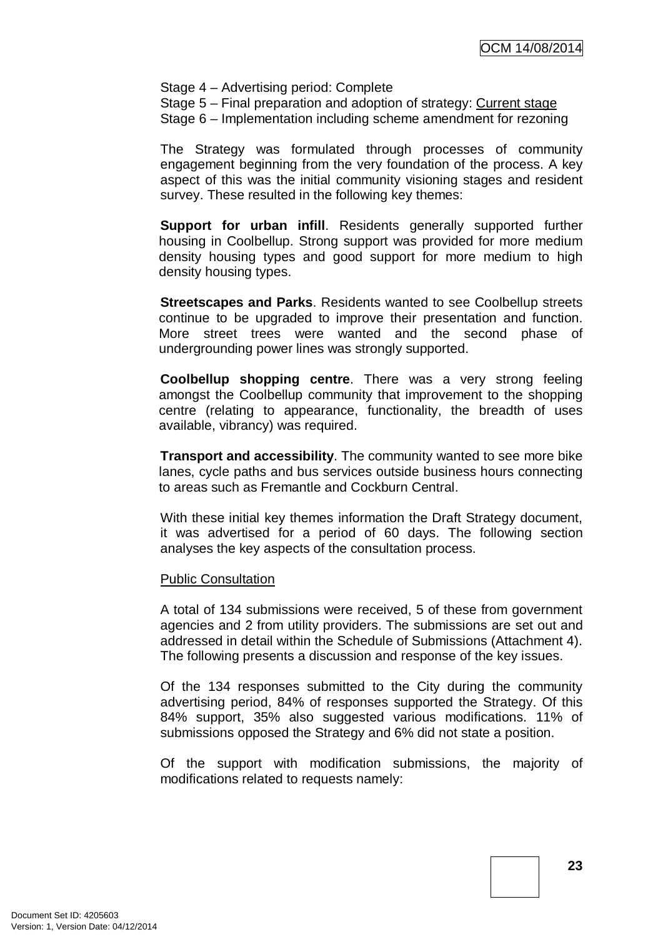Stage 4 – Advertising period: Complete

Stage 5 – Final preparation and adoption of strategy: Current stage

Stage 6 – Implementation including scheme amendment for rezoning

The Strategy was formulated through processes of community engagement beginning from the very foundation of the process. A key aspect of this was the initial community visioning stages and resident survey. These resulted in the following key themes:

**Support for urban infill**. Residents generally supported further housing in Coolbellup. Strong support was provided for more medium density housing types and good support for more medium to high density housing types.

**Streetscapes and Parks**. Residents wanted to see Coolbellup streets continue to be upgraded to improve their presentation and function. More street trees were wanted and the second phase of undergrounding power lines was strongly supported.

**Coolbellup shopping centre**. There was a very strong feeling amongst the Coolbellup community that improvement to the shopping centre (relating to appearance, functionality, the breadth of uses available, vibrancy) was required.

**Transport and accessibility**. The community wanted to see more bike lanes, cycle paths and bus services outside business hours connecting to areas such as Fremantle and Cockburn Central.

With these initial key themes information the Draft Strategy document, it was advertised for a period of 60 days. The following section analyses the key aspects of the consultation process.

#### Public Consultation

A total of 134 submissions were received, 5 of these from government agencies and 2 from utility providers. The submissions are set out and addressed in detail within the Schedule of Submissions (Attachment 4). The following presents a discussion and response of the key issues.

Of the 134 responses submitted to the City during the community advertising period, 84% of responses supported the Strategy. Of this 84% support, 35% also suggested various modifications. 11% of submissions opposed the Strategy and 6% did not state a position.

Of the support with modification submissions, the majority of modifications related to requests namely: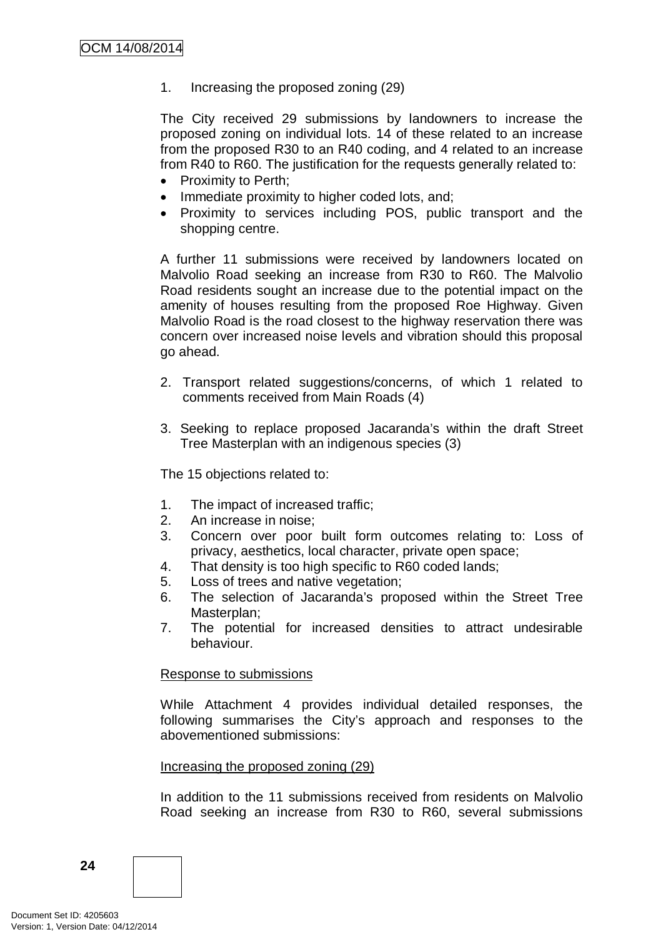1. Increasing the proposed zoning (29)

The City received 29 submissions by landowners to increase the proposed zoning on individual lots. 14 of these related to an increase from the proposed R30 to an R40 coding, and 4 related to an increase from R40 to R60. The justification for the requests generally related to:

- Proximity to Perth;
- Immediate proximity to higher coded lots, and;
- Proximity to services including POS, public transport and the shopping centre.

A further 11 submissions were received by landowners located on Malvolio Road seeking an increase from R30 to R60. The Malvolio Road residents sought an increase due to the potential impact on the amenity of houses resulting from the proposed Roe Highway. Given Malvolio Road is the road closest to the highway reservation there was concern over increased noise levels and vibration should this proposal go ahead.

- 2. Transport related suggestions/concerns, of which 1 related to comments received from Main Roads (4)
- 3. Seeking to replace proposed Jacaranda's within the draft Street Tree Masterplan with an indigenous species (3)

The 15 objections related to:

- 1. The impact of increased traffic;
- 2. An increase in noise;
- 3. Concern over poor built form outcomes relating to: Loss of privacy, aesthetics, local character, private open space;
- 4. That density is too high specific to R60 coded lands;
- 5. Loss of trees and native vegetation;
- 6. The selection of Jacaranda's proposed within the Street Tree Masterplan:
- 7. The potential for increased densities to attract undesirable behaviour.

## Response to submissions

While Attachment 4 provides individual detailed responses, the following summarises the City's approach and responses to the abovementioned submissions:

## Increasing the proposed zoning (29)

In addition to the 11 submissions received from residents on Malvolio Road seeking an increase from R30 to R60, several submissions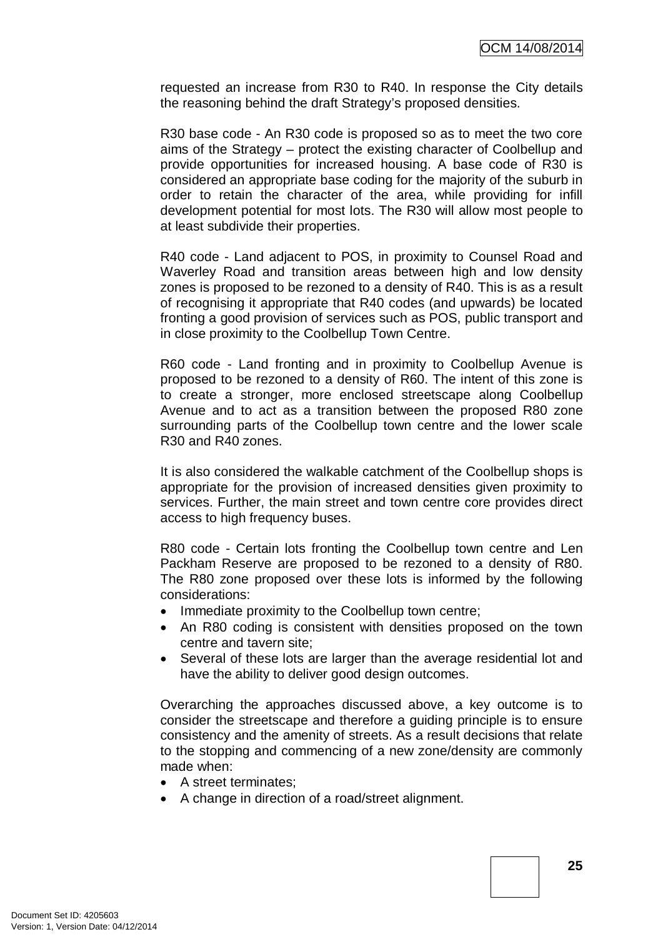requested an increase from R30 to R40. In response the City details the reasoning behind the draft Strategy's proposed densities.

R30 base code - An R30 code is proposed so as to meet the two core aims of the Strategy – protect the existing character of Coolbellup and provide opportunities for increased housing. A base code of R30 is considered an appropriate base coding for the majority of the suburb in order to retain the character of the area, while providing for infill development potential for most lots. The R30 will allow most people to at least subdivide their properties.

R40 code - Land adjacent to POS, in proximity to Counsel Road and Waverley Road and transition areas between high and low density zones is proposed to be rezoned to a density of R40. This is as a result of recognising it appropriate that R40 codes (and upwards) be located fronting a good provision of services such as POS, public transport and in close proximity to the Coolbellup Town Centre.

R60 code - Land fronting and in proximity to Coolbellup Avenue is proposed to be rezoned to a density of R60. The intent of this zone is to create a stronger, more enclosed streetscape along Coolbellup Avenue and to act as a transition between the proposed R80 zone surrounding parts of the Coolbellup town centre and the lower scale R30 and R40 zones.

It is also considered the walkable catchment of the Coolbellup shops is appropriate for the provision of increased densities given proximity to services. Further, the main street and town centre core provides direct access to high frequency buses.

R80 code - Certain lots fronting the Coolbellup town centre and Len Packham Reserve are proposed to be rezoned to a density of R80. The R80 zone proposed over these lots is informed by the following considerations:

- Immediate proximity to the Coolbellup town centre;
- An R80 coding is consistent with densities proposed on the town centre and tavern site;
- Several of these lots are larger than the average residential lot and have the ability to deliver good design outcomes.

Overarching the approaches discussed above, a key outcome is to consider the streetscape and therefore a guiding principle is to ensure consistency and the amenity of streets. As a result decisions that relate to the stopping and commencing of a new zone/density are commonly made when:

- A street terminates;
- A change in direction of a road/street alignment.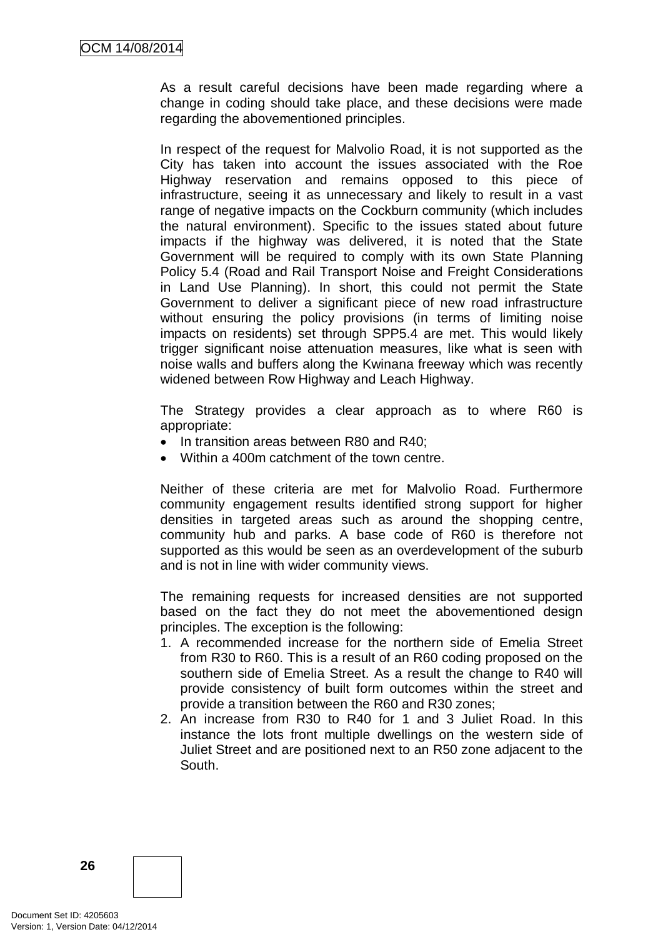As a result careful decisions have been made regarding where a change in coding should take place, and these decisions were made regarding the abovementioned principles.

In respect of the request for Malvolio Road, it is not supported as the City has taken into account the issues associated with the Roe Highway reservation and remains opposed to this piece of infrastructure, seeing it as unnecessary and likely to result in a vast range of negative impacts on the Cockburn community (which includes the natural environment). Specific to the issues stated about future impacts if the highway was delivered, it is noted that the State Government will be required to comply with its own State Planning Policy 5.4 (Road and Rail Transport Noise and Freight Considerations in Land Use Planning). In short, this could not permit the State Government to deliver a significant piece of new road infrastructure without ensuring the policy provisions (in terms of limiting noise impacts on residents) set through SPP5.4 are met. This would likely trigger significant noise attenuation measures, like what is seen with noise walls and buffers along the Kwinana freeway which was recently widened between Row Highway and Leach Highway.

The Strategy provides a clear approach as to where R60 is appropriate:

- In transition areas between R80 and R40;
- Within a 400m catchment of the town centre.

Neither of these criteria are met for Malvolio Road. Furthermore community engagement results identified strong support for higher densities in targeted areas such as around the shopping centre, community hub and parks. A base code of R60 is therefore not supported as this would be seen as an overdevelopment of the suburb and is not in line with wider community views.

The remaining requests for increased densities are not supported based on the fact they do not meet the abovementioned design principles. The exception is the following:

- 1. A recommended increase for the northern side of Emelia Street from R30 to R60. This is a result of an R60 coding proposed on the southern side of Emelia Street. As a result the change to R40 will provide consistency of built form outcomes within the street and provide a transition between the R60 and R30 zones;
- 2. An increase from R30 to R40 for 1 and 3 Juliet Road. In this instance the lots front multiple dwellings on the western side of Juliet Street and are positioned next to an R50 zone adjacent to the South.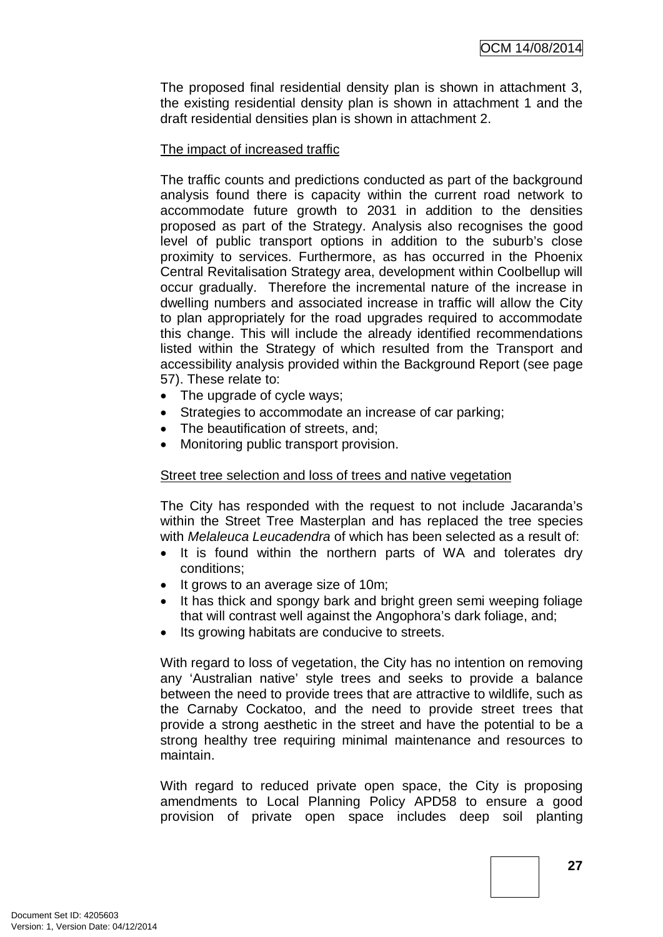The proposed final residential density plan is shown in attachment 3, the existing residential density plan is shown in attachment 1 and the draft residential densities plan is shown in attachment 2.

#### The impact of increased traffic

The traffic counts and predictions conducted as part of the background analysis found there is capacity within the current road network to accommodate future growth to 2031 in addition to the densities proposed as part of the Strategy. Analysis also recognises the good level of public transport options in addition to the suburb's close proximity to services. Furthermore, as has occurred in the Phoenix Central Revitalisation Strategy area, development within Coolbellup will occur gradually. Therefore the incremental nature of the increase in dwelling numbers and associated increase in traffic will allow the City to plan appropriately for the road upgrades required to accommodate this change. This will include the already identified recommendations listed within the Strategy of which resulted from the Transport and accessibility analysis provided within the Background Report (see page 57). These relate to:

- The upgrade of cycle ways;
- Strategies to accommodate an increase of car parking:
- The beautification of streets, and;
- Monitoring public transport provision.

## Street tree selection and loss of trees and native vegetation

The City has responded with the request to not include Jacaranda's within the Street Tree Masterplan and has replaced the tree species with *Melaleuca Leucadendra* of which has been selected as a result of:

- It is found within the northern parts of WA and tolerates dry conditions;
- It grows to an average size of 10m;
- It has thick and spongy bark and bright green semi weeping foliage that will contrast well against the Angophora's dark foliage, and;
- Its growing habitats are conducive to streets.

With regard to loss of vegetation, the City has no intention on removing any 'Australian native' style trees and seeks to provide a balance between the need to provide trees that are attractive to wildlife, such as the Carnaby Cockatoo, and the need to provide street trees that provide a strong aesthetic in the street and have the potential to be a strong healthy tree requiring minimal maintenance and resources to maintain.

With regard to reduced private open space, the City is proposing amendments to Local Planning Policy APD58 to ensure a good provision of private open space includes deep soil planting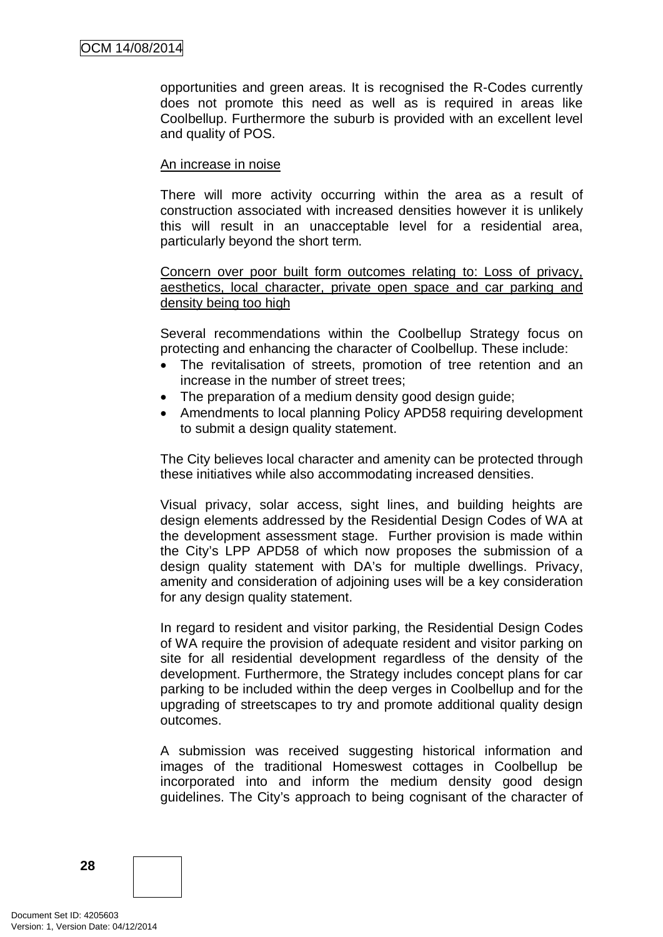opportunities and green areas. It is recognised the R-Codes currently does not promote this need as well as is required in areas like Coolbellup. Furthermore the suburb is provided with an excellent level and quality of POS.

#### An increase in noise

There will more activity occurring within the area as a result of construction associated with increased densities however it is unlikely this will result in an unacceptable level for a residential area, particularly beyond the short term.

Concern over poor built form outcomes relating to: Loss of privacy, aesthetics, local character, private open space and car parking and density being too high

Several recommendations within the Coolbellup Strategy focus on protecting and enhancing the character of Coolbellup. These include:

- The revitalisation of streets, promotion of tree retention and an increase in the number of street trees;
- The preparation of a medium density good design quide;
- Amendments to local planning Policy APD58 requiring development to submit a design quality statement.

The City believes local character and amenity can be protected through these initiatives while also accommodating increased densities.

Visual privacy, solar access, sight lines, and building heights are design elements addressed by the Residential Design Codes of WA at the development assessment stage. Further provision is made within the City's LPP APD58 of which now proposes the submission of a design quality statement with DA's for multiple dwellings. Privacy, amenity and consideration of adjoining uses will be a key consideration for any design quality statement.

In regard to resident and visitor parking, the Residential Design Codes of WA require the provision of adequate resident and visitor parking on site for all residential development regardless of the density of the development. Furthermore, the Strategy includes concept plans for car parking to be included within the deep verges in Coolbellup and for the upgrading of streetscapes to try and promote additional quality design outcomes.

A submission was received suggesting historical information and images of the traditional Homeswest cottages in Coolbellup be incorporated into and inform the medium density good design guidelines. The City's approach to being cognisant of the character of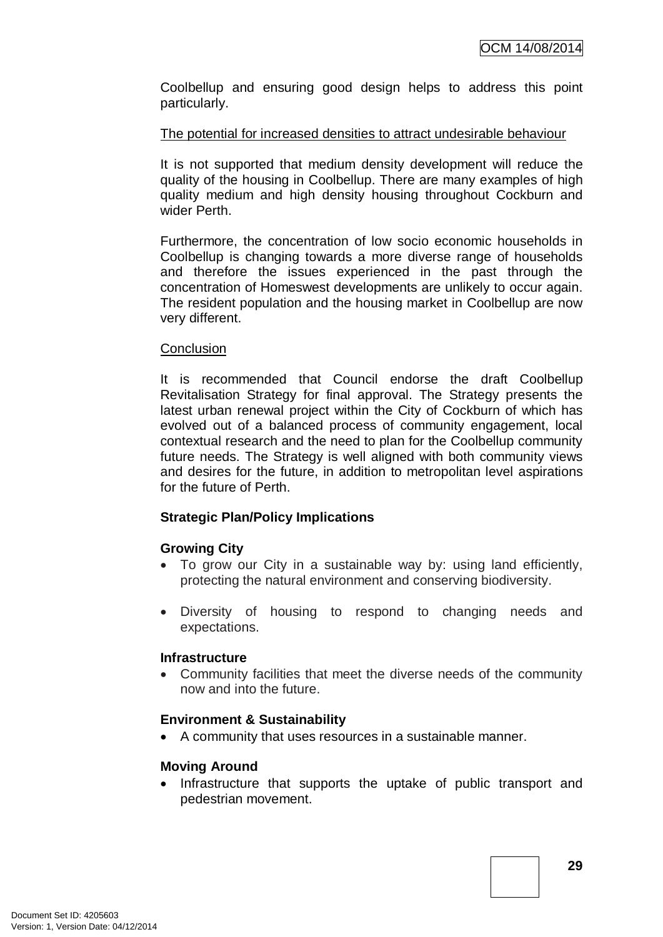Coolbellup and ensuring good design helps to address this point particularly.

#### The potential for increased densities to attract undesirable behaviour

It is not supported that medium density development will reduce the quality of the housing in Coolbellup. There are many examples of high quality medium and high density housing throughout Cockburn and wider Perth.

Furthermore, the concentration of low socio economic households in Coolbellup is changing towards a more diverse range of households and therefore the issues experienced in the past through the concentration of Homeswest developments are unlikely to occur again. The resident population and the housing market in Coolbellup are now very different.

#### **Conclusion**

It is recommended that Council endorse the draft Coolbellup Revitalisation Strategy for final approval. The Strategy presents the latest urban renewal project within the City of Cockburn of which has evolved out of a balanced process of community engagement, local contextual research and the need to plan for the Coolbellup community future needs. The Strategy is well aligned with both community views and desires for the future, in addition to metropolitan level aspirations for the future of Perth.

## **Strategic Plan/Policy Implications**

#### **Growing City**

- To grow our City in a sustainable way by: using land efficiently, protecting the natural environment and conserving biodiversity.
- Diversity of housing to respond to changing needs and expectations.

#### **Infrastructure**

• Community facilities that meet the diverse needs of the community now and into the future.

## **Environment & Sustainability**

• A community that uses resources in a sustainable manner.

#### **Moving Around**

• Infrastructure that supports the uptake of public transport and pedestrian movement.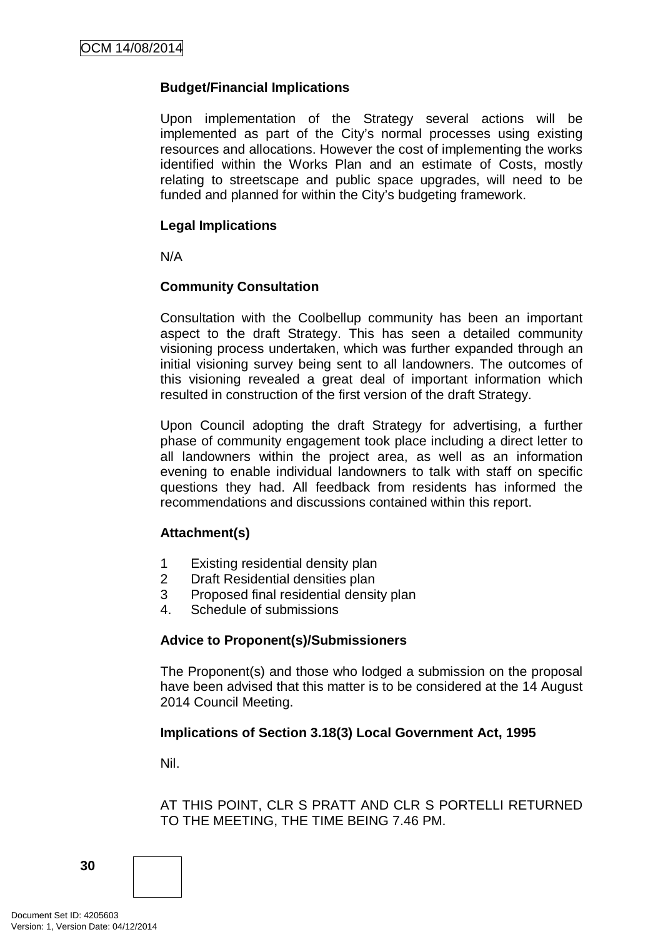## **Budget/Financial Implications**

Upon implementation of the Strategy several actions will be implemented as part of the City's normal processes using existing resources and allocations. However the cost of implementing the works identified within the Works Plan and an estimate of Costs, mostly relating to streetscape and public space upgrades, will need to be funded and planned for within the City's budgeting framework.

## **Legal Implications**

N/A

# **Community Consultation**

Consultation with the Coolbellup community has been an important aspect to the draft Strategy. This has seen a detailed community visioning process undertaken, which was further expanded through an initial visioning survey being sent to all landowners. The outcomes of this visioning revealed a great deal of important information which resulted in construction of the first version of the draft Strategy.

Upon Council adopting the draft Strategy for advertising, a further phase of community engagement took place including a direct letter to all landowners within the project area, as well as an information evening to enable individual landowners to talk with staff on specific questions they had. All feedback from residents has informed the recommendations and discussions contained within this report.

# **Attachment(s)**

- 1 Existing residential density plan
- 2 Draft Residential densities plan
- 3 Proposed final residential density plan
- 4. Schedule of submissions

# **Advice to Proponent(s)/Submissioners**

The Proponent(s) and those who lodged a submission on the proposal have been advised that this matter is to be considered at the 14 August 2014 Council Meeting.

## **Implications of Section 3.18(3) Local Government Act, 1995**

Nil.

AT THIS POINT, CLR S PRATT AND CLR S PORTELLI RETURNED TO THE MEETING, THE TIME BEING 7.46 PM.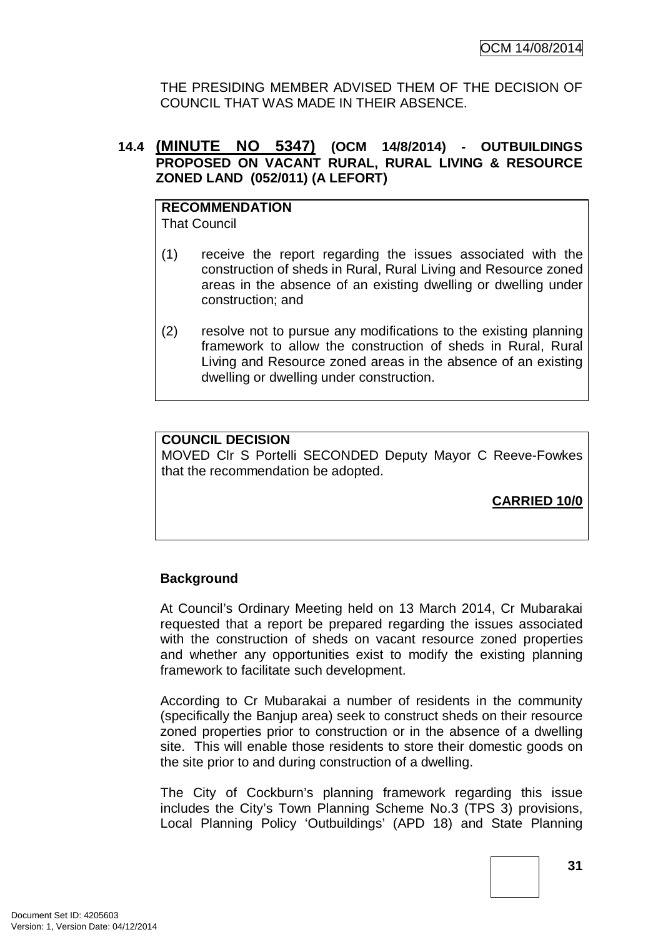THE PRESIDING MEMBER ADVISED THEM OF THE DECISION OF COUNCIL THAT WAS MADE IN THEIR ABSENCE.

# **14.4 (MINUTE NO 5347) (OCM 14/8/2014) - OUTBUILDINGS PROPOSED ON VACANT RURAL, RURAL LIVING & RESOURCE ZONED LAND (052/011) (A LEFORT)**

#### **RECOMMENDATION** That Council

- (1) receive the report regarding the issues associated with the construction of sheds in Rural, Rural Living and Resource zoned areas in the absence of an existing dwelling or dwelling under construction; and
- (2) resolve not to pursue any modifications to the existing planning framework to allow the construction of sheds in Rural, Rural Living and Resource zoned areas in the absence of an existing dwelling or dwelling under construction.

# **COUNCIL DECISION**

MOVED Clr S Portelli SECONDED Deputy Mayor C Reeve-Fowkes that the recommendation be adopted.

**CARRIED 10/0**

# **Background**

At Council's Ordinary Meeting held on 13 March 2014, Cr Mubarakai requested that a report be prepared regarding the issues associated with the construction of sheds on vacant resource zoned properties and whether any opportunities exist to modify the existing planning framework to facilitate such development.

According to Cr Mubarakai a number of residents in the community (specifically the Banjup area) seek to construct sheds on their resource zoned properties prior to construction or in the absence of a dwelling site. This will enable those residents to store their domestic goods on the site prior to and during construction of a dwelling.

The City of Cockburn's planning framework regarding this issue includes the City's Town Planning Scheme No.3 (TPS 3) provisions, Local Planning Policy 'Outbuildings' (APD 18) and State Planning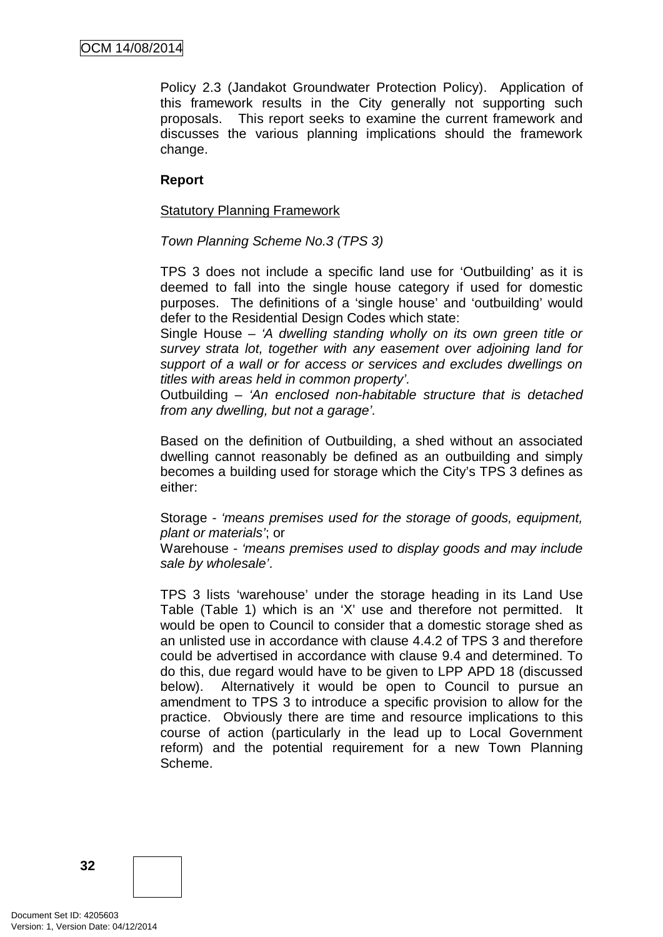Policy 2.3 (Jandakot Groundwater Protection Policy). Application of this framework results in the City generally not supporting such proposals. This report seeks to examine the current framework and discusses the various planning implications should the framework change.

## **Report**

Statutory Planning Framework

*Town Planning Scheme No.3 (TPS 3)*

TPS 3 does not include a specific land use for 'Outbuilding' as it is deemed to fall into the single house category if used for domestic purposes. The definitions of a 'single house' and 'outbuilding' would defer to the Residential Design Codes which state:

Single House – *'A dwelling standing wholly on its own green title or survey strata lot, together with any easement over adjoining land for support of a wall or for access or services and excludes dwellings on titles with areas held in common property'.*

Outbuilding – *'An enclosed non-habitable structure that is detached from any dwelling, but not a garage'.*

Based on the definition of Outbuilding, a shed without an associated dwelling cannot reasonably be defined as an outbuilding and simply becomes a building used for storage which the City's TPS 3 defines as either:

Storage - *'means premises used for the storage of goods, equipment, plant or materials'*; or

Warehouse - *'means premises used to display goods and may include sale by wholesale'*.

TPS 3 lists 'warehouse' under the storage heading in its Land Use Table (Table 1) which is an 'X' use and therefore not permitted. It would be open to Council to consider that a domestic storage shed as an unlisted use in accordance with clause 4.4.2 of TPS 3 and therefore could be advertised in accordance with clause 9.4 and determined. To do this, due regard would have to be given to LPP APD 18 (discussed below). Alternatively it would be open to Council to pursue an amendment to TPS 3 to introduce a specific provision to allow for the practice. Obviously there are time and resource implications to this course of action (particularly in the lead up to Local Government reform) and the potential requirement for a new Town Planning Scheme.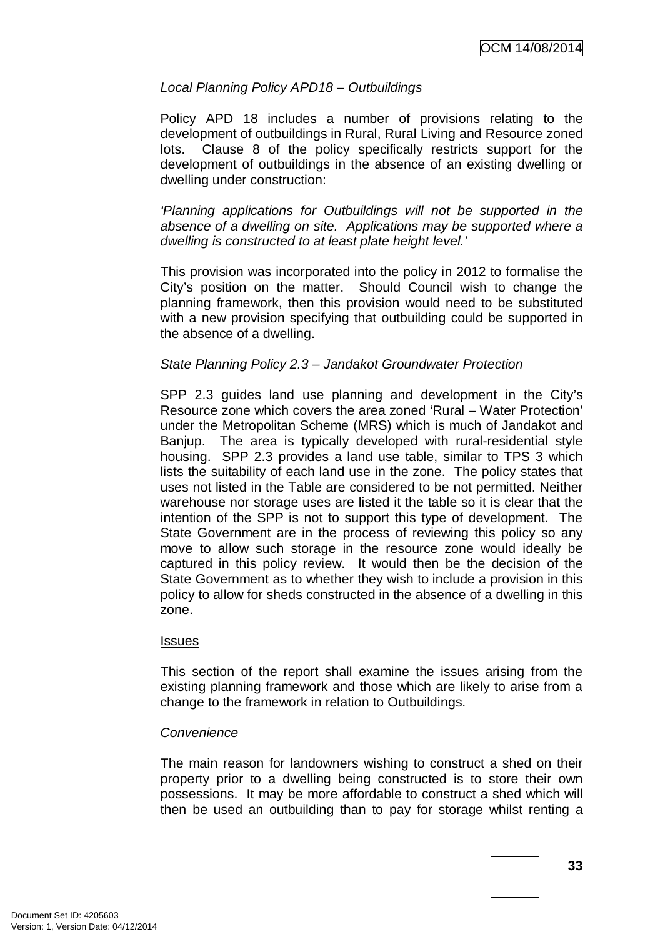## *Local Planning Policy APD18 – Outbuildings*

Policy APD 18 includes a number of provisions relating to the development of outbuildings in Rural, Rural Living and Resource zoned lots. Clause 8 of the policy specifically restricts support for the development of outbuildings in the absence of an existing dwelling or dwelling under construction:

*'Planning applications for Outbuildings will not be supported in the absence of a dwelling on site. Applications may be supported where a dwelling is constructed to at least plate height level.'*

This provision was incorporated into the policy in 2012 to formalise the City's position on the matter. Should Council wish to change the planning framework, then this provision would need to be substituted with a new provision specifying that outbuilding could be supported in the absence of a dwelling.

#### *State Planning Policy 2.3 – Jandakot Groundwater Protection*

SPP 2.3 guides land use planning and development in the City's Resource zone which covers the area zoned 'Rural – Water Protection' under the Metropolitan Scheme (MRS) which is much of Jandakot and Banjup. The area is typically developed with rural-residential style housing. SPP 2.3 provides a land use table, similar to TPS 3 which lists the suitability of each land use in the zone. The policy states that uses not listed in the Table are considered to be not permitted. Neither warehouse nor storage uses are listed it the table so it is clear that the intention of the SPP is not to support this type of development. The State Government are in the process of reviewing this policy so any move to allow such storage in the resource zone would ideally be captured in this policy review. It would then be the decision of the State Government as to whether they wish to include a provision in this policy to allow for sheds constructed in the absence of a dwelling in this zone.

#### **Issues**

This section of the report shall examine the issues arising from the existing planning framework and those which are likely to arise from a change to the framework in relation to Outbuildings.

#### *Convenience*

The main reason for landowners wishing to construct a shed on their property prior to a dwelling being constructed is to store their own possessions. It may be more affordable to construct a shed which will then be used an outbuilding than to pay for storage whilst renting a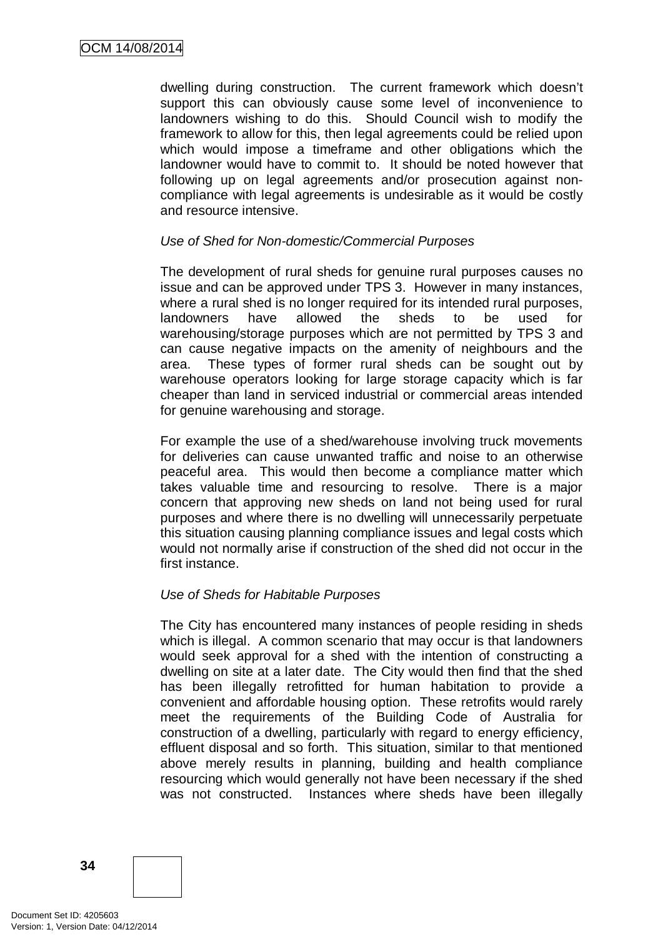dwelling during construction. The current framework which doesn't support this can obviously cause some level of inconvenience to landowners wishing to do this. Should Council wish to modify the framework to allow for this, then legal agreements could be relied upon which would impose a timeframe and other obligations which the landowner would have to commit to. It should be noted however that following up on legal agreements and/or prosecution against noncompliance with legal agreements is undesirable as it would be costly and resource intensive.

## *Use of Shed for Non-domestic/Commercial Purposes*

The development of rural sheds for genuine rural purposes causes no issue and can be approved under TPS 3. However in many instances, where a rural shed is no longer required for its intended rural purposes, landowners have allowed the sheds to be used for warehousing/storage purposes which are not permitted by TPS 3 and can cause negative impacts on the amenity of neighbours and the area. These types of former rural sheds can be sought out by warehouse operators looking for large storage capacity which is far cheaper than land in serviced industrial or commercial areas intended for genuine warehousing and storage.

For example the use of a shed/warehouse involving truck movements for deliveries can cause unwanted traffic and noise to an otherwise peaceful area. This would then become a compliance matter which takes valuable time and resourcing to resolve. There is a major concern that approving new sheds on land not being used for rural purposes and where there is no dwelling will unnecessarily perpetuate this situation causing planning compliance issues and legal costs which would not normally arise if construction of the shed did not occur in the first instance.

## *Use of Sheds for Habitable Purposes*

The City has encountered many instances of people residing in sheds which is illegal. A common scenario that may occur is that landowners would seek approval for a shed with the intention of constructing a dwelling on site at a later date. The City would then find that the shed has been illegally retrofitted for human habitation to provide a convenient and affordable housing option. These retrofits would rarely meet the requirements of the Building Code of Australia for construction of a dwelling, particularly with regard to energy efficiency, effluent disposal and so forth. This situation, similar to that mentioned above merely results in planning, building and health compliance resourcing which would generally not have been necessary if the shed was not constructed. Instances where sheds have been illegally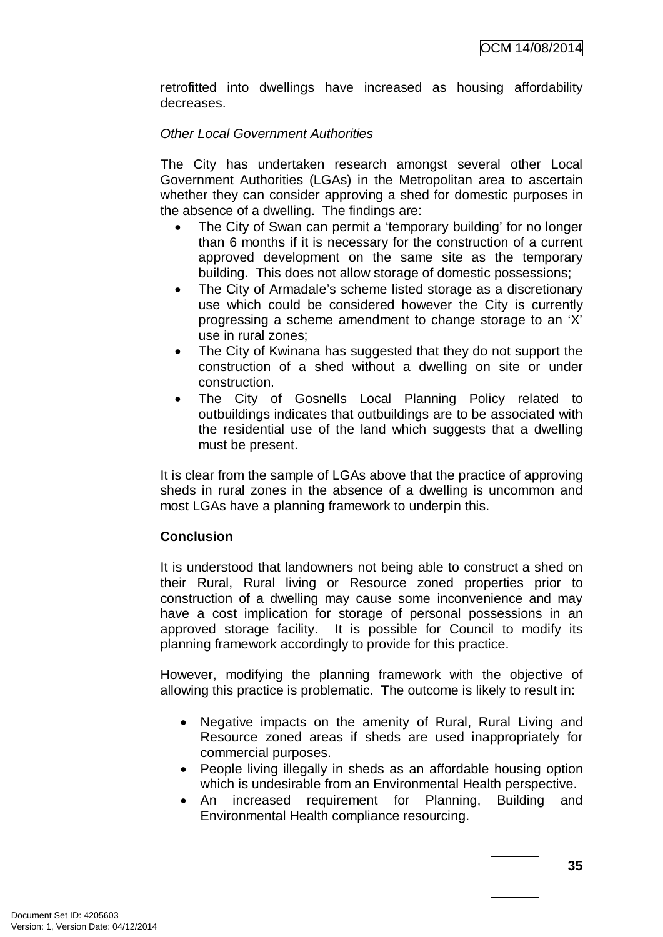retrofitted into dwellings have increased as housing affordability decreases.

# *Other Local Government Authorities*

The City has undertaken research amongst several other Local Government Authorities (LGAs) in the Metropolitan area to ascertain whether they can consider approving a shed for domestic purposes in the absence of a dwelling. The findings are:

- The City of Swan can permit a 'temporary building' for no longer than 6 months if it is necessary for the construction of a current approved development on the same site as the temporary building. This does not allow storage of domestic possessions;
- The City of Armadale's scheme listed storage as a discretionary use which could be considered however the City is currently progressing a scheme amendment to change storage to an 'X' use in rural zones;
- The City of Kwinana has suggested that they do not support the construction of a shed without a dwelling on site or under construction.
- The City of Gosnells Local Planning Policy related to outbuildings indicates that outbuildings are to be associated with the residential use of the land which suggests that a dwelling must be present.

It is clear from the sample of LGAs above that the practice of approving sheds in rural zones in the absence of a dwelling is uncommon and most LGAs have a planning framework to underpin this.

## **Conclusion**

It is understood that landowners not being able to construct a shed on their Rural, Rural living or Resource zoned properties prior to construction of a dwelling may cause some inconvenience and may have a cost implication for storage of personal possessions in an approved storage facility. It is possible for Council to modify its planning framework accordingly to provide for this practice.

However, modifying the planning framework with the objective of allowing this practice is problematic. The outcome is likely to result in:

- Negative impacts on the amenity of Rural, Rural Living and Resource zoned areas if sheds are used inappropriately for commercial purposes.
- People living illegally in sheds as an affordable housing option which is undesirable from an Environmental Health perspective.
- An increased requirement for Planning, Building and Environmental Health compliance resourcing.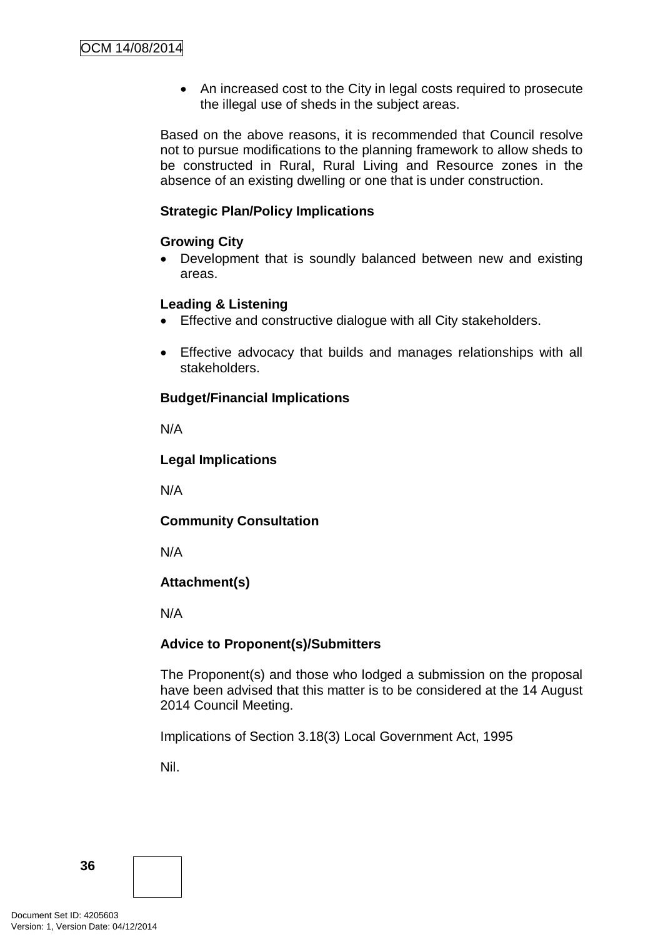• An increased cost to the City in legal costs required to prosecute the illegal use of sheds in the subject areas.

Based on the above reasons, it is recommended that Council resolve not to pursue modifications to the planning framework to allow sheds to be constructed in Rural, Rural Living and Resource zones in the absence of an existing dwelling or one that is under construction.

## **Strategic Plan/Policy Implications**

## **Growing City**

• Development that is soundly balanced between new and existing areas.

# **Leading & Listening**

- Effective and constructive dialogue with all City stakeholders.
- Effective advocacy that builds and manages relationships with all stakeholders.

# **Budget/Financial Implications**

N/A

# **Legal Implications**

N/A

# **Community Consultation**

N/A

# **Attachment(s)**

N/A

# **Advice to Proponent(s)/Submitters**

The Proponent(s) and those who lodged a submission on the proposal have been advised that this matter is to be considered at the 14 August 2014 Council Meeting.

Implications of Section 3.18(3) Local Government Act, 1995

Nil.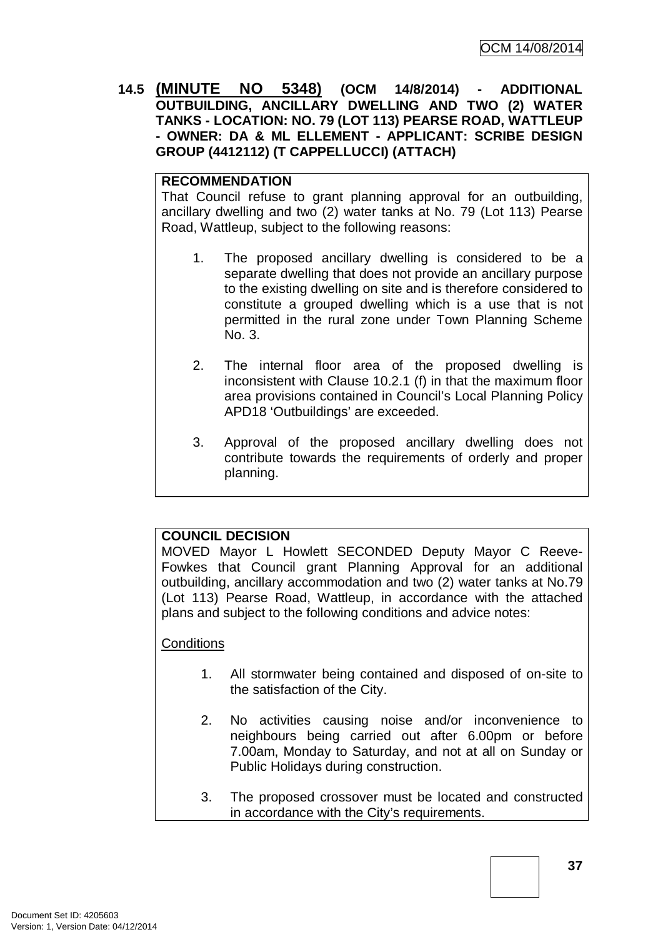**14.5 (MINUTE NO 5348) (OCM 14/8/2014) - ADDITIONAL OUTBUILDING, ANCILLARY DWELLING AND TWO (2) WATER TANKS - LOCATION: NO. 79 (LOT 113) PEARSE ROAD, WATTLEUP - OWNER: DA & ML ELLEMENT - APPLICANT: SCRIBE DESIGN GROUP (4412112) (T CAPPELLUCCI) (ATTACH)**

## **RECOMMENDATION**

That Council refuse to grant planning approval for an outbuilding, ancillary dwelling and two (2) water tanks at No. 79 (Lot 113) Pearse Road, Wattleup, subject to the following reasons:

- 1. The proposed ancillary dwelling is considered to be a separate dwelling that does not provide an ancillary purpose to the existing dwelling on site and is therefore considered to constitute a grouped dwelling which is a use that is not permitted in the rural zone under Town Planning Scheme No. 3.
- 2. The internal floor area of the proposed dwelling is inconsistent with Clause 10.2.1 (f) in that the maximum floor area provisions contained in Council's Local Planning Policy APD18 'Outbuildings' are exceeded.
- 3. Approval of the proposed ancillary dwelling does not contribute towards the requirements of orderly and proper planning.

## **COUNCIL DECISION**

MOVED Mayor L Howlett SECONDED Deputy Mayor C Reeve-Fowkes that Council grant Planning Approval for an additional outbuilding, ancillary accommodation and two (2) water tanks at No.79 (Lot 113) Pearse Road, Wattleup, in accordance with the attached plans and subject to the following conditions and advice notes:

**Conditions** 

- 1. All stormwater being contained and disposed of on-site to the satisfaction of the City.
- 2. No activities causing noise and/or inconvenience to neighbours being carried out after 6.00pm or before 7.00am, Monday to Saturday, and not at all on Sunday or Public Holidays during construction.
- 3. The proposed crossover must be located and constructed in accordance with the City's requirements.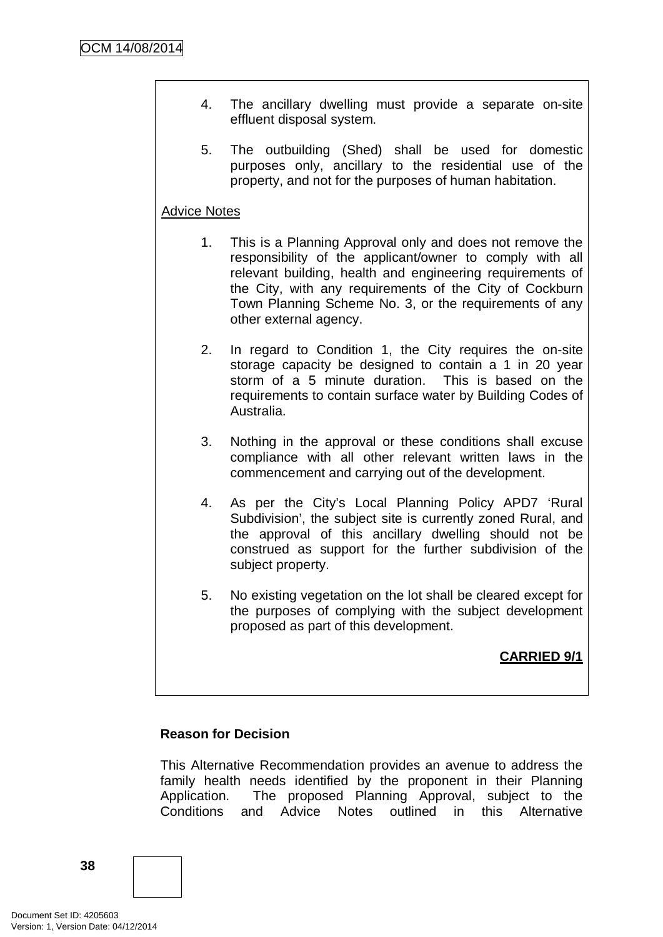- 4. The ancillary dwelling must provide a separate on-site effluent disposal system.
- 5. The outbuilding (Shed) shall be used for domestic purposes only, ancillary to the residential use of the property, and not for the purposes of human habitation.

# Advice Notes

- 1. This is a Planning Approval only and does not remove the responsibility of the applicant/owner to comply with all relevant building, health and engineering requirements of the City, with any requirements of the City of Cockburn Town Planning Scheme No. 3, or the requirements of any other external agency.
- 2. In regard to Condition 1, the City requires the on-site storage capacity be designed to contain a 1 in 20 year storm of a 5 minute duration. This is based on the requirements to contain surface water by Building Codes of Australia.
- 3. Nothing in the approval or these conditions shall excuse compliance with all other relevant written laws in the commencement and carrying out of the development.
- 4. As per the City's Local Planning Policy APD7 'Rural Subdivision', the subject site is currently zoned Rural, and the approval of this ancillary dwelling should not be construed as support for the further subdivision of the subject property.
- 5. No existing vegetation on the lot shall be cleared except for the purposes of complying with the subject development proposed as part of this development.

**CARRIED 9/1**

## **Reason for Decision**

This Alternative Recommendation provides an avenue to address the family health needs identified by the proponent in their Planning Application. The proposed Planning Approval, subject to the Conditions and Advice Notes outlined in this Alternative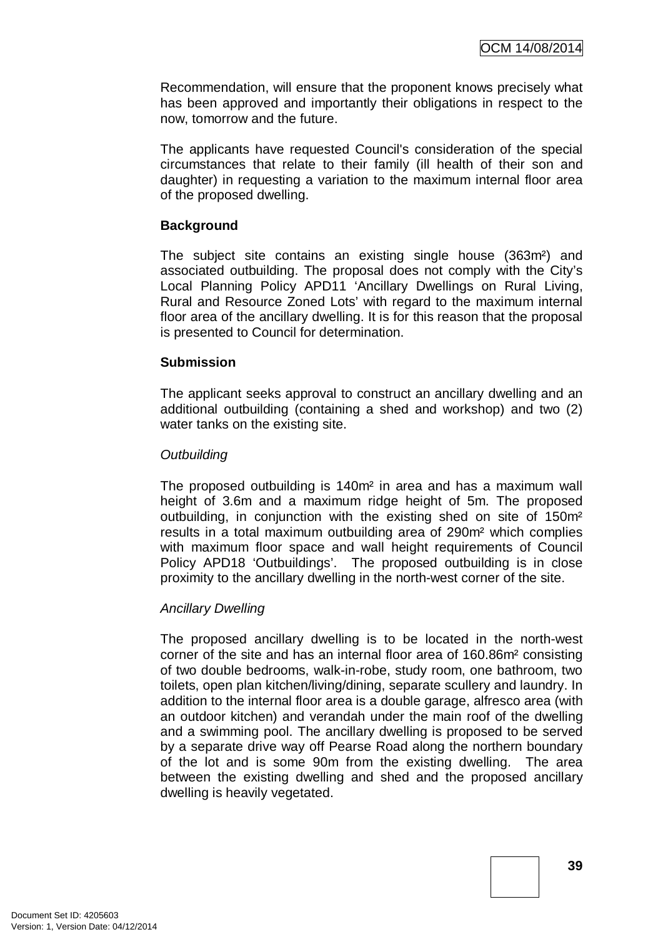Recommendation, will ensure that the proponent knows precisely what has been approved and importantly their obligations in respect to the now, tomorrow and the future.

The applicants have requested Council's consideration of the special circumstances that relate to their family (ill health of their son and daughter) in requesting a variation to the maximum internal floor area of the proposed dwelling.

## **Background**

The subject site contains an existing single house (363m²) and associated outbuilding. The proposal does not comply with the City's Local Planning Policy APD11 'Ancillary Dwellings on Rural Living, Rural and Resource Zoned Lots' with regard to the maximum internal floor area of the ancillary dwelling. It is for this reason that the proposal is presented to Council for determination.

#### **Submission**

The applicant seeks approval to construct an ancillary dwelling and an additional outbuilding (containing a shed and workshop) and two (2) water tanks on the existing site.

#### *Outbuilding*

The proposed outbuilding is 140m² in area and has a maximum wall height of 3.6m and a maximum ridge height of 5m. The proposed outbuilding, in conjunction with the existing shed on site of 150m² results in a total maximum outbuilding area of 290m² which complies with maximum floor space and wall height requirements of Council Policy APD18 'Outbuildings'. The proposed outbuilding is in close proximity to the ancillary dwelling in the north-west corner of the site.

## *Ancillary Dwelling*

The proposed ancillary dwelling is to be located in the north-west corner of the site and has an internal floor area of 160.86m² consisting of two double bedrooms, walk-in-robe, study room, one bathroom, two toilets, open plan kitchen/living/dining, separate scullery and laundry. In addition to the internal floor area is a double garage, alfresco area (with an outdoor kitchen) and verandah under the main roof of the dwelling and a swimming pool. The ancillary dwelling is proposed to be served by a separate drive way off Pearse Road along the northern boundary of the lot and is some 90m from the existing dwelling. The area between the existing dwelling and shed and the proposed ancillary dwelling is heavily vegetated.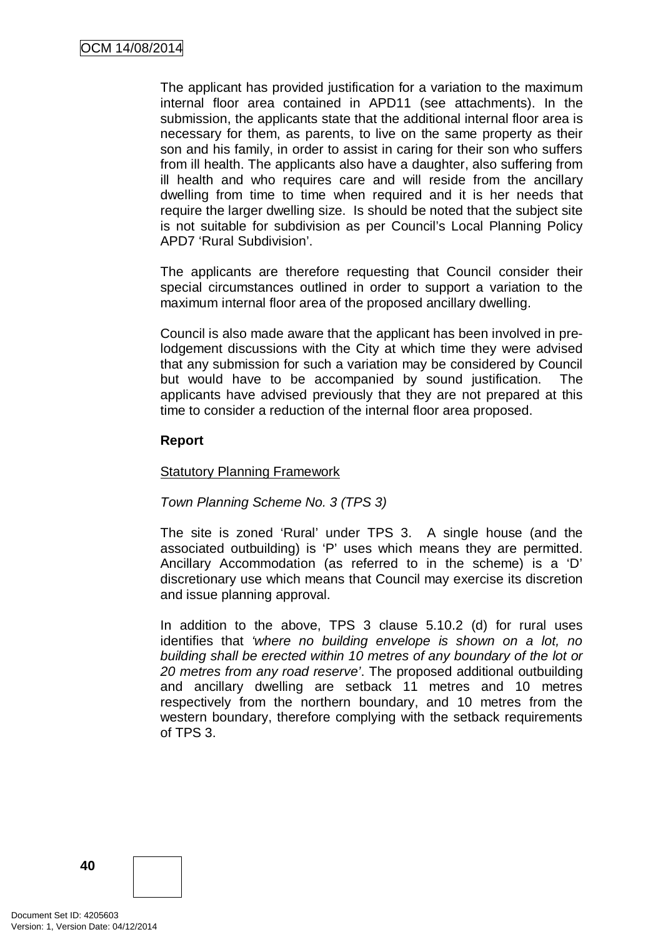The applicant has provided justification for a variation to the maximum internal floor area contained in APD11 (see attachments). In the submission, the applicants state that the additional internal floor area is necessary for them, as parents, to live on the same property as their son and his family, in order to assist in caring for their son who suffers from ill health. The applicants also have a daughter, also suffering from ill health and who requires care and will reside from the ancillary dwelling from time to time when required and it is her needs that require the larger dwelling size. Is should be noted that the subject site is not suitable for subdivision as per Council's Local Planning Policy APD7 'Rural Subdivision'.

The applicants are therefore requesting that Council consider their special circumstances outlined in order to support a variation to the maximum internal floor area of the proposed ancillary dwelling.

Council is also made aware that the applicant has been involved in prelodgement discussions with the City at which time they were advised that any submission for such a variation may be considered by Council but would have to be accompanied by sound justification. The applicants have advised previously that they are not prepared at this time to consider a reduction of the internal floor area proposed.

## **Report**

#### Statutory Planning Framework

## *Town Planning Scheme No. 3 (TPS 3)*

The site is zoned 'Rural' under TPS 3. A single house (and the associated outbuilding) is 'P' uses which means they are permitted. Ancillary Accommodation (as referred to in the scheme) is a 'D' discretionary use which means that Council may exercise its discretion and issue planning approval.

In addition to the above, TPS 3 clause 5.10.2 (d) for rural uses identifies that *'where no building envelope is shown on a lot, no building shall be erected within 10 metres of any boundary of the lot or 20 metres from any road reserve'*. The proposed additional outbuilding and ancillary dwelling are setback 11 metres and 10 metres respectively from the northern boundary, and 10 metres from the western boundary, therefore complying with the setback requirements of TPS 3.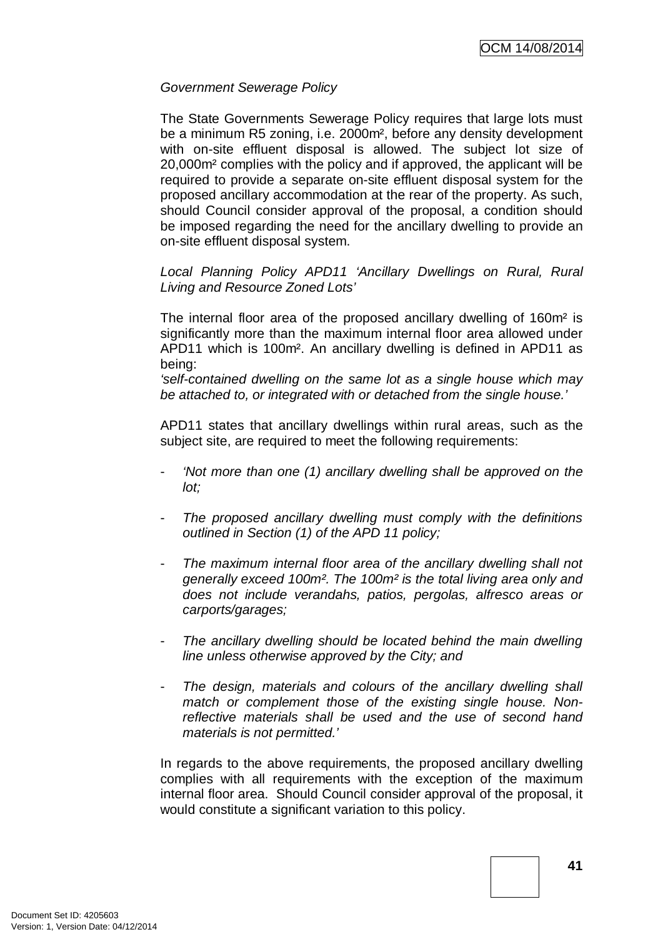#### *Government Sewerage Policy*

The State Governments Sewerage Policy requires that large lots must be a minimum R5 zoning, i.e. 2000m², before any density development with on-site effluent disposal is allowed. The subject lot size of 20,000m² complies with the policy and if approved, the applicant will be required to provide a separate on-site effluent disposal system for the proposed ancillary accommodation at the rear of the property. As such, should Council consider approval of the proposal, a condition should be imposed regarding the need for the ancillary dwelling to provide an on-site effluent disposal system.

*Local Planning Policy APD11 'Ancillary Dwellings on Rural, Rural Living and Resource Zoned Lots'*

The internal floor area of the proposed ancillary dwelling of 160m² is significantly more than the maximum internal floor area allowed under APD11 which is 100m². An ancillary dwelling is defined in APD11 as being:

*'self-contained dwelling on the same lot as a single house which may be attached to, or integrated with or detached from the single house.'* 

APD11 states that ancillary dwellings within rural areas, such as the subject site, are required to meet the following requirements:

- *'Not more than one (1) ancillary dwelling shall be approved on the lot;*
- *The proposed ancillary dwelling must comply with the definitions outlined in Section (1) of the APD 11 policy;*
- *The maximum internal floor area of the ancillary dwelling shall not generally exceed 100m². The 100m² is the total living area only and does not include verandahs, patios, pergolas, alfresco areas or carports/garages;*
- *The ancillary dwelling should be located behind the main dwelling line unless otherwise approved by the City; and*
- The design, materials and colours of the ancillary dwelling shall *match or complement those of the existing single house. Nonreflective materials shall be used and the use of second hand materials is not permitted.'*

In regards to the above requirements, the proposed ancillary dwelling complies with all requirements with the exception of the maximum internal floor area. Should Council consider approval of the proposal, it would constitute a significant variation to this policy.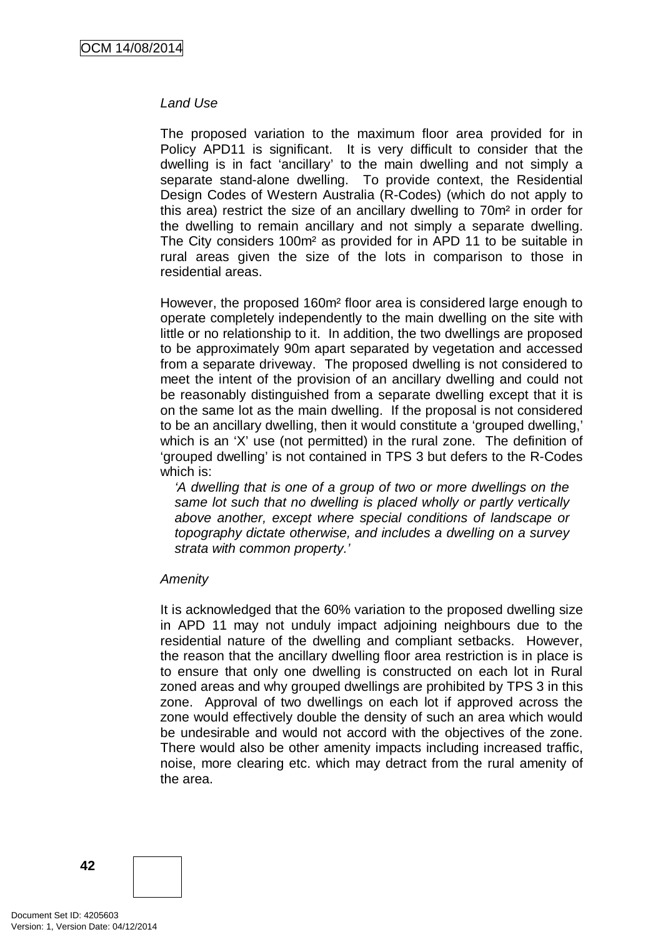#### *Land Use*

The proposed variation to the maximum floor area provided for in Policy APD11 is significant. It is very difficult to consider that the dwelling is in fact 'ancillary' to the main dwelling and not simply a separate stand-alone dwelling. To provide context, the Residential Design Codes of Western Australia (R-Codes) (which do not apply to this area) restrict the size of an ancillary dwelling to 70m² in order for the dwelling to remain ancillary and not simply a separate dwelling. The City considers 100m² as provided for in APD 11 to be suitable in rural areas given the size of the lots in comparison to those in residential areas.

However, the proposed 160m² floor area is considered large enough to operate completely independently to the main dwelling on the site with little or no relationship to it. In addition, the two dwellings are proposed to be approximately 90m apart separated by vegetation and accessed from a separate driveway. The proposed dwelling is not considered to meet the intent of the provision of an ancillary dwelling and could not be reasonably distinguished from a separate dwelling except that it is on the same lot as the main dwelling. If the proposal is not considered to be an ancillary dwelling, then it would constitute a 'grouped dwelling,' which is an 'X' use (not permitted) in the rural zone. The definition of 'grouped dwelling' is not contained in TPS 3 but defers to the R-Codes which is:

*'A dwelling that is one of a group of two or more dwellings on the same lot such that no dwelling is placed wholly or partly vertically above another, except where special conditions of landscape or topography dictate otherwise, and includes a dwelling on a survey strata with common property.'*

#### *Amenity*

It is acknowledged that the 60% variation to the proposed dwelling size in APD 11 may not unduly impact adjoining neighbours due to the residential nature of the dwelling and compliant setbacks. However, the reason that the ancillary dwelling floor area restriction is in place is to ensure that only one dwelling is constructed on each lot in Rural zoned areas and why grouped dwellings are prohibited by TPS 3 in this zone. Approval of two dwellings on each lot if approved across the zone would effectively double the density of such an area which would be undesirable and would not accord with the objectives of the zone. There would also be other amenity impacts including increased traffic, noise, more clearing etc. which may detract from the rural amenity of the area.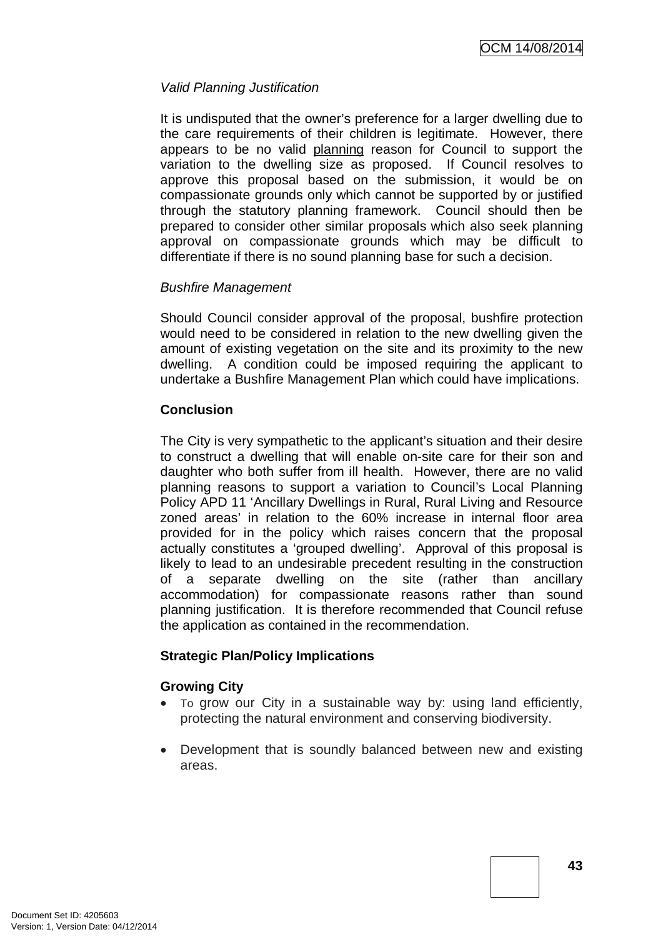## *Valid Planning Justification*

It is undisputed that the owner's preference for a larger dwelling due to the care requirements of their children is legitimate. However, there appears to be no valid planning reason for Council to support the variation to the dwelling size as proposed. If Council resolves to approve this proposal based on the submission, it would be on compassionate grounds only which cannot be supported by or justified through the statutory planning framework. Council should then be prepared to consider other similar proposals which also seek planning approval on compassionate grounds which may be difficult to differentiate if there is no sound planning base for such a decision.

## *Bushfire Management*

Should Council consider approval of the proposal, bushfire protection would need to be considered in relation to the new dwelling given the amount of existing vegetation on the site and its proximity to the new dwelling. A condition could be imposed requiring the applicant to undertake a Bushfire Management Plan which could have implications.

# **Conclusion**

The City is very sympathetic to the applicant's situation and their desire to construct a dwelling that will enable on-site care for their son and daughter who both suffer from ill health. However, there are no valid planning reasons to support a variation to Council's Local Planning Policy APD 11 'Ancillary Dwellings in Rural, Rural Living and Resource zoned areas' in relation to the 60% increase in internal floor area provided for in the policy which raises concern that the proposal actually constitutes a 'grouped dwelling'. Approval of this proposal is likely to lead to an undesirable precedent resulting in the construction of a separate dwelling on the site (rather than ancillary accommodation) for compassionate reasons rather than sound planning justification. It is therefore recommended that Council refuse the application as contained in the recommendation.

## **Strategic Plan/Policy Implications**

## **Growing City**

- To grow our City in a sustainable way by: using land efficiently, protecting the natural environment and conserving biodiversity.
- Development that is soundly balanced between new and existing areas.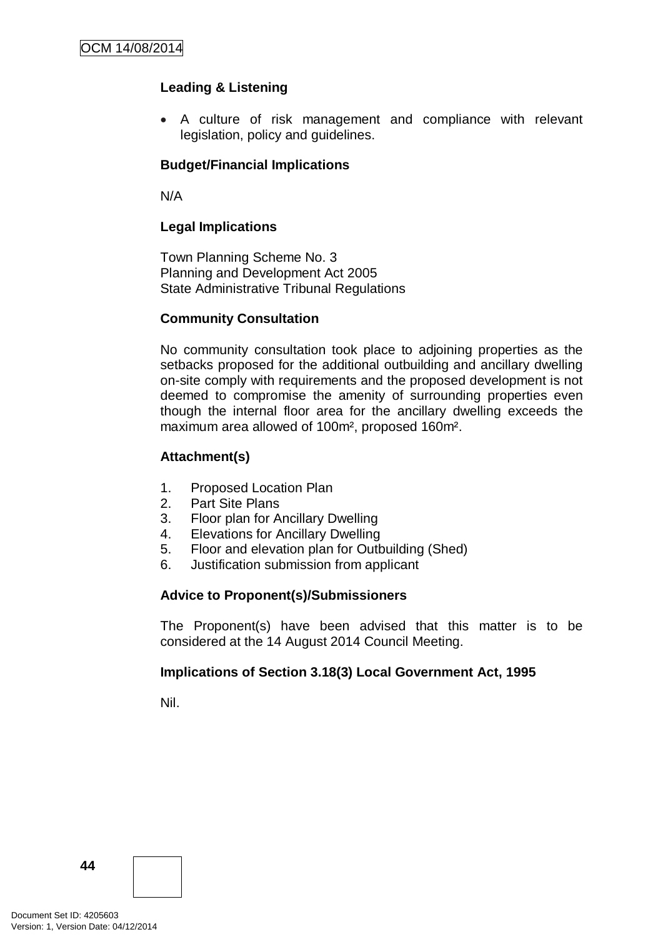# **Leading & Listening**

• A culture of risk management and compliance with relevant legislation, policy and guidelines.

## **Budget/Financial Implications**

N/A

#### **Legal Implications**

Town Planning Scheme No. 3 Planning and Development Act 2005 State Administrative Tribunal Regulations

#### **Community Consultation**

No community consultation took place to adjoining properties as the setbacks proposed for the additional outbuilding and ancillary dwelling on-site comply with requirements and the proposed development is not deemed to compromise the amenity of surrounding properties even though the internal floor area for the ancillary dwelling exceeds the maximum area allowed of 100m², proposed 160m².

#### **Attachment(s)**

- 1. Proposed Location Plan
- 2. Part Site Plans
- 3. Floor plan for Ancillary Dwelling
- 4. Elevations for Ancillary Dwelling
- 5. Floor and elevation plan for Outbuilding (Shed)
- 6. Justification submission from applicant

## **Advice to Proponent(s)/Submissioners**

The Proponent(s) have been advised that this matter is to be considered at the 14 August 2014 Council Meeting.

## **Implications of Section 3.18(3) Local Government Act, 1995**

Nil.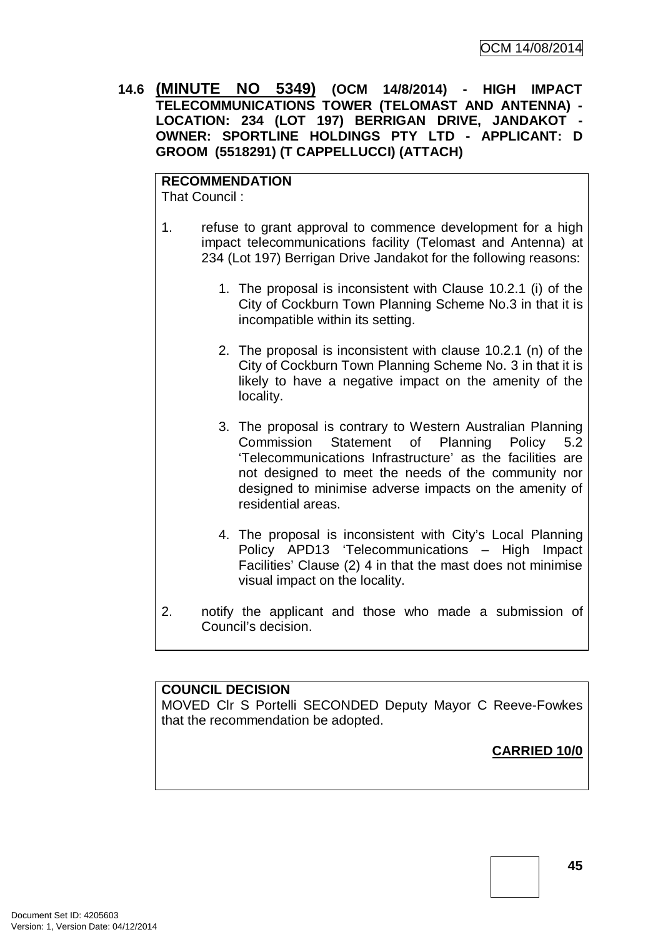**14.6 (MINUTE NO 5349) (OCM 14/8/2014) - HIGH IMPACT TELECOMMUNICATIONS TOWER (TELOMAST AND ANTENNA) - LOCATION: 234 (LOT 197) BERRIGAN DRIVE, JANDAKOT - OWNER: SPORTLINE HOLDINGS PTY LTD - APPLICANT: D GROOM (5518291) (T CAPPELLUCCI) (ATTACH)**

**RECOMMENDATION**

That Council :

- 1. refuse to grant approval to commence development for a high impact telecommunications facility (Telomast and Antenna) at 234 (Lot 197) Berrigan Drive Jandakot for the following reasons:
	- 1. The proposal is inconsistent with Clause 10.2.1 (i) of the City of Cockburn Town Planning Scheme No.3 in that it is incompatible within its setting.
	- 2. The proposal is inconsistent with clause 10.2.1 (n) of the City of Cockburn Town Planning Scheme No. 3 in that it is likely to have a negative impact on the amenity of the locality.
	- 3. The proposal is contrary to Western Australian Planning Commission Statement of Planning Policy 5.2 'Telecommunications Infrastructure' as the facilities are not designed to meet the needs of the community nor designed to minimise adverse impacts on the amenity of residential areas.
	- 4. The proposal is inconsistent with City's Local Planning Policy APD13 'Telecommunications – High Impact Facilities' Clause (2) 4 in that the mast does not minimise visual impact on the locality.
- 2. notify the applicant and those who made a submission of Council's decision.

## **COUNCIL DECISION**

MOVED Clr S Portelli SECONDED Deputy Mayor C Reeve-Fowkes that the recommendation be adopted.

**CARRIED 10/0**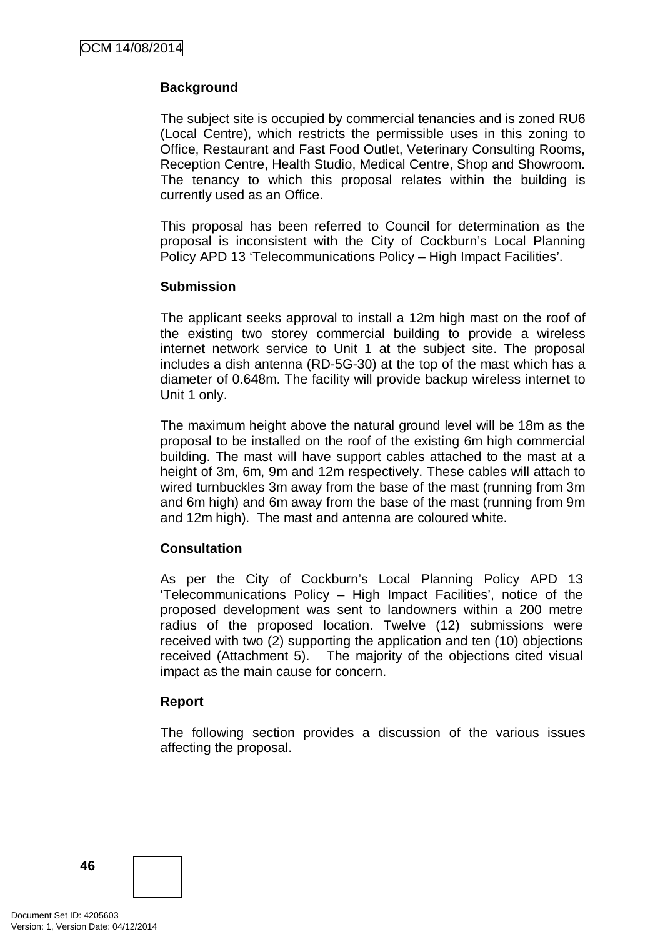# **Background**

The subject site is occupied by commercial tenancies and is zoned RU6 (Local Centre), which restricts the permissible uses in this zoning to Office, Restaurant and Fast Food Outlet, Veterinary Consulting Rooms, Reception Centre, Health Studio, Medical Centre, Shop and Showroom. The tenancy to which this proposal relates within the building is currently used as an Office.

This proposal has been referred to Council for determination as the proposal is inconsistent with the City of Cockburn's Local Planning Policy APD 13 'Telecommunications Policy – High Impact Facilities'.

#### **Submission**

The applicant seeks approval to install a 12m high mast on the roof of the existing two storey commercial building to provide a wireless internet network service to Unit 1 at the subject site. The proposal includes a dish antenna (RD-5G-30) at the top of the mast which has a diameter of 0.648m. The facility will provide backup wireless internet to Unit 1 only.

The maximum height above the natural ground level will be 18m as the proposal to be installed on the roof of the existing 6m high commercial building. The mast will have support cables attached to the mast at a height of 3m, 6m, 9m and 12m respectively. These cables will attach to wired turnbuckles 3m away from the base of the mast (running from 3m and 6m high) and 6m away from the base of the mast (running from 9m and 12m high). The mast and antenna are coloured white.

## **Consultation**

As per the City of Cockburn's Local Planning Policy APD 13 'Telecommunications Policy – High Impact Facilities', notice of the proposed development was sent to landowners within a 200 metre radius of the proposed location. Twelve (12) submissions were received with two (2) supporting the application and ten (10) objections received (Attachment 5). The majority of the objections cited visual impact as the main cause for concern.

## **Report**

The following section provides a discussion of the various issues affecting the proposal.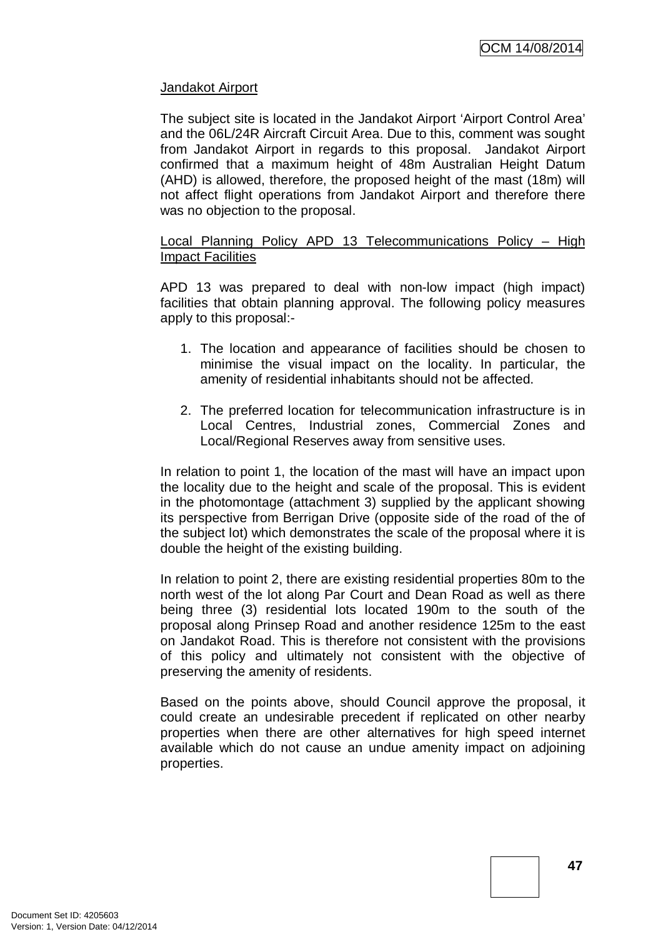#### Jandakot Airport

The subject site is located in the Jandakot Airport 'Airport Control Area' and the 06L/24R Aircraft Circuit Area. Due to this, comment was sought from Jandakot Airport in regards to this proposal. Jandakot Airport confirmed that a maximum height of 48m Australian Height Datum (AHD) is allowed, therefore, the proposed height of the mast (18m) will not affect flight operations from Jandakot Airport and therefore there was no objection to the proposal.

#### Local Planning Policy APD 13 Telecommunications Policy – High Impact Facilities

APD 13 was prepared to deal with non-low impact (high impact) facilities that obtain planning approval. The following policy measures apply to this proposal:-

- 1. The location and appearance of facilities should be chosen to minimise the visual impact on the locality. In particular, the amenity of residential inhabitants should not be affected.
- 2. The preferred location for telecommunication infrastructure is in Local Centres, Industrial zones, Commercial Zones and Local/Regional Reserves away from sensitive uses.

In relation to point 1, the location of the mast will have an impact upon the locality due to the height and scale of the proposal. This is evident in the photomontage (attachment 3) supplied by the applicant showing its perspective from Berrigan Drive (opposite side of the road of the of the subject lot) which demonstrates the scale of the proposal where it is double the height of the existing building.

In relation to point 2, there are existing residential properties 80m to the north west of the lot along Par Court and Dean Road as well as there being three (3) residential lots located 190m to the south of the proposal along Prinsep Road and another residence 125m to the east on Jandakot Road. This is therefore not consistent with the provisions of this policy and ultimately not consistent with the objective of preserving the amenity of residents.

Based on the points above, should Council approve the proposal, it could create an undesirable precedent if replicated on other nearby properties when there are other alternatives for high speed internet available which do not cause an undue amenity impact on adjoining properties.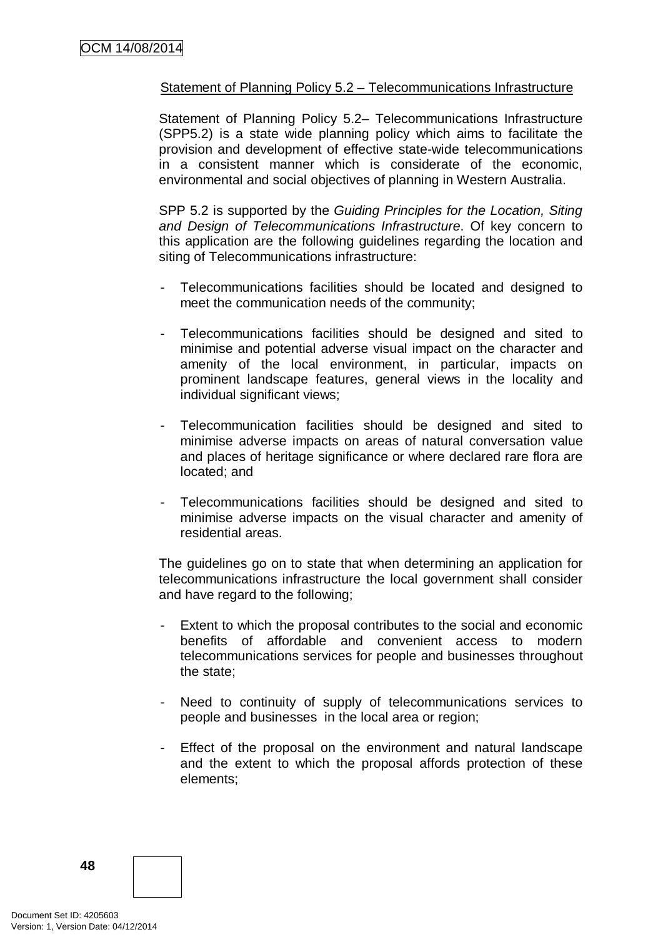#### Statement of Planning Policy 5.2 – Telecommunications Infrastructure

Statement of Planning Policy 5.2– Telecommunications Infrastructure (SPP5.2) is a state wide planning policy which aims to facilitate the provision and development of effective state-wide telecommunications in a consistent manner which is considerate of the economic, environmental and social objectives of planning in Western Australia.

SPP 5.2 is supported by the *Guiding Principles for the Location, Siting and Design of Telecommunications Infrastructure*. Of key concern to this application are the following guidelines regarding the location and siting of Telecommunications infrastructure:

- Telecommunications facilities should be located and designed to meet the communication needs of the community;
- Telecommunications facilities should be designed and sited to minimise and potential adverse visual impact on the character and amenity of the local environment, in particular, impacts on prominent landscape features, general views in the locality and individual significant views;
- Telecommunication facilities should be designed and sited to minimise adverse impacts on areas of natural conversation value and places of heritage significance or where declared rare flora are located; and
- Telecommunications facilities should be designed and sited to minimise adverse impacts on the visual character and amenity of residential areas.

The guidelines go on to state that when determining an application for telecommunications infrastructure the local government shall consider and have regard to the following;

- Extent to which the proposal contributes to the social and economic benefits of affordable and convenient access to modern telecommunications services for people and businesses throughout the state;
- Need to continuity of supply of telecommunications services to people and businesses in the local area or region;
- Effect of the proposal on the environment and natural landscape and the extent to which the proposal affords protection of these elements;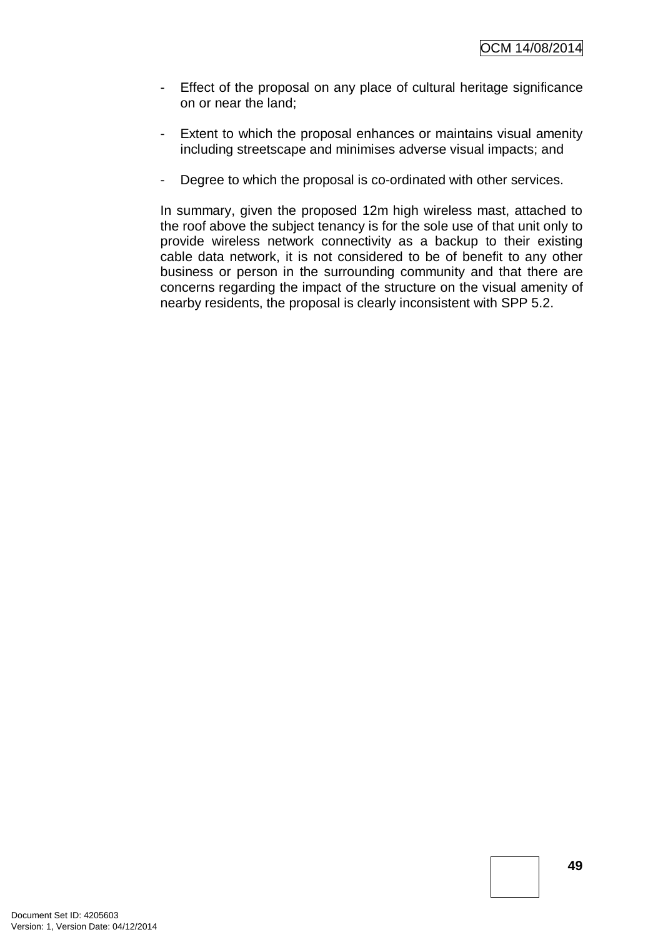- Effect of the proposal on any place of cultural heritage significance on or near the land;
- Extent to which the proposal enhances or maintains visual amenity including streetscape and minimises adverse visual impacts; and
- Degree to which the proposal is co-ordinated with other services.

In summary, given the proposed 12m high wireless mast, attached to the roof above the subject tenancy is for the sole use of that unit only to provide wireless network connectivity as a backup to their existing cable data network, it is not considered to be of benefit to any other business or person in the surrounding community and that there are concerns regarding the impact of the structure on the visual amenity of nearby residents, the proposal is clearly inconsistent with SPP 5.2.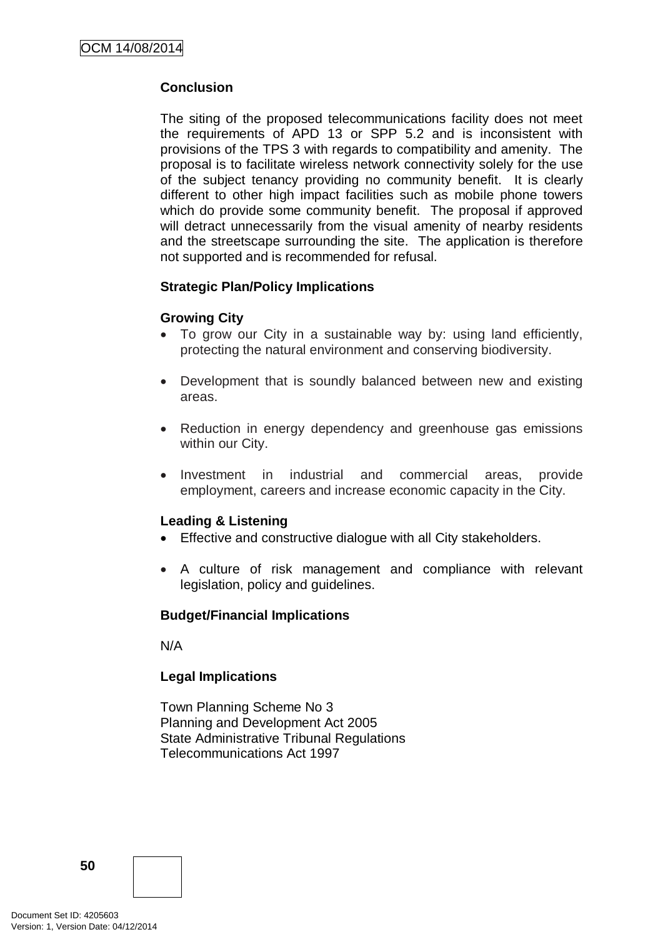# **Conclusion**

The siting of the proposed telecommunications facility does not meet the requirements of APD 13 or SPP 5.2 and is inconsistent with provisions of the TPS 3 with regards to compatibility and amenity. The proposal is to facilitate wireless network connectivity solely for the use of the subject tenancy providing no community benefit. It is clearly different to other high impact facilities such as mobile phone towers which do provide some community benefit. The proposal if approved will detract unnecessarily from the visual amenity of nearby residents and the streetscape surrounding the site. The application is therefore not supported and is recommended for refusal.

## **Strategic Plan/Policy Implications**

#### **Growing City**

- To grow our City in a sustainable way by: using land efficiently, protecting the natural environment and conserving biodiversity.
- Development that is soundly balanced between new and existing areas.
- Reduction in energy dependency and greenhouse gas emissions within our City.
- Investment in industrial and commercial areas, provide employment, careers and increase economic capacity in the City.

## **Leading & Listening**

- Effective and constructive dialogue with all City stakeholders.
- A culture of risk management and compliance with relevant legislation, policy and guidelines.

## **Budget/Financial Implications**

N/A

## **Legal Implications**

Town Planning Scheme No 3 Planning and Development Act 2005 State Administrative Tribunal Regulations Telecommunications Act 1997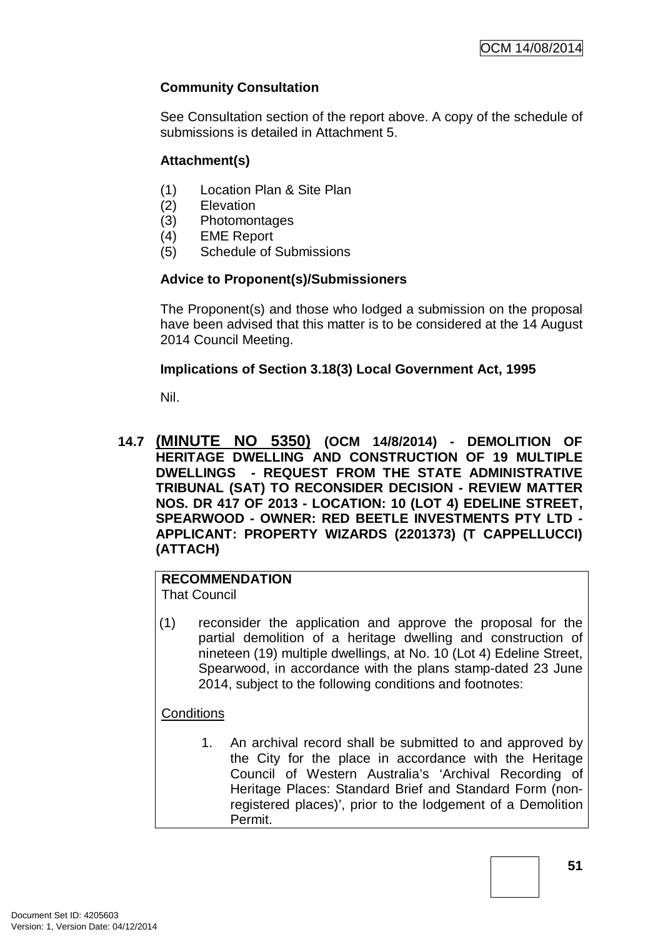# **Community Consultation**

See Consultation section of the report above. A copy of the schedule of submissions is detailed in Attachment 5.

# **Attachment(s)**

- (1) Location Plan & Site Plan
- (2) Elevation
- (3) Photomontages
- (4) EME Report
- (5) Schedule of Submissions

# **Advice to Proponent(s)/Submissioners**

The Proponent(s) and those who lodged a submission on the proposal have been advised that this matter is to be considered at the 14 August 2014 Council Meeting.

# **Implications of Section 3.18(3) Local Government Act, 1995**

Nil.

**14.7 (MINUTE NO 5350) (OCM 14/8/2014) - DEMOLITION OF HERITAGE DWELLING AND CONSTRUCTION OF 19 MULTIPLE DWELLINGS - REQUEST FROM THE STATE ADMINISTRATIVE TRIBUNAL (SAT) TO RECONSIDER DECISION - REVIEW MATTER NOS. DR 417 OF 2013 - LOCATION: 10 (LOT 4) EDELINE STREET, SPEARWOOD - OWNER: RED BEETLE INVESTMENTS PTY LTD - APPLICANT: PROPERTY WIZARDS (2201373) (T CAPPELLUCCI) (ATTACH)**

# **RECOMMENDATION**

That Council

(1) reconsider the application and approve the proposal for the partial demolition of a heritage dwelling and construction of nineteen (19) multiple dwellings, at No. 10 (Lot 4) Edeline Street, Spearwood, in accordance with the plans stamp-dated 23 June 2014, subject to the following conditions and footnotes:

# **Conditions**

1. An archival record shall be submitted to and approved by the City for the place in accordance with the Heritage Council of Western Australia's 'Archival Recording of Heritage Places: Standard Brief and Standard Form (nonregistered places)', prior to the lodgement of a Demolition Permit.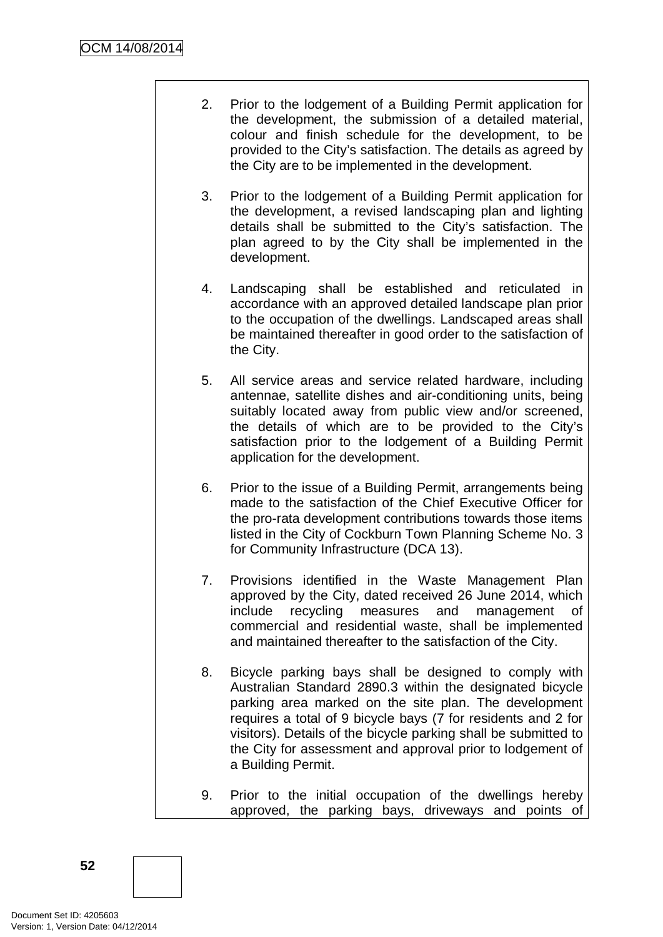- 2. Prior to the lodgement of a Building Permit application for the development, the submission of a detailed material, colour and finish schedule for the development, to be provided to the City's satisfaction. The details as agreed by the City are to be implemented in the development.
- 3. Prior to the lodgement of a Building Permit application for the development, a revised landscaping plan and lighting details shall be submitted to the City's satisfaction. The plan agreed to by the City shall be implemented in the development.
- 4. Landscaping shall be established and reticulated in accordance with an approved detailed landscape plan prior to the occupation of the dwellings. Landscaped areas shall be maintained thereafter in good order to the satisfaction of the City.
- 5. All service areas and service related hardware, including antennae, satellite dishes and air-conditioning units, being suitably located away from public view and/or screened, the details of which are to be provided to the City's satisfaction prior to the lodgement of a Building Permit application for the development.
- 6. Prior to the issue of a Building Permit, arrangements being made to the satisfaction of the Chief Executive Officer for the pro-rata development contributions towards those items listed in the City of Cockburn Town Planning Scheme No. 3 for Community Infrastructure (DCA 13).
- 7. Provisions identified in the Waste Management Plan approved by the City, dated received 26 June 2014, which include recycling measures and management of commercial and residential waste, shall be implemented and maintained thereafter to the satisfaction of the City.
- 8. Bicycle parking bays shall be designed to comply with Australian Standard 2890.3 within the designated bicycle parking area marked on the site plan. The development requires a total of 9 bicycle bays (7 for residents and 2 for visitors). Details of the bicycle parking shall be submitted to the City for assessment and approval prior to lodgement of a Building Permit.
- 9. Prior to the initial occupation of the dwellings hereby approved, the parking bays, driveways and points of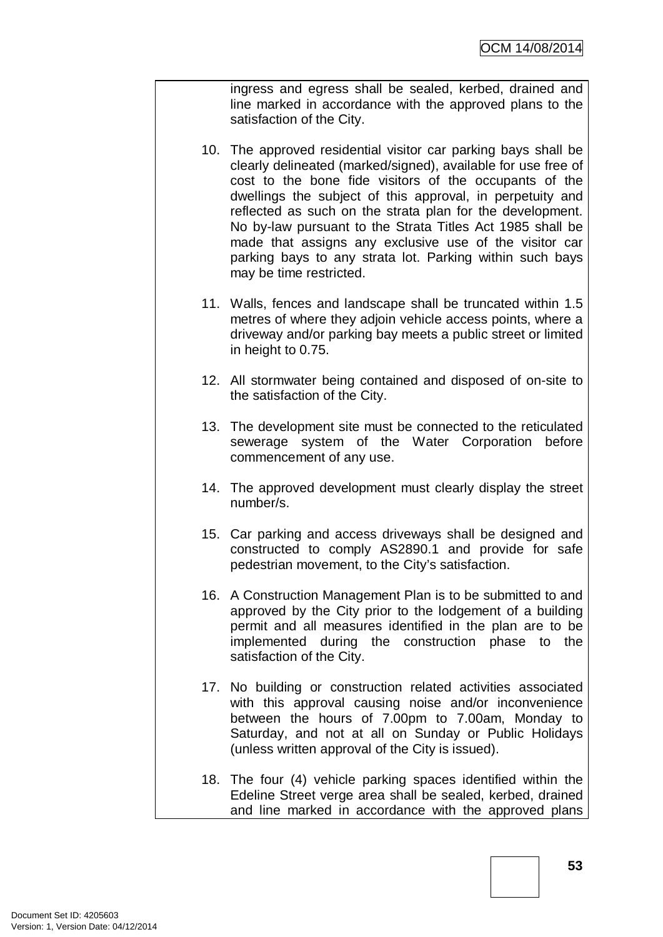ingress and egress shall be sealed, kerbed, drained and line marked in accordance with the approved plans to the satisfaction of the City.

- 10. The approved residential visitor car parking bays shall be clearly delineated (marked/signed), available for use free of cost to the bone fide visitors of the occupants of the dwellings the subject of this approval, in perpetuity and reflected as such on the strata plan for the development. No by-law pursuant to the Strata Titles Act 1985 shall be made that assigns any exclusive use of the visitor car parking bays to any strata lot. Parking within such bays may be time restricted.
- 11. Walls, fences and landscape shall be truncated within 1.5 metres of where they adjoin vehicle access points, where a driveway and/or parking bay meets a public street or limited in height to 0.75.
- 12. All stormwater being contained and disposed of on-site to the satisfaction of the City.
- 13. The development site must be connected to the reticulated sewerage system of the Water Corporation before commencement of any use.
- 14. The approved development must clearly display the street number/s.
- 15. Car parking and access driveways shall be designed and constructed to comply AS2890.1 and provide for safe pedestrian movement, to the City's satisfaction.
- 16. A Construction Management Plan is to be submitted to and approved by the City prior to the lodgement of a building permit and all measures identified in the plan are to be implemented during the construction phase to the satisfaction of the City.
- 17. No building or construction related activities associated with this approval causing noise and/or inconvenience between the hours of 7.00pm to 7.00am, Monday to Saturday, and not at all on Sunday or Public Holidays (unless written approval of the City is issued).
- 18. The four (4) vehicle parking spaces identified within the Edeline Street verge area shall be sealed, kerbed, drained and line marked in accordance with the approved plans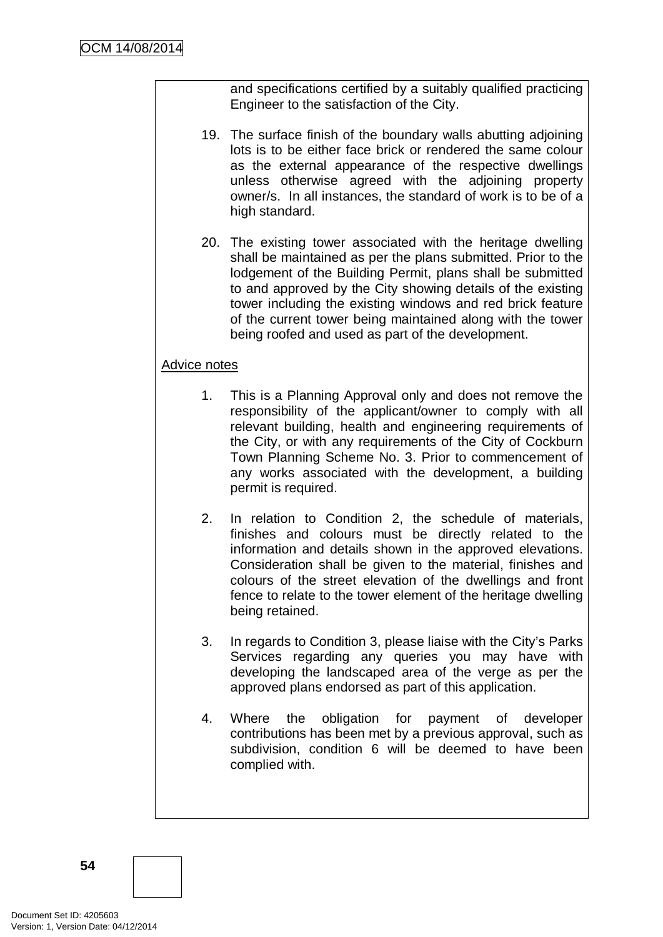and specifications certified by a suitably qualified practicing Engineer to the satisfaction of the City.

- 19. The surface finish of the boundary walls abutting adjoining lots is to be either face brick or rendered the same colour as the external appearance of the respective dwellings unless otherwise agreed with the adjoining property owner/s. In all instances, the standard of work is to be of a high standard.
- 20. The existing tower associated with the heritage dwelling shall be maintained as per the plans submitted. Prior to the lodgement of the Building Permit, plans shall be submitted to and approved by the City showing details of the existing tower including the existing windows and red brick feature of the current tower being maintained along with the tower being roofed and used as part of the development.

# Advice notes

- 1. This is a Planning Approval only and does not remove the responsibility of the applicant/owner to comply with all relevant building, health and engineering requirements of the City, or with any requirements of the City of Cockburn Town Planning Scheme No. 3. Prior to commencement of any works associated with the development, a building permit is required.
- 2. In relation to Condition 2, the schedule of materials, finishes and colours must be directly related to the information and details shown in the approved elevations. Consideration shall be given to the material, finishes and colours of the street elevation of the dwellings and front fence to relate to the tower element of the heritage dwelling being retained.
- 3. In regards to Condition 3, please liaise with the City's Parks Services regarding any queries you may have with developing the landscaped area of the verge as per the approved plans endorsed as part of this application.
- 4. Where the obligation for payment of developer contributions has been met by a previous approval, such as subdivision, condition 6 will be deemed to have been complied with.

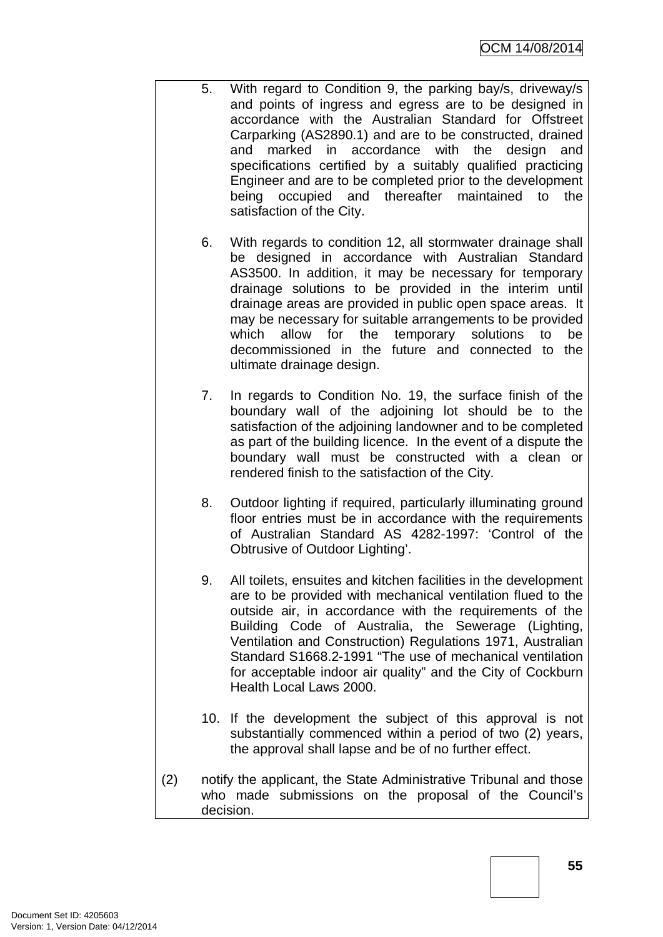- 5. With regard to Condition 9, the parking bay/s, driveway/s and points of ingress and egress are to be designed in accordance with the Australian Standard for Offstreet Carparking (AS2890.1) and are to be constructed, drained and marked in accordance with the design and specifications certified by a suitably qualified practicing Engineer and are to be completed prior to the development being occupied and thereafter maintained to the satisfaction of the City.
	- 6. With regards to condition 12, all stormwater drainage shall be designed in accordance with Australian Standard AS3500. In addition, it may be necessary for temporary drainage solutions to be provided in the interim until drainage areas are provided in public open space areas. It may be necessary for suitable arrangements to be provided which allow for the temporary solutions to be decommissioned in the future and connected to the ultimate drainage design.
	- 7. In regards to Condition No. 19, the surface finish of the boundary wall of the adjoining lot should be to the satisfaction of the adjoining landowner and to be completed as part of the building licence. In the event of a dispute the boundary wall must be constructed with a clean or rendered finish to the satisfaction of the City.
	- 8. Outdoor lighting if required, particularly illuminating ground floor entries must be in accordance with the requirements of Australian Standard AS 4282-1997: 'Control of the Obtrusive of Outdoor Lighting'.
	- 9. All toilets, ensuites and kitchen facilities in the development are to be provided with mechanical ventilation flued to the outside air, in accordance with the requirements of the Building Code of Australia, the Sewerage (Lighting, Ventilation and Construction) Regulations 1971, Australian Standard S1668.2-1991 "The use of mechanical ventilation for acceptable indoor air quality" and the City of Cockburn Health Local Laws 2000.
	- 10. If the development the subject of this approval is not substantially commenced within a period of two (2) years, the approval shall lapse and be of no further effect.
- (2) notify the applicant, the State Administrative Tribunal and those who made submissions on the proposal of the Council's decision.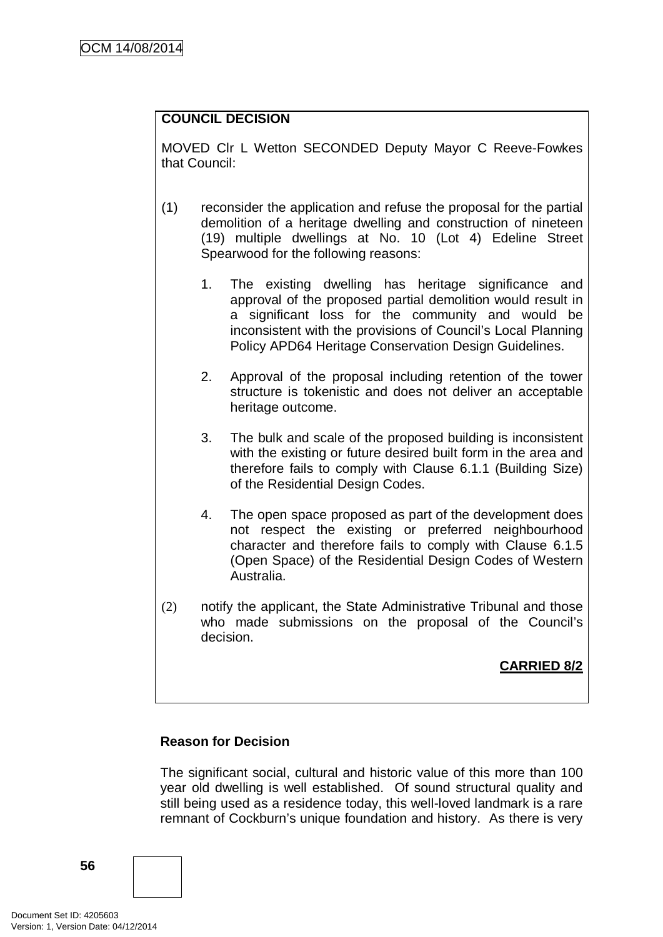# **COUNCIL DECISION**

MOVED Clr L Wetton SECONDED Deputy Mayor C Reeve-Fowkes that Council:

- (1) reconsider the application and refuse the proposal for the partial demolition of a heritage dwelling and construction of nineteen (19) multiple dwellings at No. 10 (Lot 4) Edeline Street Spearwood for the following reasons:
	- 1. The existing dwelling has heritage significance and approval of the proposed partial demolition would result in a significant loss for the community and would be inconsistent with the provisions of Council's Local Planning Policy APD64 Heritage Conservation Design Guidelines.
	- 2. Approval of the proposal including retention of the tower structure is tokenistic and does not deliver an acceptable heritage outcome.
	- 3. The bulk and scale of the proposed building is inconsistent with the existing or future desired built form in the area and therefore fails to comply with Clause 6.1.1 (Building Size) of the Residential Design Codes.
	- 4. The open space proposed as part of the development does not respect the existing or preferred neighbourhood character and therefore fails to comply with Clause 6.1.5 (Open Space) of the Residential Design Codes of Western Australia.
- (2) notify the applicant, the State Administrative Tribunal and those who made submissions on the proposal of the Council's decision.

# **CARRIED 8/2**

# **Reason for Decision**

The significant social, cultural and historic value of this more than 100 year old dwelling is well established. Of sound structural quality and still being used as a residence today, this well-loved landmark is a rare remnant of Cockburn's unique foundation and history. As there is very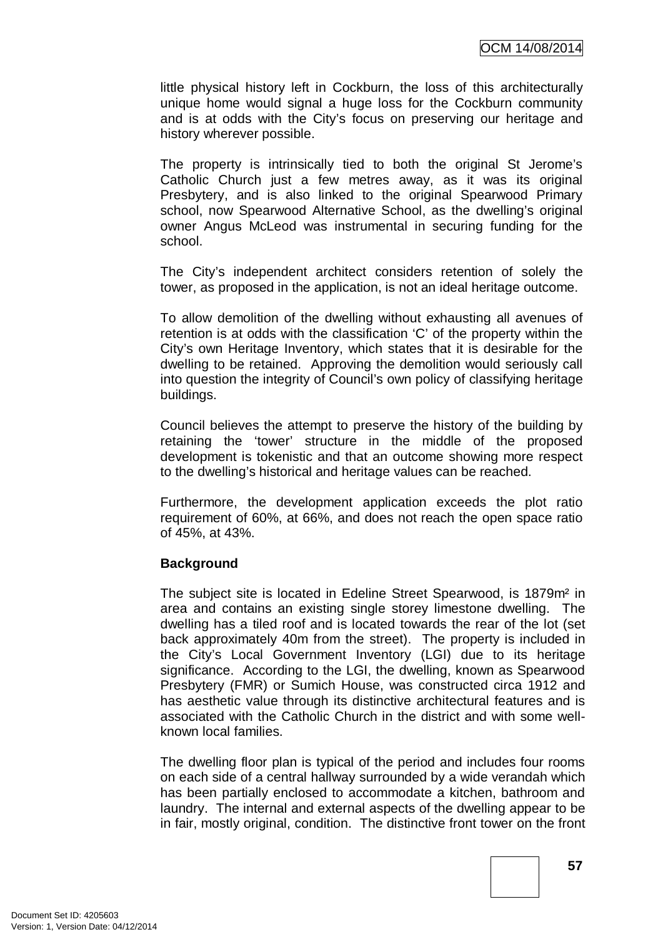little physical history left in Cockburn, the loss of this architecturally unique home would signal a huge loss for the Cockburn community and is at odds with the City's focus on preserving our heritage and history wherever possible.

The property is intrinsically tied to both the original St Jerome's Catholic Church just a few metres away, as it was its original Presbytery, and is also linked to the original Spearwood Primary school, now Spearwood Alternative School, as the dwelling's original owner Angus McLeod was instrumental in securing funding for the school.

The City's independent architect considers retention of solely the tower, as proposed in the application, is not an ideal heritage outcome.

To allow demolition of the dwelling without exhausting all avenues of retention is at odds with the classification 'C' of the property within the City's own Heritage Inventory, which states that it is desirable for the dwelling to be retained. Approving the demolition would seriously call into question the integrity of Council's own policy of classifying heritage buildings.

Council believes the attempt to preserve the history of the building by retaining the 'tower' structure in the middle of the proposed development is tokenistic and that an outcome showing more respect to the dwelling's historical and heritage values can be reached.

Furthermore, the development application exceeds the plot ratio requirement of 60%, at 66%, and does not reach the open space ratio of 45%, at 43%.

# **Background**

The subject site is located in Edeline Street Spearwood, is 1879m² in area and contains an existing single storey limestone dwelling. The dwelling has a tiled roof and is located towards the rear of the lot (set back approximately 40m from the street). The property is included in the City's Local Government Inventory (LGI) due to its heritage significance. According to the LGI, the dwelling, known as Spearwood Presbytery (FMR) or Sumich House, was constructed circa 1912 and has aesthetic value through its distinctive architectural features and is associated with the Catholic Church in the district and with some wellknown local families.

The dwelling floor plan is typical of the period and includes four rooms on each side of a central hallway surrounded by a wide verandah which has been partially enclosed to accommodate a kitchen, bathroom and laundry. The internal and external aspects of the dwelling appear to be in fair, mostly original, condition. The distinctive front tower on the front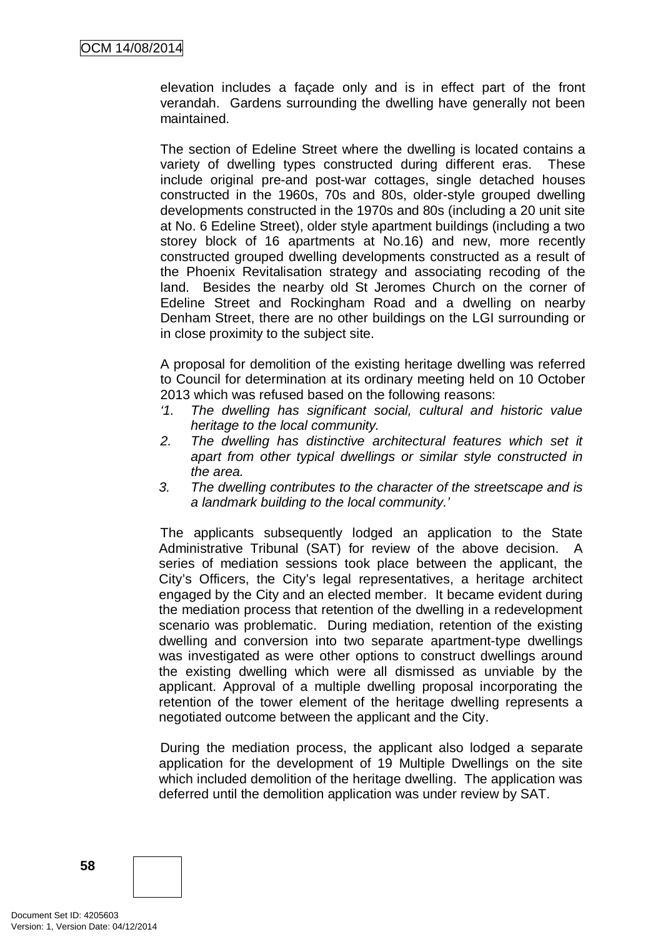elevation includes a façade only and is in effect part of the front verandah. Gardens surrounding the dwelling have generally not been maintained.

The section of Edeline Street where the dwelling is located contains a variety of dwelling types constructed during different eras. These include original pre-and post-war cottages, single detached houses constructed in the 1960s, 70s and 80s, older-style grouped dwelling developments constructed in the 1970s and 80s (including a 20 unit site at No. 6 Edeline Street), older style apartment buildings (including a two storey block of 16 apartments at No.16) and new, more recently constructed grouped dwelling developments constructed as a result of the Phoenix Revitalisation strategy and associating recoding of the land. Besides the nearby old St Jeromes Church on the corner of Edeline Street and Rockingham Road and a dwelling on nearby Denham Street, there are no other buildings on the LGI surrounding or in close proximity to the subject site.

A proposal for demolition of the existing heritage dwelling was referred to Council for determination at its ordinary meeting held on 10 October 2013 which was refused based on the following reasons:

- *'1. The dwelling has significant social, cultural and historic value heritage to the local community.*
- *2. The dwelling has distinctive architectural features which set it apart from other typical dwellings or similar style constructed in the area.*
- *3. The dwelling contributes to the character of the streetscape and is a landmark building to the local community.'*

The applicants subsequently lodged an application to the State Administrative Tribunal (SAT) for review of the above decision. A series of mediation sessions took place between the applicant, the City's Officers, the City's legal representatives, a heritage architect engaged by the City and an elected member. It became evident during the mediation process that retention of the dwelling in a redevelopment scenario was problematic. During mediation, retention of the existing dwelling and conversion into two separate apartment-type dwellings was investigated as were other options to construct dwellings around the existing dwelling which were all dismissed as unviable by the applicant. Approval of a multiple dwelling proposal incorporating the retention of the tower element of the heritage dwelling represents a negotiated outcome between the applicant and the City.

During the mediation process, the applicant also lodged a separate application for the development of 19 Multiple Dwellings on the site which included demolition of the heritage dwelling. The application was deferred until the demolition application was under review by SAT.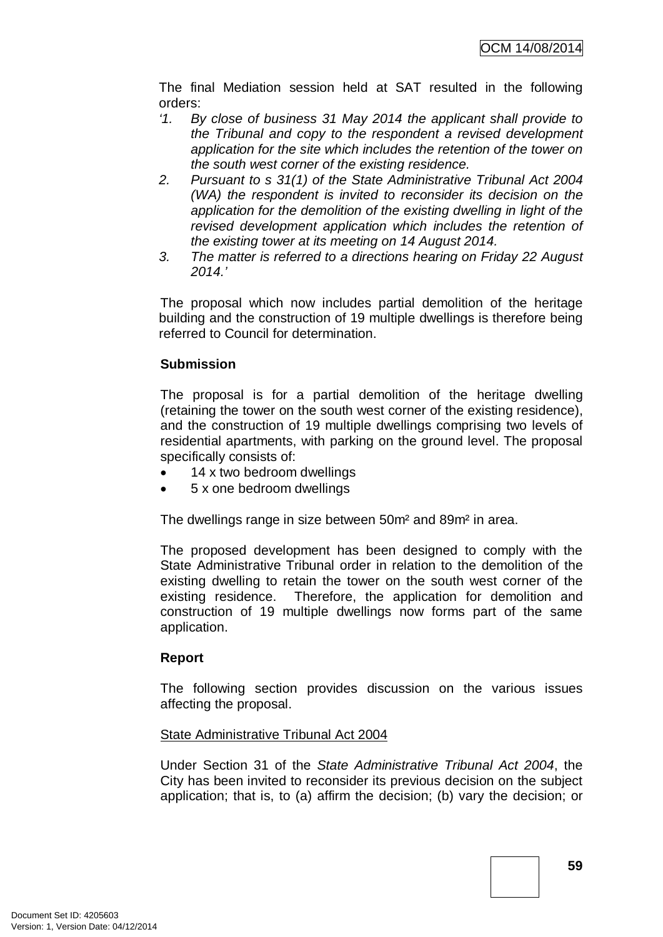The final Mediation session held at SAT resulted in the following orders:

- *'1. By close of business 31 May 2014 the applicant shall provide to the Tribunal and copy to the respondent a revised development application for the site which includes the retention of the tower on the south west corner of the existing residence.*
- *2. Pursuant to s 31(1) of the State Administrative Tribunal Act 2004 (WA) the respondent is invited to reconsider its decision on the application for the demolition of the existing dwelling in light of the revised development application which includes the retention of the existing tower at its meeting on 14 August 2014.*
- *3. The matter is referred to a directions hearing on Friday 22 August 2014.'*

The proposal which now includes partial demolition of the heritage building and the construction of 19 multiple dwellings is therefore being referred to Council for determination.

# **Submission**

The proposal is for a partial demolition of the heritage dwelling (retaining the tower on the south west corner of the existing residence), and the construction of 19 multiple dwellings comprising two levels of residential apartments, with parking on the ground level. The proposal specifically consists of:

- 14 x two bedroom dwellings
- 5 x one bedroom dwellings

The dwellings range in size between 50m² and 89m² in area.

The proposed development has been designed to comply with the State Administrative Tribunal order in relation to the demolition of the existing dwelling to retain the tower on the south west corner of the existing residence. Therefore, the application for demolition and construction of 19 multiple dwellings now forms part of the same application.

## **Report**

The following section provides discussion on the various issues affecting the proposal.

## State Administrative Tribunal Act 2004

Under Section 31 of the *State Administrative Tribunal Act 2004*, the City has been invited to reconsider its previous decision on the subject application; that is, to (a) affirm the decision; (b) vary the decision; or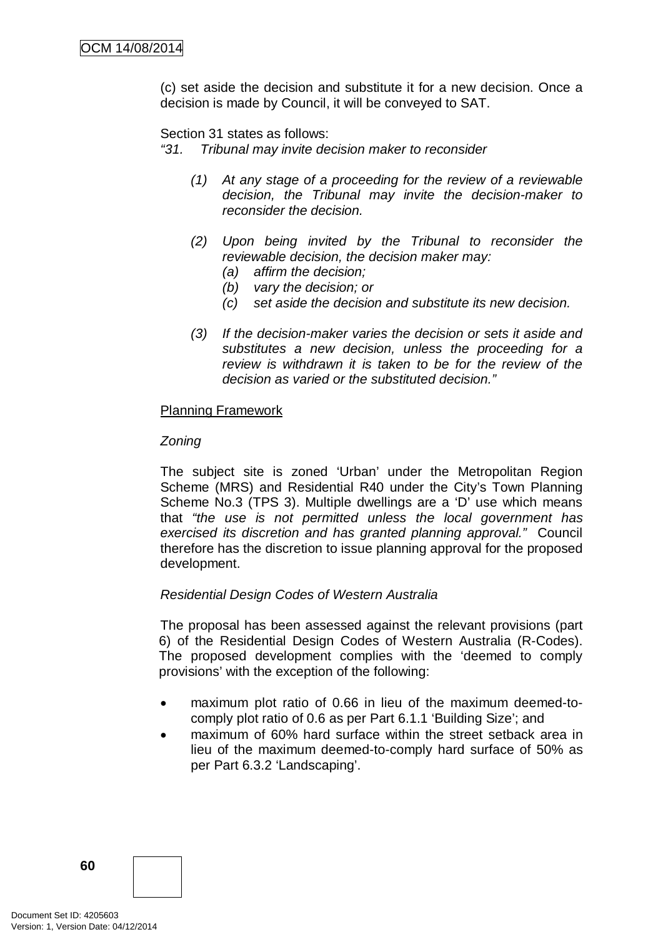(c) set aside the decision and substitute it for a new decision. Once a decision is made by Council, it will be conveyed to SAT.

Section 31 states as follows:

*"31. Tribunal may invite decision maker to reconsider*

- *(1) At any stage of a proceeding for the review of a reviewable decision, the Tribunal may invite the decision-maker to reconsider the decision.*
- *(2) Upon being invited by the Tribunal to reconsider the reviewable decision, the decision maker may:*
	- *(a) affirm the decision;*
	- *(b) vary the decision; or*
	- *(c) set aside the decision and substitute its new decision.*
- *(3) If the decision-maker varies the decision or sets it aside and substitutes a new decision, unless the proceeding for a review is withdrawn it is taken to be for the review of the decision as varied or the substituted decision."*

#### Planning Framework

#### *Zoning*

The subject site is zoned 'Urban' under the Metropolitan Region Scheme (MRS) and Residential R40 under the City's Town Planning Scheme No.3 (TPS 3). Multiple dwellings are a 'D' use which means that *"the use is not permitted unless the local government has exercised its discretion and has granted planning approval."* Council therefore has the discretion to issue planning approval for the proposed development.

## *Residential Design Codes of Western Australia*

The proposal has been assessed against the relevant provisions (part 6) of the Residential Design Codes of Western Australia (R-Codes). The proposed development complies with the 'deemed to comply provisions' with the exception of the following:

- maximum plot ratio of 0.66 in lieu of the maximum deemed-tocomply plot ratio of 0.6 as per Part 6.1.1 'Building Size'; and
- maximum of 60% hard surface within the street setback area in lieu of the maximum deemed-to-comply hard surface of 50% as per Part 6.3.2 'Landscaping'.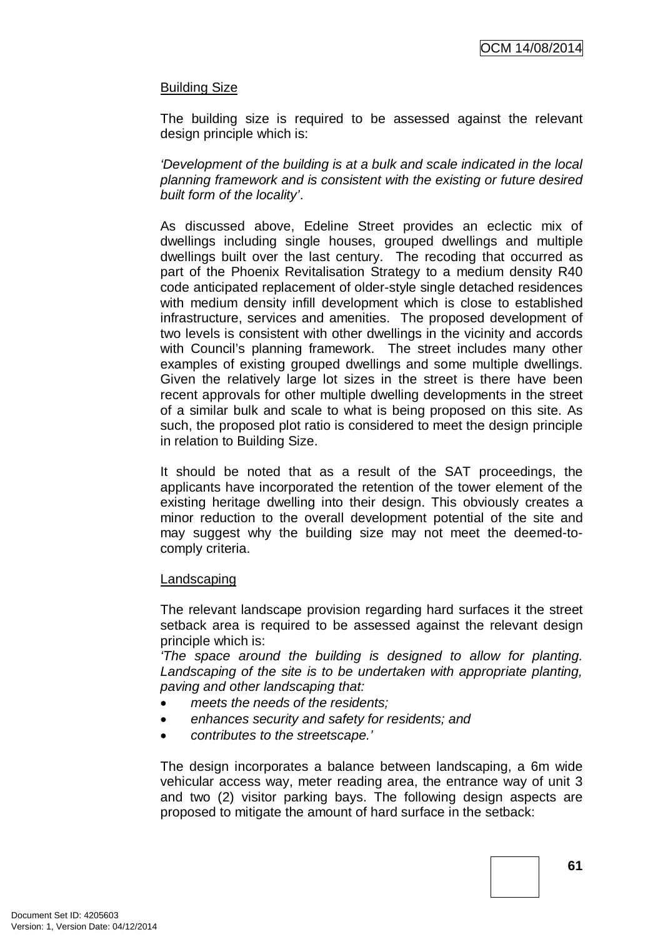## Building Size

The building size is required to be assessed against the relevant design principle which is:

*'Development of the building is at a bulk and scale indicated in the local planning framework and is consistent with the existing or future desired built form of the locality'*.

As discussed above, Edeline Street provides an eclectic mix of dwellings including single houses, grouped dwellings and multiple dwellings built over the last century. The recoding that occurred as part of the Phoenix Revitalisation Strategy to a medium density R40 code anticipated replacement of older-style single detached residences with medium density infill development which is close to established infrastructure, services and amenities. The proposed development of two levels is consistent with other dwellings in the vicinity and accords with Council's planning framework. The street includes many other examples of existing grouped dwellings and some multiple dwellings. Given the relatively large lot sizes in the street is there have been recent approvals for other multiple dwelling developments in the street of a similar bulk and scale to what is being proposed on this site. As such, the proposed plot ratio is considered to meet the design principle in relation to Building Size.

It should be noted that as a result of the SAT proceedings, the applicants have incorporated the retention of the tower element of the existing heritage dwelling into their design. This obviously creates a minor reduction to the overall development potential of the site and may suggest why the building size may not meet the deemed-tocomply criteria.

#### Landscaping

The relevant landscape provision regarding hard surfaces it the street setback area is required to be assessed against the relevant design principle which is:

*'The space around the building is designed to allow for planting. Landscaping of the site is to be undertaken with appropriate planting, paving and other landscaping that:*

- *meets the needs of the residents;*
- *enhances security and safety for residents; and*
- *contributes to the streetscape.'*

The design incorporates a balance between landscaping, a 6m wide vehicular access way, meter reading area, the entrance way of unit 3 and two (2) visitor parking bays. The following design aspects are proposed to mitigate the amount of hard surface in the setback: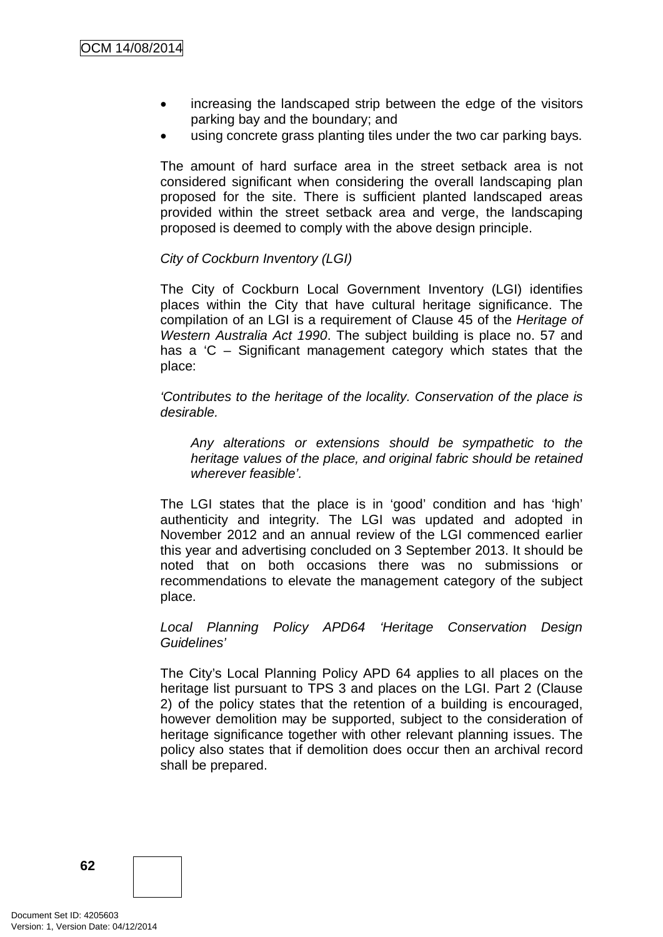- increasing the landscaped strip between the edge of the visitors parking bay and the boundary; and
- using concrete grass planting tiles under the two car parking bays.

The amount of hard surface area in the street setback area is not considered significant when considering the overall landscaping plan proposed for the site. There is sufficient planted landscaped areas provided within the street setback area and verge, the landscaping proposed is deemed to comply with the above design principle.

## *City of Cockburn Inventory (LGI)*

The City of Cockburn Local Government Inventory (LGI) identifies places within the City that have cultural heritage significance. The compilation of an LGI is a requirement of Clause 45 of the *Heritage of Western Australia Act 1990*. The subject building is place no. 57 and has a 'C – Significant management category which states that the place:

*'Contributes to the heritage of the locality. Conservation of the place is desirable.*

*Any alterations or extensions should be sympathetic to the heritage values of the place, and original fabric should be retained wherever feasible'.* 

The LGI states that the place is in 'good' condition and has 'high' authenticity and integrity. The LGI was updated and adopted in November 2012 and an annual review of the LGI commenced earlier this year and advertising concluded on 3 September 2013. It should be noted that on both occasions there was no submissions or recommendations to elevate the management category of the subject place.

*Local Planning Policy APD64 'Heritage Conservation Design Guidelines'*

The City's Local Planning Policy APD 64 applies to all places on the heritage list pursuant to TPS 3 and places on the LGI. Part 2 (Clause 2) of the policy states that the retention of a building is encouraged, however demolition may be supported, subject to the consideration of heritage significance together with other relevant planning issues. The policy also states that if demolition does occur then an archival record shall be prepared.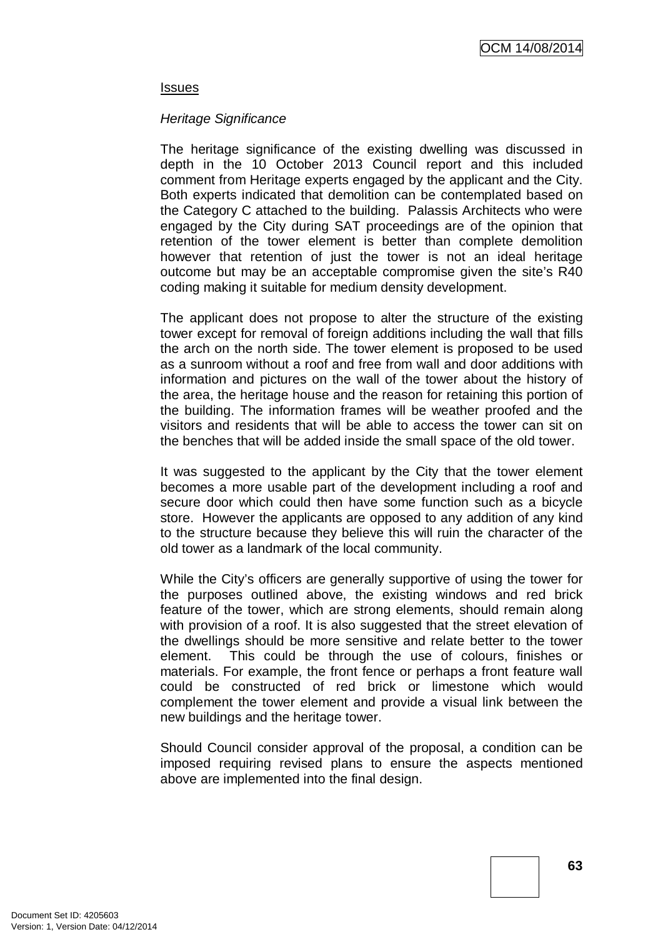#### Issues

#### *Heritage Significance*

The heritage significance of the existing dwelling was discussed in depth in the 10 October 2013 Council report and this included comment from Heritage experts engaged by the applicant and the City. Both experts indicated that demolition can be contemplated based on the Category C attached to the building. Palassis Architects who were engaged by the City during SAT proceedings are of the opinion that retention of the tower element is better than complete demolition however that retention of just the tower is not an ideal heritage outcome but may be an acceptable compromise given the site's R40 coding making it suitable for medium density development.

The applicant does not propose to alter the structure of the existing tower except for removal of foreign additions including the wall that fills the arch on the north side. The tower element is proposed to be used as a sunroom without a roof and free from wall and door additions with information and pictures on the wall of the tower about the history of the area, the heritage house and the reason for retaining this portion of the building. The information frames will be weather proofed and the visitors and residents that will be able to access the tower can sit on the benches that will be added inside the small space of the old tower.

It was suggested to the applicant by the City that the tower element becomes a more usable part of the development including a roof and secure door which could then have some function such as a bicycle store. However the applicants are opposed to any addition of any kind to the structure because they believe this will ruin the character of the old tower as a landmark of the local community.

While the City's officers are generally supportive of using the tower for the purposes outlined above, the existing windows and red brick feature of the tower, which are strong elements, should remain along with provision of a roof. It is also suggested that the street elevation of the dwellings should be more sensitive and relate better to the tower element. This could be through the use of colours, finishes or materials. For example, the front fence or perhaps a front feature wall could be constructed of red brick or limestone which would complement the tower element and provide a visual link between the new buildings and the heritage tower.

Should Council consider approval of the proposal, a condition can be imposed requiring revised plans to ensure the aspects mentioned above are implemented into the final design.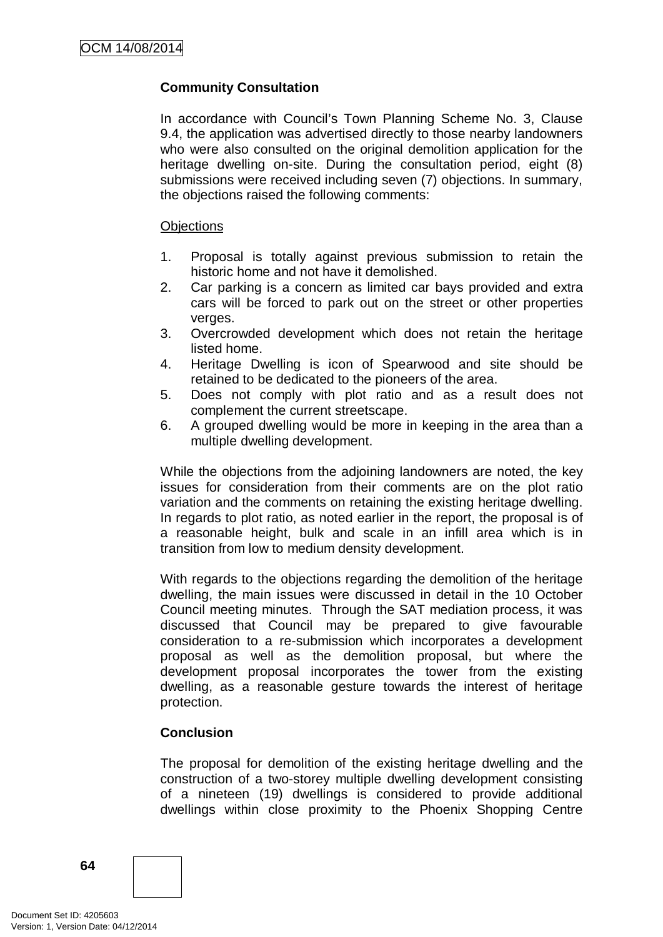# **Community Consultation**

In accordance with Council's Town Planning Scheme No. 3, Clause 9.4, the application was advertised directly to those nearby landowners who were also consulted on the original demolition application for the heritage dwelling on-site. During the consultation period, eight (8) submissions were received including seven (7) objections. In summary, the objections raised the following comments:

#### **Objections**

- 1. Proposal is totally against previous submission to retain the historic home and not have it demolished.
- 2. Car parking is a concern as limited car bays provided and extra cars will be forced to park out on the street or other properties verges.
- 3. Overcrowded development which does not retain the heritage listed home.
- 4. Heritage Dwelling is icon of Spearwood and site should be retained to be dedicated to the pioneers of the area.
- 5. Does not comply with plot ratio and as a result does not complement the current streetscape.
- 6. A grouped dwelling would be more in keeping in the area than a multiple dwelling development.

While the objections from the adjoining landowners are noted, the key issues for consideration from their comments are on the plot ratio variation and the comments on retaining the existing heritage dwelling. In regards to plot ratio, as noted earlier in the report, the proposal is of a reasonable height, bulk and scale in an infill area which is in transition from low to medium density development.

With regards to the objections regarding the demolition of the heritage dwelling, the main issues were discussed in detail in the 10 October Council meeting minutes. Through the SAT mediation process, it was discussed that Council may be prepared to give favourable consideration to a re-submission which incorporates a development proposal as well as the demolition proposal, but where the development proposal incorporates the tower from the existing dwelling, as a reasonable gesture towards the interest of heritage protection.

## **Conclusion**

The proposal for demolition of the existing heritage dwelling and the construction of a two-storey multiple dwelling development consisting of a nineteen (19) dwellings is considered to provide additional dwellings within close proximity to the Phoenix Shopping Centre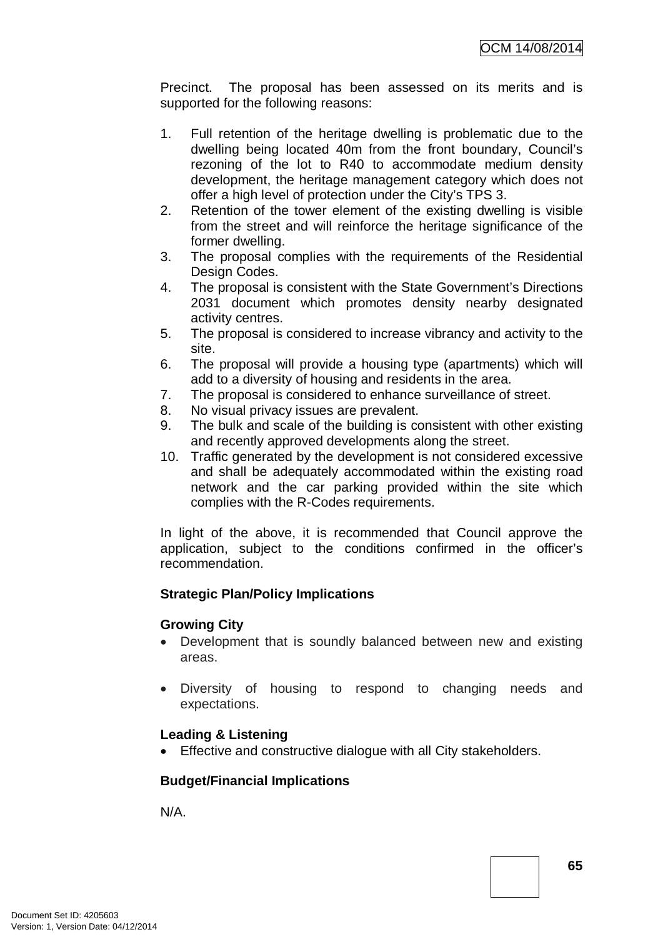Precinct. The proposal has been assessed on its merits and is supported for the following reasons:

- 1. Full retention of the heritage dwelling is problematic due to the dwelling being located 40m from the front boundary, Council's rezoning of the lot to R40 to accommodate medium density development, the heritage management category which does not offer a high level of protection under the City's TPS 3.
- 2. Retention of the tower element of the existing dwelling is visible from the street and will reinforce the heritage significance of the former dwelling.
- 3. The proposal complies with the requirements of the Residential Design Codes.
- 4. The proposal is consistent with the State Government's Directions 2031 document which promotes density nearby designated activity centres.
- 5. The proposal is considered to increase vibrancy and activity to the site.
- 6. The proposal will provide a housing type (apartments) which will add to a diversity of housing and residents in the area.
- 7. The proposal is considered to enhance surveillance of street.
- 8. No visual privacy issues are prevalent.
- 9. The bulk and scale of the building is consistent with other existing and recently approved developments along the street.
- 10. Traffic generated by the development is not considered excessive and shall be adequately accommodated within the existing road network and the car parking provided within the site which complies with the R-Codes requirements.

In light of the above, it is recommended that Council approve the application, subject to the conditions confirmed in the officer's recommendation.

# **Strategic Plan/Policy Implications**

## **Growing City**

- Development that is soundly balanced between new and existing areas.
- Diversity of housing to respond to changing needs and expectations.

## **Leading & Listening**

• Effective and constructive dialogue with all City stakeholders.

# **Budget/Financial Implications**

N/A.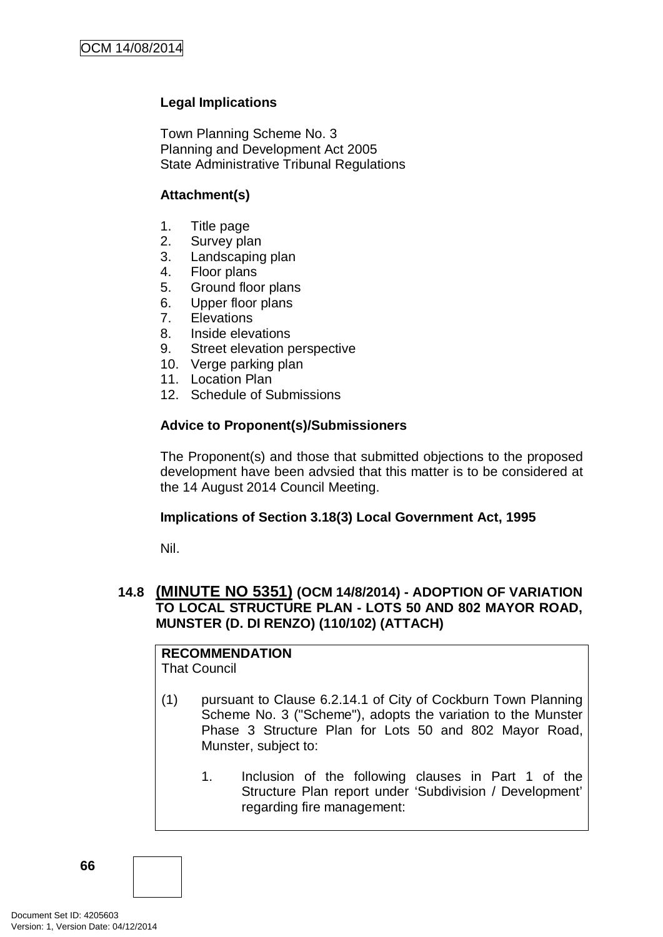# **Legal Implications**

Town Planning Scheme No. 3 Planning and Development Act 2005 State Administrative Tribunal Regulations

## **Attachment(s)**

- 1. Title page
- 2. Survey plan
- 3. Landscaping plan
- 4. Floor plans
- 5. Ground floor plans
- 6. Upper floor plans
- 7. Elevations
- 8. Inside elevations
- 9. Street elevation perspective
- 10. Verge parking plan
- 11. Location Plan
- 12. Schedule of Submissions

# **Advice to Proponent(s)/Submissioners**

The Proponent(s) and those that submitted objections to the proposed development have been advsied that this matter is to be considered at the 14 August 2014 Council Meeting.

## **Implications of Section 3.18(3) Local Government Act, 1995**

Nil.

# **14.8 (MINUTE NO 5351) (OCM 14/8/2014) - ADOPTION OF VARIATION TO LOCAL STRUCTURE PLAN - LOTS 50 AND 802 MAYOR ROAD, MUNSTER (D. DI RENZO) (110/102) (ATTACH)**

#### **RECOMMENDATION** That Council

- (1) pursuant to Clause 6.2.14.1 of City of Cockburn Town Planning Scheme No. 3 ("Scheme"), adopts the variation to the Munster Phase 3 Structure Plan for Lots 50 and 802 Mayor Road, Munster, subject to:
	- 1. Inclusion of the following clauses in Part 1 of the Structure Plan report under 'Subdivision / Development' regarding fire management: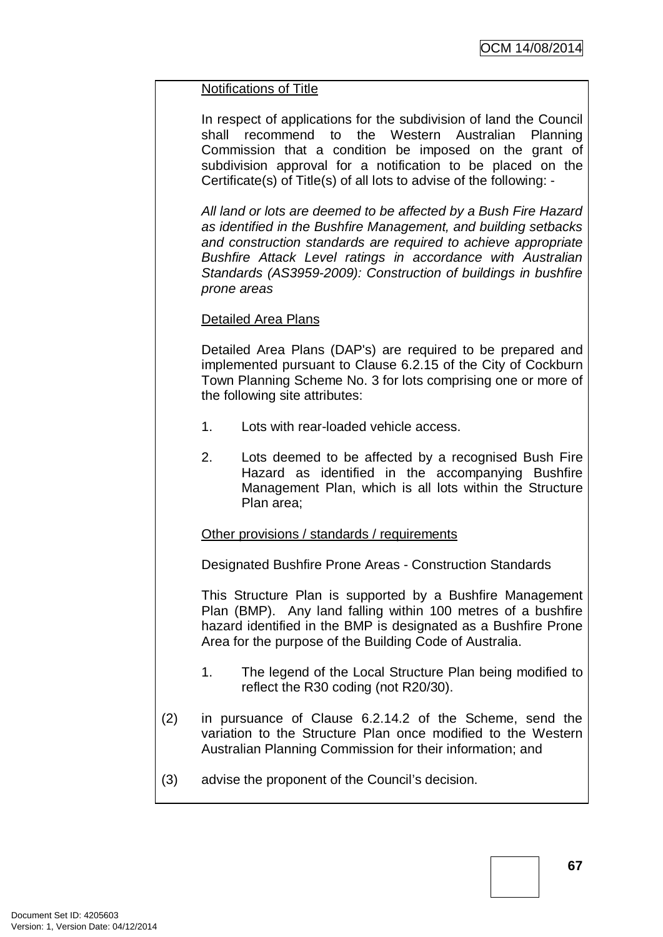#### Notifications of Title

In respect of applications for the subdivision of land the Council shall recommend to the Western Australian Planning Commission that a condition be imposed on the grant of subdivision approval for a notification to be placed on the Certificate(s) of Title(s) of all lots to advise of the following: -

*All land or lots are deemed to be affected by a Bush Fire Hazard as identified in the Bushfire Management, and building setbacks and construction standards are required to achieve appropriate Bushfire Attack Level ratings in accordance with Australian Standards (AS3959-2009): Construction of buildings in bushfire prone areas*

#### Detailed Area Plans

Detailed Area Plans (DAP's) are required to be prepared and implemented pursuant to Clause 6.2.15 of the City of Cockburn Town Planning Scheme No. 3 for lots comprising one or more of the following site attributes:

- 1. Lots with rear-loaded vehicle access.
- 2. Lots deemed to be affected by a recognised Bush Fire Hazard as identified in the accompanying Bushfire Management Plan, which is all lots within the Structure Plan area;

#### Other provisions / standards / requirements

Designated Bushfire Prone Areas - Construction Standards

This Structure Plan is supported by a Bushfire Management Plan (BMP). Any land falling within 100 metres of a bushfire hazard identified in the BMP is designated as a Bushfire Prone Area for the purpose of the Building Code of Australia.

- 1. The legend of the Local Structure Plan being modified to reflect the R30 coding (not R20/30).
- (2) in pursuance of Clause 6.2.14.2 of the Scheme, send the variation to the Structure Plan once modified to the Western Australian Planning Commission for their information; and
- (3) advise the proponent of the Council's decision.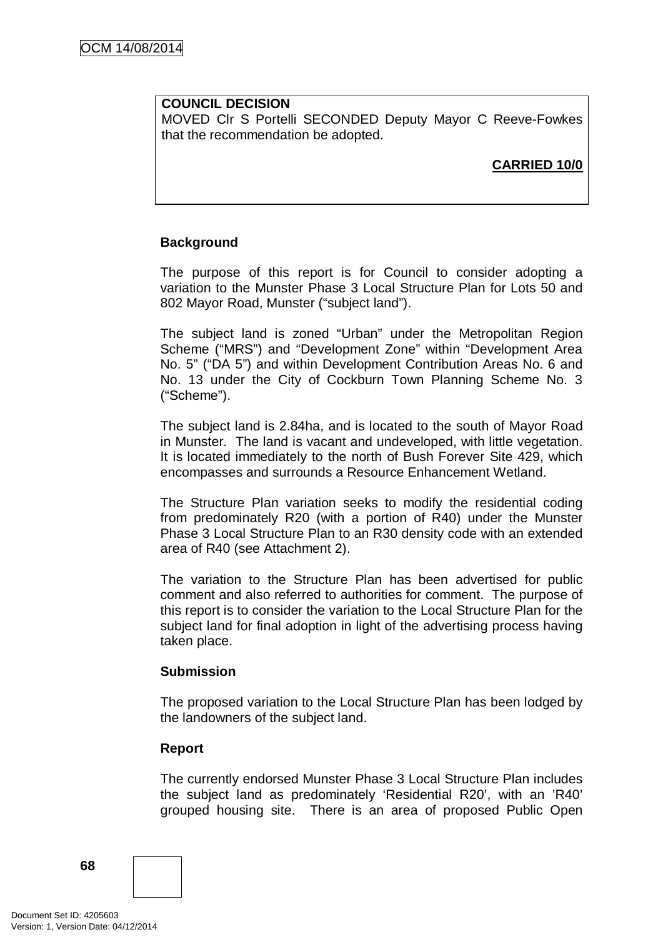#### **COUNCIL DECISION**

MOVED Clr S Portelli SECONDED Deputy Mayor C Reeve-Fowkes that the recommendation be adopted.

# **CARRIED 10/0**

## **Background**

The purpose of this report is for Council to consider adopting a variation to the Munster Phase 3 Local Structure Plan for Lots 50 and 802 Mayor Road, Munster ("subject land").

The subject land is zoned "Urban" under the Metropolitan Region Scheme ("MRS") and "Development Zone" within "Development Area No. 5" ("DA 5") and within Development Contribution Areas No. 6 and No. 13 under the City of Cockburn Town Planning Scheme No. 3 ("Scheme").

The subject land is 2.84ha, and is located to the south of Mayor Road in Munster. The land is vacant and undeveloped, with little vegetation. It is located immediately to the north of Bush Forever Site 429, which encompasses and surrounds a Resource Enhancement Wetland.

The Structure Plan variation seeks to modify the residential coding from predominately R20 (with a portion of R40) under the Munster Phase 3 Local Structure Plan to an R30 density code with an extended area of R40 (see Attachment 2).

The variation to the Structure Plan has been advertised for public comment and also referred to authorities for comment. The purpose of this report is to consider the variation to the Local Structure Plan for the subject land for final adoption in light of the advertising process having taken place.

#### **Submission**

The proposed variation to the Local Structure Plan has been lodged by the landowners of the subject land.

## **Report**

The currently endorsed Munster Phase 3 Local Structure Plan includes the subject land as predominately 'Residential R20', with an 'R40' grouped housing site. There is an area of proposed Public Open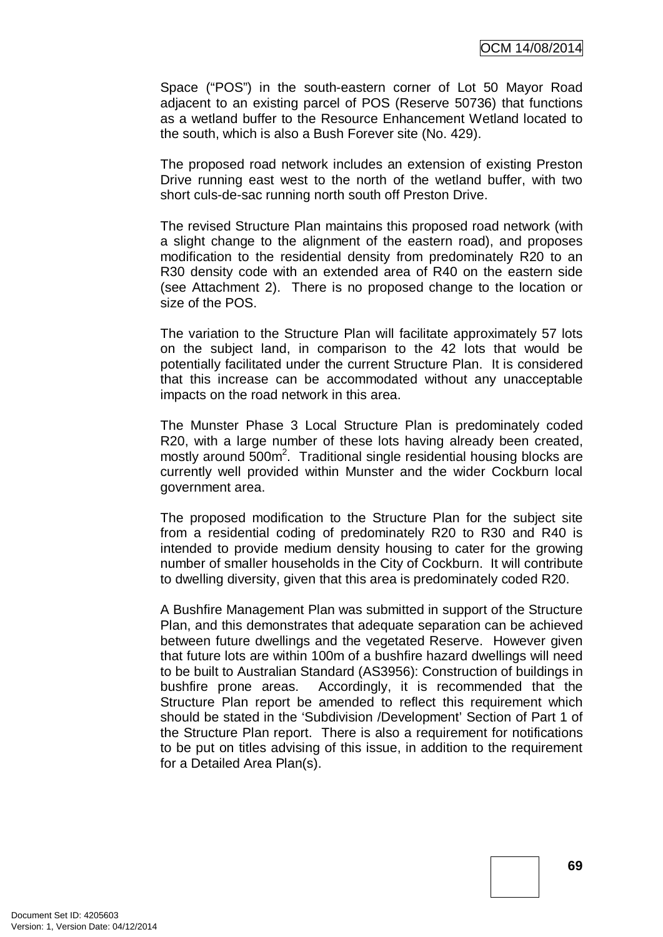Space ("POS") in the south-eastern corner of Lot 50 Mayor Road adjacent to an existing parcel of POS (Reserve 50736) that functions as a wetland buffer to the Resource Enhancement Wetland located to the south, which is also a Bush Forever site (No. 429).

The proposed road network includes an extension of existing Preston Drive running east west to the north of the wetland buffer, with two short culs-de-sac running north south off Preston Drive.

The revised Structure Plan maintains this proposed road network (with a slight change to the alignment of the eastern road), and proposes modification to the residential density from predominately R20 to an R30 density code with an extended area of R40 on the eastern side (see Attachment 2). There is no proposed change to the location or size of the POS.

The variation to the Structure Plan will facilitate approximately 57 lots on the subject land, in comparison to the 42 lots that would be potentially facilitated under the current Structure Plan. It is considered that this increase can be accommodated without any unacceptable impacts on the road network in this area.

The Munster Phase 3 Local Structure Plan is predominately coded R20, with a large number of these lots having already been created, mostly around 500m<sup>2</sup>. Traditional single residential housing blocks are currently well provided within Munster and the wider Cockburn local government area.

The proposed modification to the Structure Plan for the subject site from a residential coding of predominately R20 to R30 and R40 is intended to provide medium density housing to cater for the growing number of smaller households in the City of Cockburn. It will contribute to dwelling diversity, given that this area is predominately coded R20.

A Bushfire Management Plan was submitted in support of the Structure Plan, and this demonstrates that adequate separation can be achieved between future dwellings and the vegetated Reserve. However given that future lots are within 100m of a bushfire hazard dwellings will need to be built to Australian Standard (AS3956): Construction of buildings in bushfire prone areas. Accordingly, it is recommended that the Structure Plan report be amended to reflect this requirement which should be stated in the 'Subdivision /Development' Section of Part 1 of the Structure Plan report. There is also a requirement for notifications to be put on titles advising of this issue, in addition to the requirement for a Detailed Area Plan(s).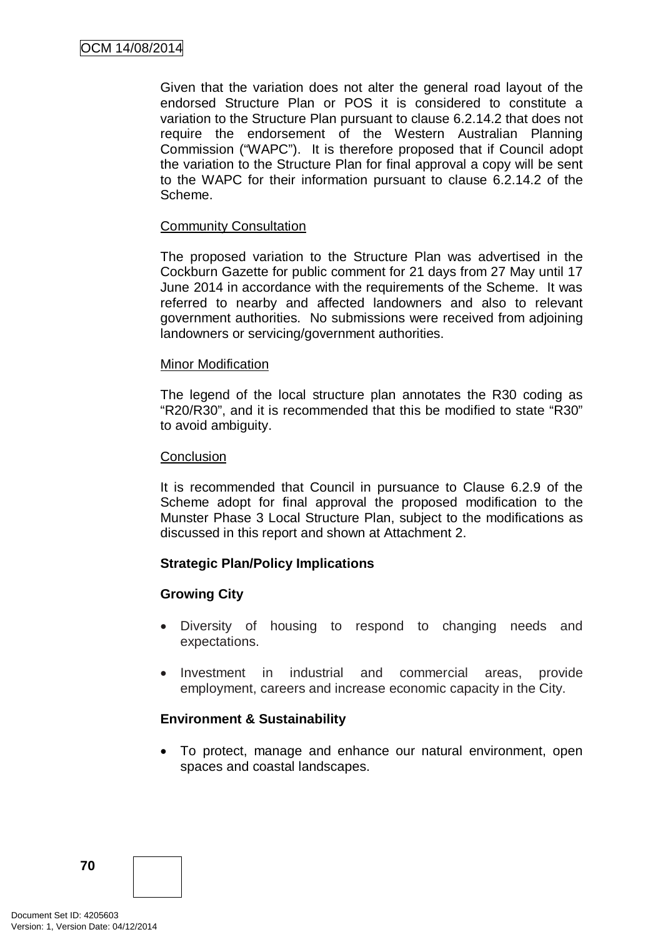Given that the variation does not alter the general road layout of the endorsed Structure Plan or POS it is considered to constitute a variation to the Structure Plan pursuant to clause 6.2.14.2 that does not require the endorsement of the Western Australian Planning Commission ("WAPC"). It is therefore proposed that if Council adopt the variation to the Structure Plan for final approval a copy will be sent to the WAPC for their information pursuant to clause 6.2.14.2 of the Scheme.

#### Community Consultation

The proposed variation to the Structure Plan was advertised in the Cockburn Gazette for public comment for 21 days from 27 May until 17 June 2014 in accordance with the requirements of the Scheme. It was referred to nearby and affected landowners and also to relevant government authorities. No submissions were received from adjoining landowners or servicing/government authorities.

#### Minor Modification

The legend of the local structure plan annotates the R30 coding as "R20/R30", and it is recommended that this be modified to state "R30" to avoid ambiguity.

#### **Conclusion**

It is recommended that Council in pursuance to Clause 6.2.9 of the Scheme adopt for final approval the proposed modification to the Munster Phase 3 Local Structure Plan, subject to the modifications as discussed in this report and shown at Attachment 2.

### **Strategic Plan/Policy Implications**

### **Growing City**

- Diversity of housing to respond to changing needs and expectations.
- Investment in industrial and commercial areas, provide employment, careers and increase economic capacity in the City.

### **Environment & Sustainability**

• To protect, manage and enhance our natural environment, open spaces and coastal landscapes.

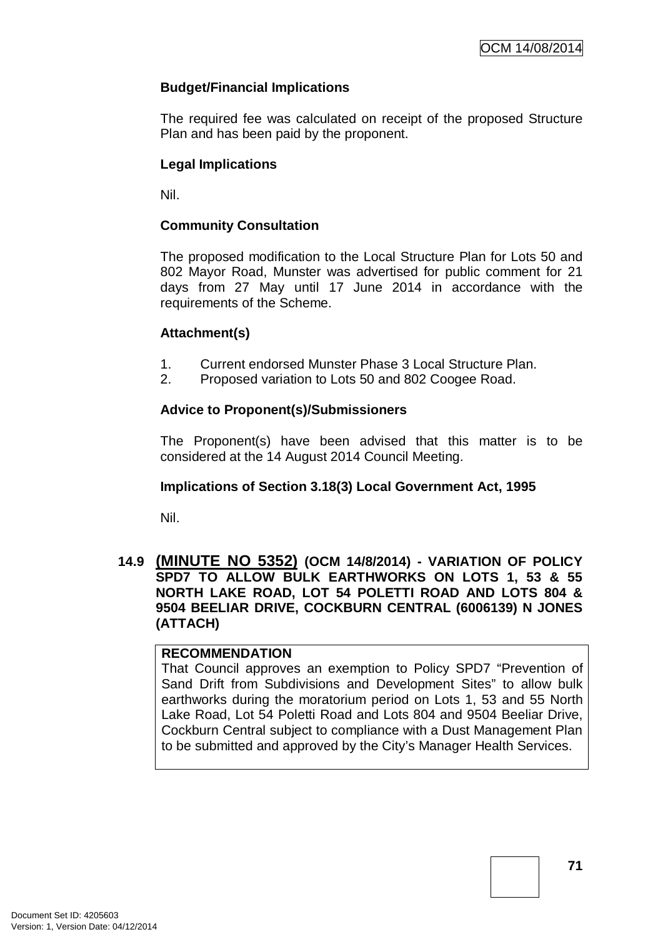## **Budget/Financial Implications**

The required fee was calculated on receipt of the proposed Structure Plan and has been paid by the proponent.

### **Legal Implications**

Nil.

### **Community Consultation**

The proposed modification to the Local Structure Plan for Lots 50 and 802 Mayor Road, Munster was advertised for public comment for 21 days from 27 May until 17 June 2014 in accordance with the requirements of the Scheme.

#### **Attachment(s)**

- 1. Current endorsed Munster Phase 3 Local Structure Plan.
- 2. Proposed variation to Lots 50 and 802 Coogee Road.

### **Advice to Proponent(s)/Submissioners**

The Proponent(s) have been advised that this matter is to be considered at the 14 August 2014 Council Meeting.

### **Implications of Section 3.18(3) Local Government Act, 1995**

Nil.

### **14.9 (MINUTE NO 5352) (OCM 14/8/2014) - VARIATION OF POLICY SPD7 TO ALLOW BULK EARTHWORKS ON LOTS 1, 53 & 55 NORTH LAKE ROAD, LOT 54 POLETTI ROAD AND LOTS 804 & 9504 BEELIAR DRIVE, COCKBURN CENTRAL (6006139) N JONES (ATTACH)**

### **RECOMMENDATION**

That Council approves an exemption to Policy SPD7 "Prevention of Sand Drift from Subdivisions and Development Sites" to allow bulk earthworks during the moratorium period on Lots 1, 53 and 55 North Lake Road, Lot 54 Poletti Road and Lots 804 and 9504 Beeliar Drive, Cockburn Central subject to compliance with a Dust Management Plan to be submitted and approved by the City's Manager Health Services.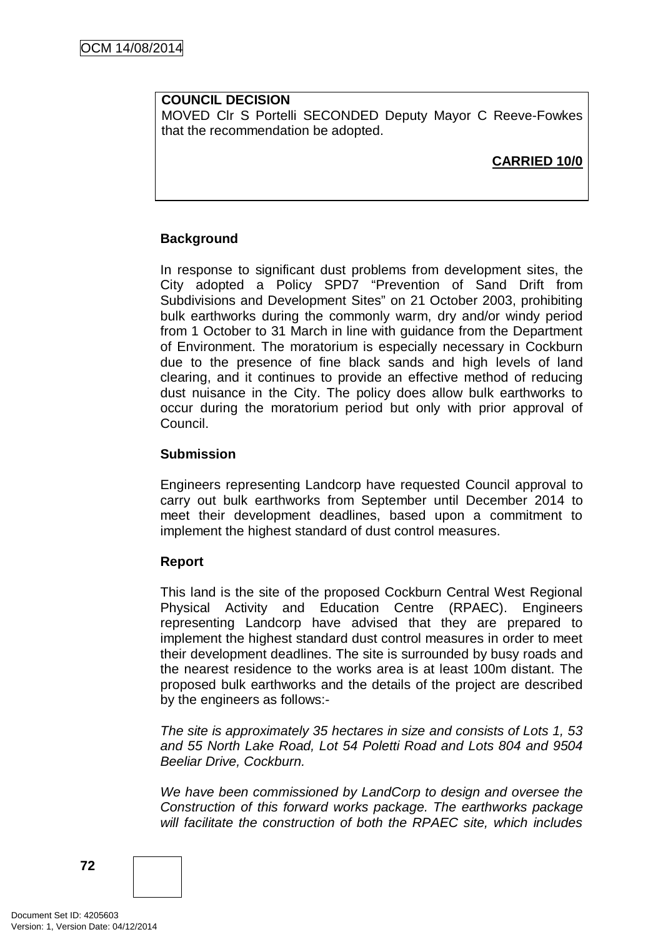#### **COUNCIL DECISION**

MOVED Clr S Portelli SECONDED Deputy Mayor C Reeve-Fowkes that the recommendation be adopted.

# **CARRIED 10/0**

# **Background**

In response to significant dust problems from development sites, the City adopted a Policy SPD7 "Prevention of Sand Drift from Subdivisions and Development Sites" on 21 October 2003, prohibiting bulk earthworks during the commonly warm, dry and/or windy period from 1 October to 31 March in line with guidance from the Department of Environment. The moratorium is especially necessary in Cockburn due to the presence of fine black sands and high levels of land clearing, and it continues to provide an effective method of reducing dust nuisance in the City. The policy does allow bulk earthworks to occur during the moratorium period but only with prior approval of Council.

#### **Submission**

Engineers representing Landcorp have requested Council approval to carry out bulk earthworks from September until December 2014 to meet their development deadlines, based upon a commitment to implement the highest standard of dust control measures.

### **Report**

This land is the site of the proposed Cockburn Central West Regional Physical Activity and Education Centre (RPAEC). Engineers representing Landcorp have advised that they are prepared to implement the highest standard dust control measures in order to meet their development deadlines. The site is surrounded by busy roads and the nearest residence to the works area is at least 100m distant. The proposed bulk earthworks and the details of the project are described by the engineers as follows:-

*The site is approximately 35 hectares in size and consists of Lots 1, 53 and 55 North Lake Road, Lot 54 Poletti Road and Lots 804 and 9504 Beeliar Drive, Cockburn.* 

*We have been commissioned by LandCorp to design and oversee the Construction of this forward works package. The earthworks package will facilitate the construction of both the RPAEC site, which includes* 

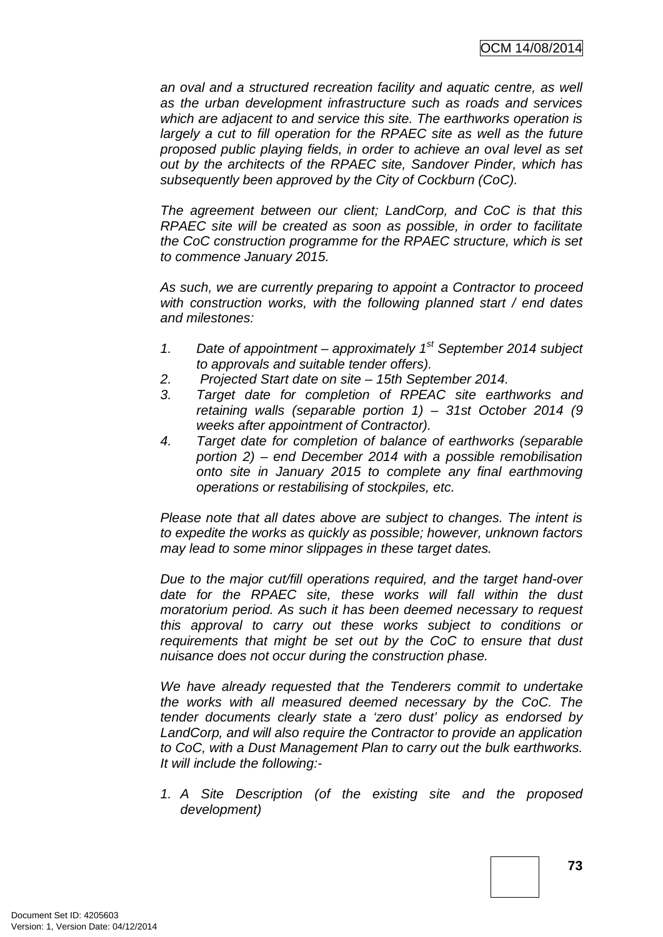*an oval and a structured recreation facility and aquatic centre, as well as the urban development infrastructure such as roads and services which are adjacent to and service this site. The earthworks operation is largely a cut to fill operation for the RPAEC site as well as the future proposed public playing fields, in order to achieve an oval level as set out by the architects of the RPAEC site, Sandover Pinder, which has subsequently been approved by the City of Cockburn (CoC).*

*The agreement between our client; LandCorp, and CoC is that this RPAEC site will be created as soon as possible, in order to facilitate the CoC construction programme for the RPAEC structure, which is set to commence January 2015.*

*As such, we are currently preparing to appoint a Contractor to proceed with construction works, with the following planned start / end dates and milestones:*

- *1. Date of appointment – approximately 1st September 2014 subject to approvals and suitable tender offers).*
- *2. Projected Start date on site – 15th September 2014.*
- *3. Target date for completion of RPEAC site earthworks and retaining walls (separable portion 1) – 31st October 2014 (9 weeks after appointment of Contractor).*
- *4. Target date for completion of balance of earthworks (separable portion 2) – end December 2014 with a possible remobilisation onto site in January 2015 to complete any final earthmoving operations or restabilising of stockpiles, etc.*

*Please note that all dates above are subject to changes. The intent is to expedite the works as quickly as possible; however, unknown factors may lead to some minor slippages in these target dates.*

*Due to the major cut/fill operations required, and the target hand-over date for the RPAEC site, these works will fall within the dust moratorium period. As such it has been deemed necessary to request this approval to carry out these works subject to conditions or requirements that might be set out by the CoC to ensure that dust nuisance does not occur during the construction phase.*

*We have already requested that the Tenderers commit to undertake the works with all measured deemed necessary by the CoC. The tender documents clearly state a 'zero dust' policy as endorsed by LandCorp, and will also require the Contractor to provide an application to CoC, with a Dust Management Plan to carry out the bulk earthworks. It will include the following:-*

*1. A Site Description (of the existing site and the proposed development)*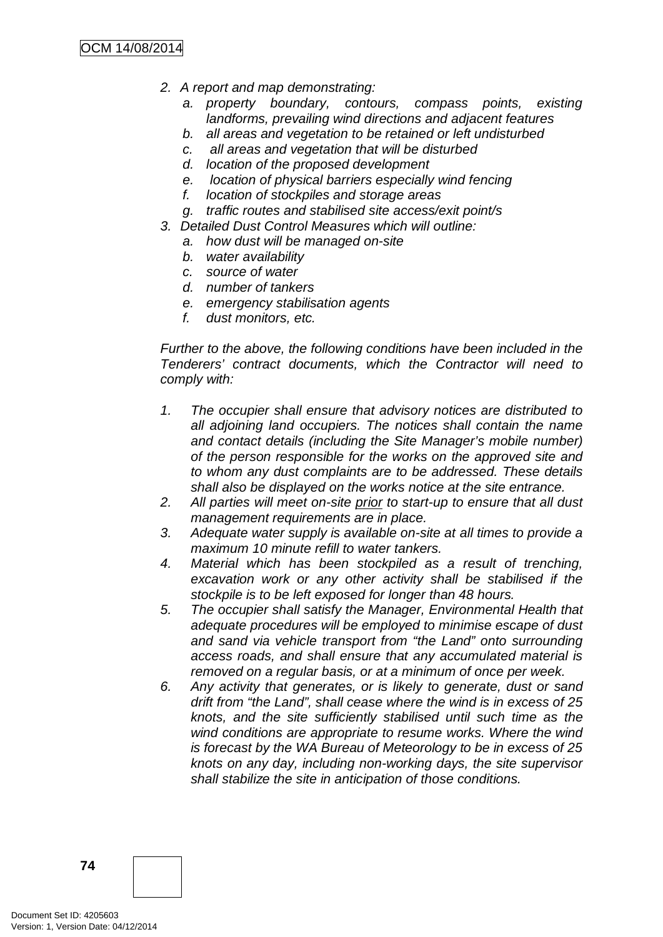- *2. A report and map demonstrating:*
	- *a. property boundary, contours, compass points, existing landforms, prevailing wind directions and adjacent features*
	- *b. all areas and vegetation to be retained or left undisturbed*
	- *c. all areas and vegetation that will be disturbed*
	- *d. location of the proposed development*
	- *e. location of physical barriers especially wind fencing*
	- *f. location of stockpiles and storage areas*
	- *g. traffic routes and stabilised site access/exit point/s*
- *3. Detailed Dust Control Measures which will outline:*
	- *a. how dust will be managed on-site*
	- *b. water availability*
	- *c. source of water*
	- *d. number of tankers*
	- *e. emergency stabilisation agents*
	- *f. dust monitors, etc.*

*Further to the above, the following conditions have been included in the Tenderers' contract documents, which the Contractor will need to comply with:*

- *1. The occupier shall ensure that advisory notices are distributed to all adjoining land occupiers. The notices shall contain the name and contact details (including the Site Manager's mobile number) of the person responsible for the works on the approved site and to whom any dust complaints are to be addressed. These details shall also be displayed on the works notice at the site entrance.*
- *2. All parties will meet on-site prior to start-up to ensure that all dust management requirements are in place.*
- *3. Adequate water supply is available on-site at all times to provide a maximum 10 minute refill to water tankers.*
- *4. Material which has been stockpiled as a result of trenching, excavation work or any other activity shall be stabilised if the stockpile is to be left exposed for longer than 48 hours.*
- *5. The occupier shall satisfy the Manager, Environmental Health that adequate procedures will be employed to minimise escape of dust and sand via vehicle transport from "the Land" onto surrounding access roads, and shall ensure that any accumulated material is removed on a regular basis, or at a minimum of once per week.*
- *6. Any activity that generates, or is likely to generate, dust or sand drift from "the Land", shall cease where the wind is in excess of 25 knots, and the site sufficiently stabilised until such time as the wind conditions are appropriate to resume works. Where the wind is forecast by the WA Bureau of Meteorology to be in excess of 25 knots on any day, including non-working days, the site supervisor shall stabilize the site in anticipation of those conditions.*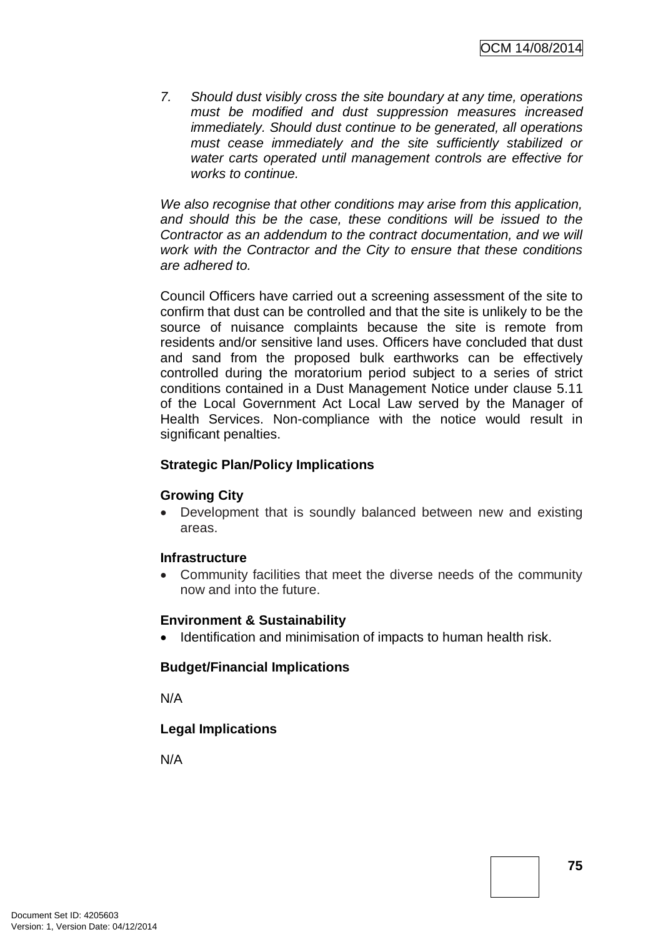*7. Should dust visibly cross the site boundary at any time, operations must be modified and dust suppression measures increased immediately. Should dust continue to be generated, all operations must cease immediately and the site sufficiently stabilized or water carts operated until management controls are effective for works to continue.*

*We also recognise that other conditions may arise from this application, and should this be the case, these conditions will be issued to the Contractor as an addendum to the contract documentation, and we will work with the Contractor and the City to ensure that these conditions are adhered to.*

Council Officers have carried out a screening assessment of the site to confirm that dust can be controlled and that the site is unlikely to be the source of nuisance complaints because the site is remote from residents and/or sensitive land uses. Officers have concluded that dust and sand from the proposed bulk earthworks can be effectively controlled during the moratorium period subject to a series of strict conditions contained in a Dust Management Notice under clause 5.11 of the Local Government Act Local Law served by the Manager of Health Services. Non-compliance with the notice would result in significant penalties.

#### **Strategic Plan/Policy Implications**

#### **Growing City**

• Development that is soundly balanced between new and existing areas.

### **Infrastructure**

• Community facilities that meet the diverse needs of the community now and into the future.

### **Environment & Sustainability**

• Identification and minimisation of impacts to human health risk.

### **Budget/Financial Implications**

N/A

### **Legal Implications**

N/A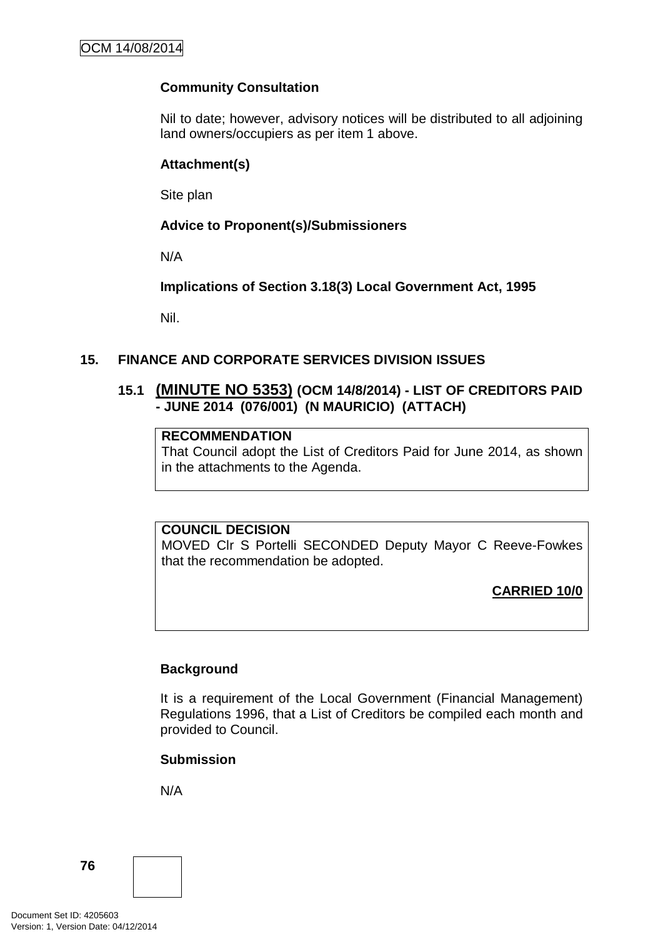# **Community Consultation**

Nil to date; however, advisory notices will be distributed to all adjoining land owners/occupiers as per item 1 above.

### **Attachment(s)**

Site plan

### **Advice to Proponent(s)/Submissioners**

N/A

**Implications of Section 3.18(3) Local Government Act, 1995**

Nil.

## **15. FINANCE AND CORPORATE SERVICES DIVISION ISSUES**

### **15.1 (MINUTE NO 5353) (OCM 14/8/2014) - LIST OF CREDITORS PAID - JUNE 2014 (076/001) (N MAURICIO) (ATTACH)**

### **RECOMMENDATION**

That Council adopt the List of Creditors Paid for June 2014, as shown in the attachments to the Agenda.

### **COUNCIL DECISION**

MOVED Clr S Portelli SECONDED Deputy Mayor C Reeve-Fowkes that the recommendation be adopted.

**CARRIED 10/0**

### **Background**

It is a requirement of the Local Government (Financial Management) Regulations 1996, that a List of Creditors be compiled each month and provided to Council.

### **Submission**

N/A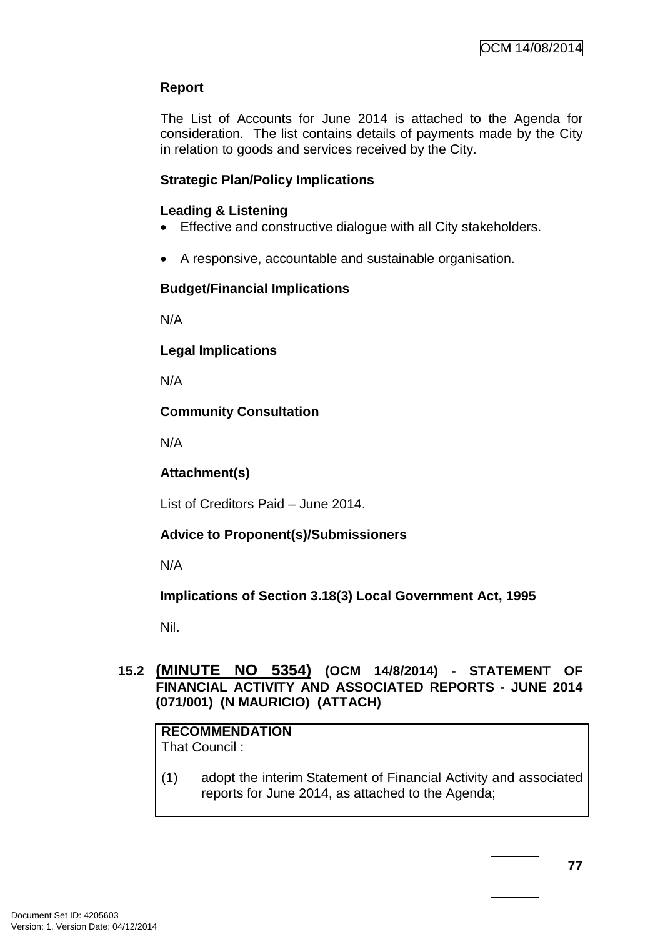# **Report**

The List of Accounts for June 2014 is attached to the Agenda for consideration. The list contains details of payments made by the City in relation to goods and services received by the City.

## **Strategic Plan/Policy Implications**

### **Leading & Listening**

- Effective and constructive dialogue with all City stakeholders.
- A responsive, accountable and sustainable organisation.

### **Budget/Financial Implications**

N/A

**Legal Implications**

N/A

### **Community Consultation**

N/A

## **Attachment(s)**

List of Creditors Paid – June 2014.

### **Advice to Proponent(s)/Submissioners**

N/A

**Implications of Section 3.18(3) Local Government Act, 1995**

Nil.

## **15.2 (MINUTE NO 5354) (OCM 14/8/2014) - STATEMENT OF FINANCIAL ACTIVITY AND ASSOCIATED REPORTS - JUNE 2014 (071/001) (N MAURICIO) (ATTACH)**

# **RECOMMENDATION**

That Council :

(1) adopt the interim Statement of Financial Activity and associated reports for June 2014, as attached to the Agenda;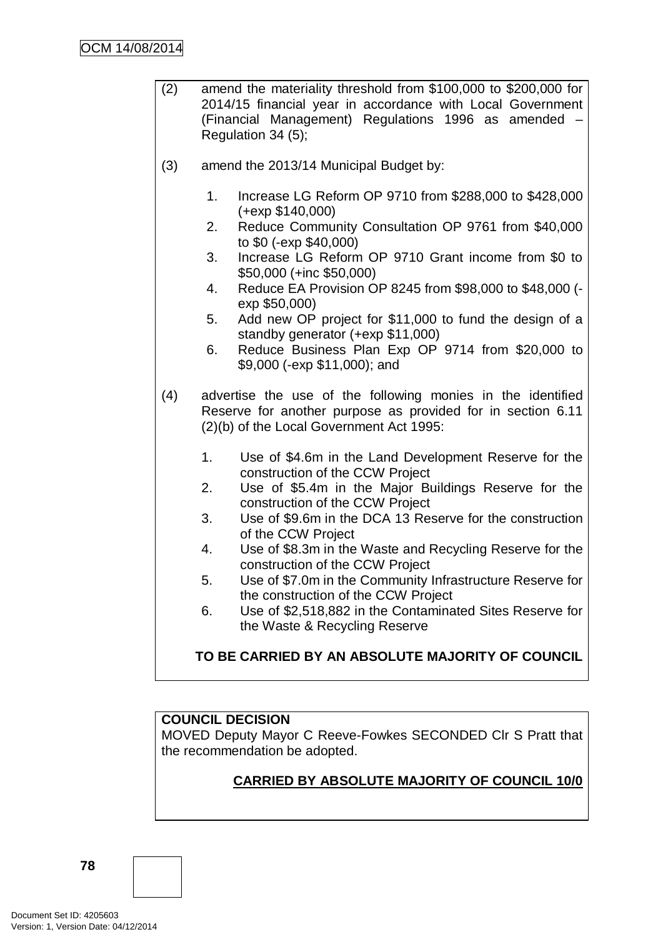- (2) amend the materiality threshold from \$100,000 to \$200,000 for 2014/15 financial year in accordance with Local Government (Financial Management) Regulations 1996 as amended – Regulation 34 (5);
- (3) amend the 2013/14 Municipal Budget by:
	- 1. Increase LG Reform OP 9710 from \$288,000 to \$428,000 (+exp \$140,000)
	- 2. Reduce Community Consultation OP 9761 from \$40,000 to \$0 (-exp \$40,000)
	- 3. Increase LG Reform OP 9710 Grant income from \$0 to \$50,000 (+inc \$50,000)
	- 4. Reduce EA Provision OP 8245 from \$98,000 to \$48,000 ( exp \$50,000)
	- 5. Add new OP project for \$11,000 to fund the design of a standby generator (+exp \$11,000)
	- 6. Reduce Business Plan Exp OP 9714 from \$20,000 to \$9,000 (-exp \$11,000); and
- (4) advertise the use of the following monies in the identified Reserve for another purpose as provided for in section 6.11 (2)(b) of the Local Government Act 1995:
	- 1. Use of \$4.6m in the Land Development Reserve for the construction of the CCW Project
	- 2. Use of \$5.4m in the Major Buildings Reserve for the construction of the CCW Project
	- 3. Use of \$9.6m in the DCA 13 Reserve for the construction of the CCW Project
	- 4. Use of \$8.3m in the Waste and Recycling Reserve for the construction of the CCW Project
	- 5. Use of \$7.0m in the Community Infrastructure Reserve for the construction of the CCW Project
	- 6. Use of \$2,518,882 in the Contaminated Sites Reserve for the Waste & Recycling Reserve

# **TO BE CARRIED BY AN ABSOLUTE MAJORITY OF COUNCIL**

# **COUNCIL DECISION**

MOVED Deputy Mayor C Reeve-Fowkes SECONDED Clr S Pratt that the recommendation be adopted.

# **CARRIED BY ABSOLUTE MAJORITY OF COUNCIL 10/0**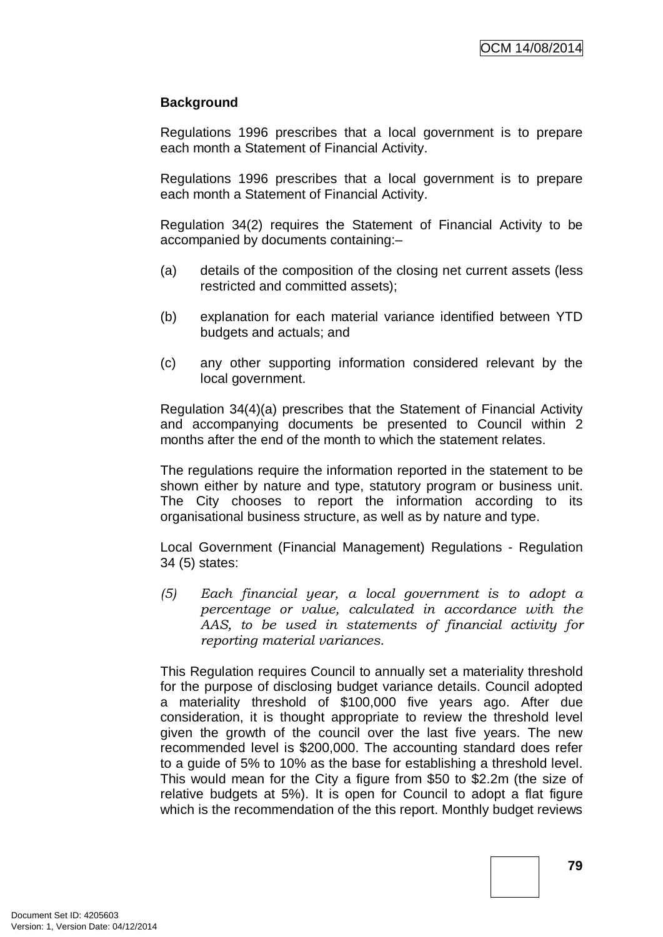### **Background**

Regulations 1996 prescribes that a local government is to prepare each month a Statement of Financial Activity.

Regulations 1996 prescribes that a local government is to prepare each month a Statement of Financial Activity.

Regulation 34(2) requires the Statement of Financial Activity to be accompanied by documents containing:–

- (a) details of the composition of the closing net current assets (less restricted and committed assets);
- (b) explanation for each material variance identified between YTD budgets and actuals; and
- (c) any other supporting information considered relevant by the local government.

Regulation 34(4)(a) prescribes that the Statement of Financial Activity and accompanying documents be presented to Council within 2 months after the end of the month to which the statement relates.

The regulations require the information reported in the statement to be shown either by nature and type, statutory program or business unit. The City chooses to report the information according to its organisational business structure, as well as by nature and type.

Local Government (Financial Management) Regulations - Regulation 34 (5) states:

*(5) Each financial year, a local government is to adopt a percentage or value, calculated in accordance with the AAS, to be used in statements of financial activity for reporting material variances.*

This Regulation requires Council to annually set a materiality threshold for the purpose of disclosing budget variance details. Council adopted a materiality threshold of \$100,000 five years ago. After due consideration, it is thought appropriate to review the threshold level given the growth of the council over the last five years. The new recommended level is \$200,000. The accounting standard does refer to a guide of 5% to 10% as the base for establishing a threshold level. This would mean for the City a figure from \$50 to \$2.2m (the size of relative budgets at 5%). It is open for Council to adopt a flat figure which is the recommendation of the this report. Monthly budget reviews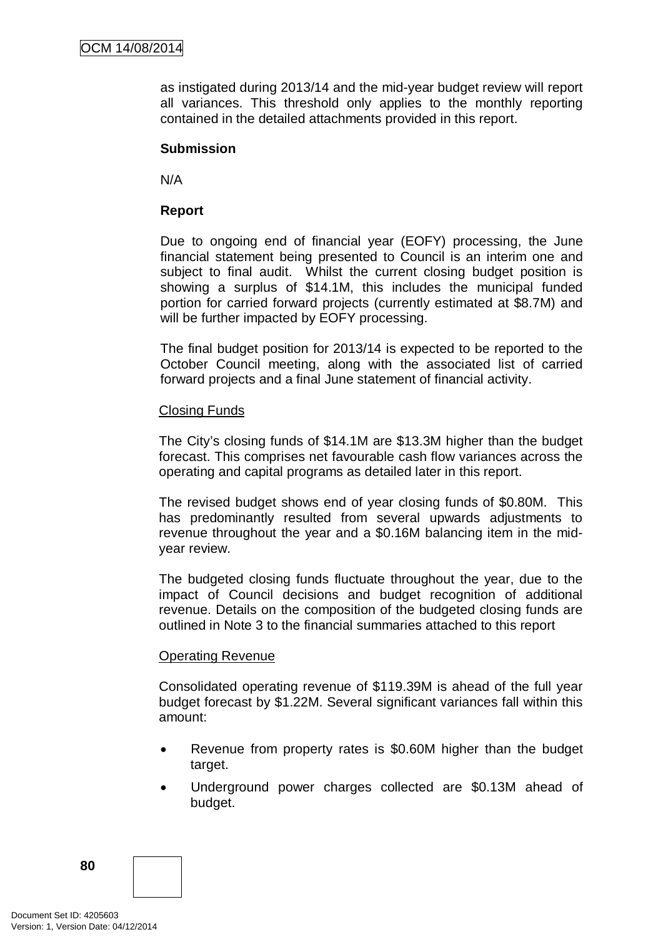as instigated during 2013/14 and the mid-year budget review will report all variances. This threshold only applies to the monthly reporting contained in the detailed attachments provided in this report.

#### **Submission**

N/A

### **Report**

Due to ongoing end of financial year (EOFY) processing, the June financial statement being presented to Council is an interim one and subject to final audit. Whilst the current closing budget position is showing a surplus of \$14.1M, this includes the municipal funded portion for carried forward projects (currently estimated at \$8.7M) and will be further impacted by EOFY processing.

The final budget position for 2013/14 is expected to be reported to the October Council meeting, along with the associated list of carried forward projects and a final June statement of financial activity.

#### Closing Funds

The City's closing funds of \$14.1M are \$13.3M higher than the budget forecast. This comprises net favourable cash flow variances across the operating and capital programs as detailed later in this report.

The revised budget shows end of year closing funds of \$0.80M. This has predominantly resulted from several upwards adjustments to revenue throughout the year and a \$0.16M balancing item in the midyear review.

The budgeted closing funds fluctuate throughout the year, due to the impact of Council decisions and budget recognition of additional revenue. Details on the composition of the budgeted closing funds are outlined in Note 3 to the financial summaries attached to this report

#### Operating Revenue

Consolidated operating revenue of \$119.39M is ahead of the full year budget forecast by \$1.22M. Several significant variances fall within this amount:

- Revenue from property rates is \$0.60M higher than the budget target.
- Underground power charges collected are \$0.13M ahead of budget.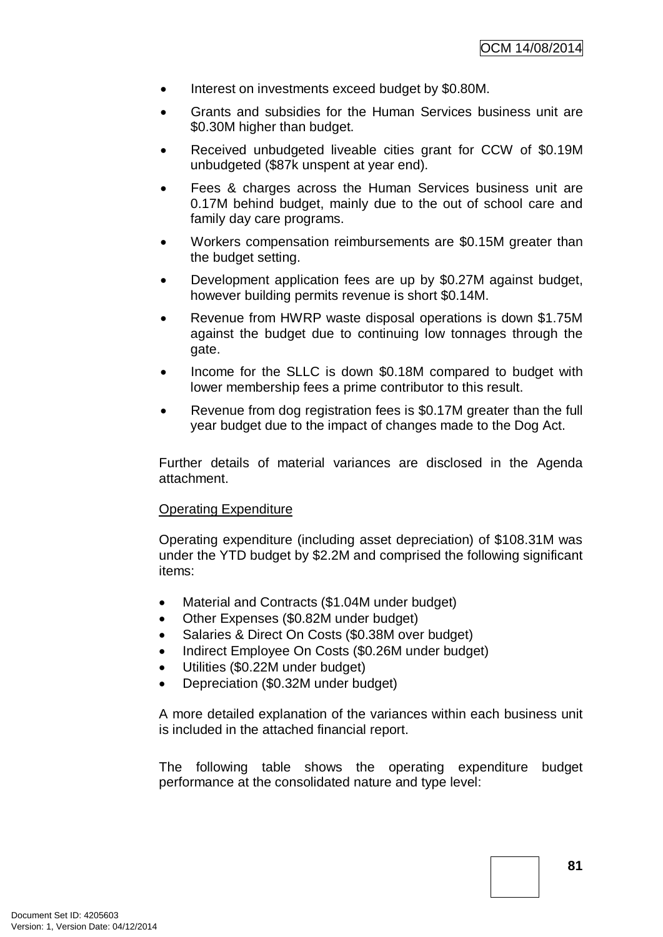- Interest on investments exceed budget by \$0.80M.
- Grants and subsidies for the Human Services business unit are \$0.30M higher than budget.
- Received unbudgeted liveable cities grant for CCW of \$0.19M unbudgeted (\$87k unspent at year end).
- Fees & charges across the Human Services business unit are 0.17M behind budget, mainly due to the out of school care and family day care programs.
- Workers compensation reimbursements are \$0.15M greater than the budget setting.
- Development application fees are up by \$0.27M against budget, however building permits revenue is short \$0.14M.
- Revenue from HWRP waste disposal operations is down \$1.75M against the budget due to continuing low tonnages through the gate.
- Income for the SLLC is down \$0.18M compared to budget with lower membership fees a prime contributor to this result.
- Revenue from dog registration fees is \$0.17M greater than the full year budget due to the impact of changes made to the Dog Act.

Further details of material variances are disclosed in the Agenda attachment.

#### Operating Expenditure

Operating expenditure (including asset depreciation) of \$108.31M was under the YTD budget by \$2.2M and comprised the following significant items:

- Material and Contracts (\$1.04M under budget)
- Other Expenses (\$0.82M under budget)
- Salaries & Direct On Costs (\$0.38M over budget)
- Indirect Employee On Costs (\$0.26M under budget)
- Utilities (\$0.22M under budget)
- Depreciation (\$0.32M under budget)

A more detailed explanation of the variances within each business unit is included in the attached financial report.

The following table shows the operating expenditure budget performance at the consolidated nature and type level: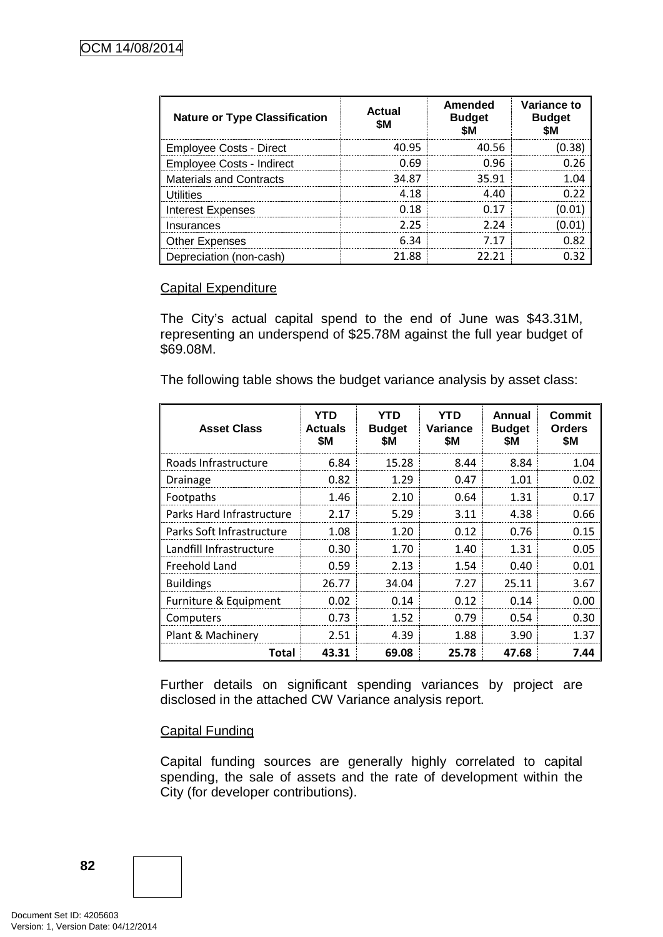| <b>Nature or Type Classification</b> | Actual<br><b>SM</b> | Amended<br><b>Budget</b> | Variance to<br><b>Budget</b> |
|--------------------------------------|---------------------|--------------------------|------------------------------|
| <b>Employee Costs - Direct</b>       | 40.95               | 40.56                    |                              |
| <b>Employee Costs - Indirect</b>     | 0.69                | በ ዓና                     |                              |
| <b>Materials and Contracts</b>       | 34.87               | 35.91                    |                              |
| Utilities                            | 4.18                | 4 40                     |                              |
| <b>Interest Expenses</b>             | በ 1ጸ                | በ 17                     |                              |
| Insurances                           | 225                 | 2 2 4                    |                              |
| <b>Other Expenses</b>                | 6 34                | 717                      |                              |
| Depreciation (non-cash)              | 21.88               | 22 21                    |                              |

### Capital Expenditure

The City's actual capital spend to the end of June was \$43.31M, representing an underspend of \$25.78M against the full year budget of \$69.08M.

The following table shows the budget variance analysis by asset class:

| <b>Asset Class</b>        | YTD<br><b>Actuals</b><br>\$Μ | YTD<br><b>Budget</b><br>\$M | YTD<br>Variance<br>\$M | Annual<br><b>Budget</b><br>SM. | Commit<br><b>Orders</b><br>\$M |
|---------------------------|------------------------------|-----------------------------|------------------------|--------------------------------|--------------------------------|
| Roads Infrastructure      | 6.84                         | 15.28                       | 8.44                   | 8.84                           | 1.04                           |
| Drainage                  | 0.82                         | 1.29                        | 0.47                   | 1.01                           | 0.02                           |
| Footpaths                 | 1.46                         | 2.10                        | 0.64                   | 1.31                           | 0.17                           |
| Parks Hard Infrastructure | 2.17                         | 5.29                        | 3.11                   | 4.38                           | 0.66                           |
| Parks Soft Infrastructure | 1.08                         | 1.20                        | 0.12                   | 0.76                           | 0.15                           |
| Landfill Infrastructure   | 0.30                         | 1.70                        | 1.40                   | 1.31                           | 0.05                           |
| Freehold Land             | 0.59                         | 2.13                        | 1.54                   | 0.40                           | 0.01                           |
| <b>Buildings</b>          | 26.77                        | 34.04                       | 7.27                   | 25.11                          | 3.67                           |
| Furniture & Equipment     | 0.02                         | 0.14                        | 0.12                   | 0.14                           | 0.00                           |
| Computers                 | 0.73                         | 1.52                        | 0.79                   | 0.54                           | 0.30                           |
| Plant & Machinery         | 2.51                         | 4.39                        | 1.88                   | 3.90                           | 1.37                           |
| Total                     | 43.31                        | 69.08                       | 25.78                  | 47.68                          | 7.44                           |

Further details on significant spending variances by project are disclosed in the attached CW Variance analysis report.

### Capital Funding

Capital funding sources are generally highly correlated to capital spending, the sale of assets and the rate of development within the City (for developer contributions).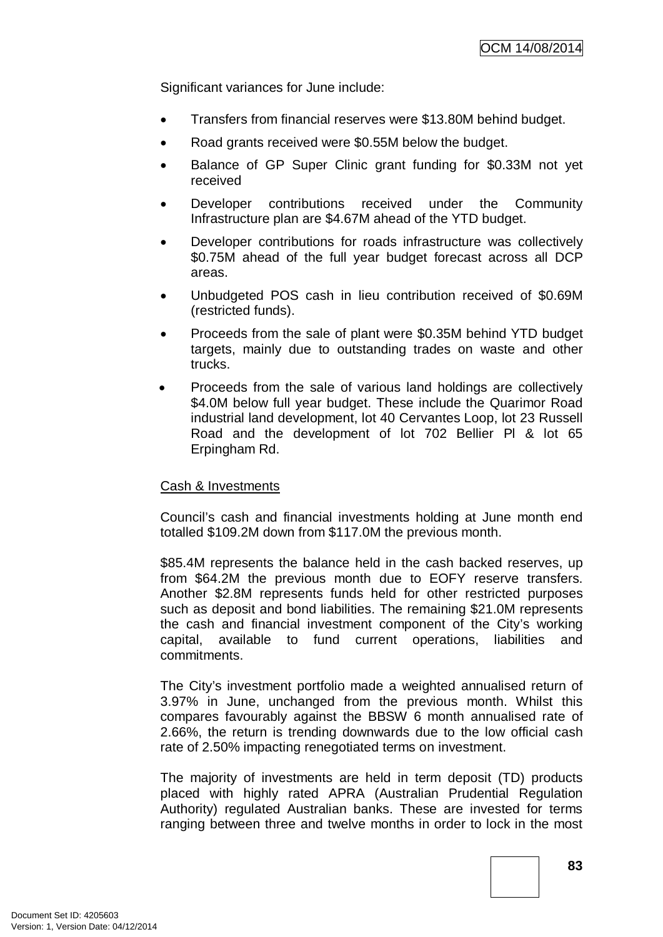Significant variances for June include:

- Transfers from financial reserves were \$13.80M behind budget.
- Road grants received were \$0.55M below the budget.
- Balance of GP Super Clinic grant funding for \$0.33M not yet received
- Developer contributions received under the Community Infrastructure plan are \$4.67M ahead of the YTD budget.
- Developer contributions for roads infrastructure was collectively \$0.75M ahead of the full year budget forecast across all DCP areas.
- Unbudgeted POS cash in lieu contribution received of \$0.69M (restricted funds).
- Proceeds from the sale of plant were \$0.35M behind YTD budget targets, mainly due to outstanding trades on waste and other trucks.
- Proceeds from the sale of various land holdings are collectively \$4.0M below full year budget. These include the Quarimor Road industrial land development, lot 40 Cervantes Loop, lot 23 Russell Road and the development of lot 702 Bellier Pl & lot 65 Erpingham Rd.

### Cash & Investments

Council's cash and financial investments holding at June month end totalled \$109.2M down from \$117.0M the previous month.

\$85.4M represents the balance held in the cash backed reserves, up from \$64.2M the previous month due to EOFY reserve transfers. Another \$2.8M represents funds held for other restricted purposes such as deposit and bond liabilities. The remaining \$21.0M represents the cash and financial investment component of the City's working capital, available to fund current operations, liabilities and commitments.

The City's investment portfolio made a weighted annualised return of 3.97% in June, unchanged from the previous month. Whilst this compares favourably against the BBSW 6 month annualised rate of 2.66%, the return is trending downwards due to the low official cash rate of 2.50% impacting renegotiated terms on investment.

The majority of investments are held in term deposit (TD) products placed with highly rated APRA (Australian Prudential Regulation Authority) regulated Australian banks. These are invested for terms ranging between three and twelve months in order to lock in the most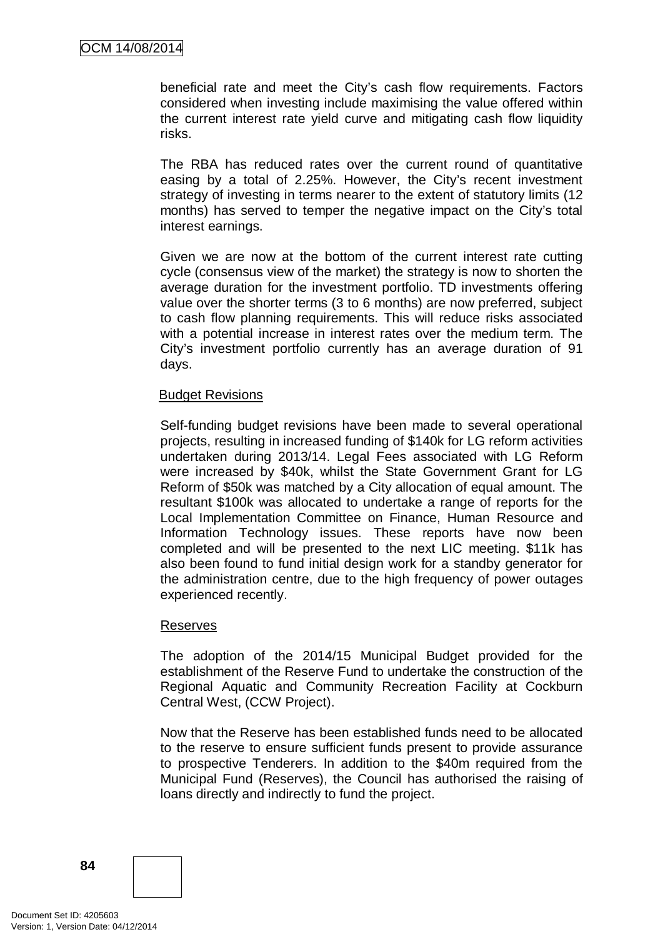beneficial rate and meet the City's cash flow requirements. Factors considered when investing include maximising the value offered within the current interest rate yield curve and mitigating cash flow liquidity risks.

The RBA has reduced rates over the current round of quantitative easing by a total of 2.25%. However, the City's recent investment strategy of investing in terms nearer to the extent of statutory limits (12 months) has served to temper the negative impact on the City's total interest earnings.

Given we are now at the bottom of the current interest rate cutting cycle (consensus view of the market) the strategy is now to shorten the average duration for the investment portfolio. TD investments offering value over the shorter terms (3 to 6 months) are now preferred, subject to cash flow planning requirements. This will reduce risks associated with a potential increase in interest rates over the medium term. The City's investment portfolio currently has an average duration of 91 days.

#### Budget Revisions

Self-funding budget revisions have been made to several operational projects, resulting in increased funding of \$140k for LG reform activities undertaken during 2013/14. Legal Fees associated with LG Reform were increased by \$40k, whilst the State Government Grant for LG Reform of \$50k was matched by a City allocation of equal amount. The resultant \$100k was allocated to undertake a range of reports for the Local Implementation Committee on Finance, Human Resource and Information Technology issues. These reports have now been completed and will be presented to the next LIC meeting. \$11k has also been found to fund initial design work for a standby generator for the administration centre, due to the high frequency of power outages experienced recently.

#### Reserves

The adoption of the 2014/15 Municipal Budget provided for the establishment of the Reserve Fund to undertake the construction of the Regional Aquatic and Community Recreation Facility at Cockburn Central West, (CCW Project).

Now that the Reserve has been established funds need to be allocated to the reserve to ensure sufficient funds present to provide assurance to prospective Tenderers. In addition to the \$40m required from the Municipal Fund (Reserves), the Council has authorised the raising of loans directly and indirectly to fund the project.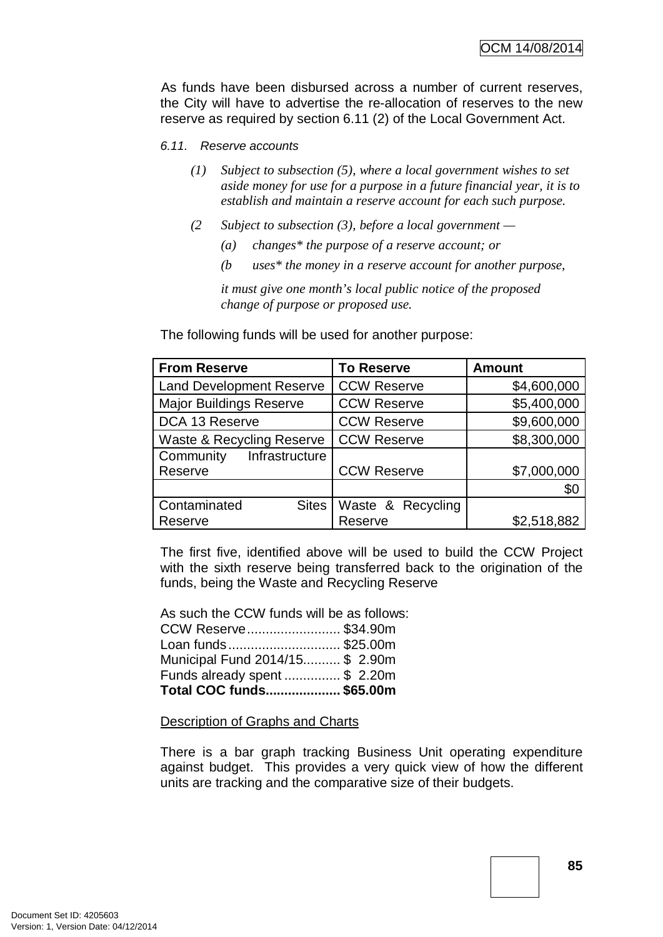As funds have been disbursed across a number of current reserves, the City will have to advertise the re-allocation of reserves to the new reserve as required by section 6.11 (2) of the Local Government Act.

#### *6.11. Reserve accounts*

- *(1) Subject to subsection (5), where a local government wishes to set aside money for use for a purpose in a future financial year, it is to establish and maintain a reserve account for each such purpose.*
- *(2 Subject to subsection (3), before a local government —*
	- *(a) changes\* the purpose of a reserve account; or*
	- *(b uses\* the money in a reserve account for another purpose,*

*it must give one month's local public notice of the proposed change of purpose or proposed use.*

The following funds will be used for another purpose:

| <b>From Reserve</b>             | <b>To Reserve</b>  | <b>Amount</b> |
|---------------------------------|--------------------|---------------|
| <b>Land Development Reserve</b> | <b>CCW Reserve</b> | \$4,600,000   |
| <b>Major Buildings Reserve</b>  | <b>CCW Reserve</b> | \$5,400,000   |
| DCA 13 Reserve                  | <b>CCW Reserve</b> | \$9,600,000   |
| Waste & Recycling Reserve       | <b>CCW Reserve</b> | \$8,300,000   |
| Infrastructure<br>Community     |                    |               |
| Reserve                         | <b>CCW Reserve</b> | \$7,000,000   |
|                                 |                    | \$Ο           |
| Contaminated<br><b>Sites</b>    | Waste & Recycling  |               |
| Reserve                         | Reserve            | \$2,518,882   |

The first five, identified above will be used to build the CCW Project with the sixth reserve being transferred back to the origination of the funds, being the Waste and Recycling Reserve

As such the CCW funds will be as follows: CCW Reserve......................... \$34.90m Loan funds.............................. \$25.00m Municipal Fund 2014/15.......... \$ 2.90m Funds already spent ............... \$ 2.20m **Total COC funds.................... \$65.00m**

Description of Graphs and Charts

There is a bar graph tracking Business Unit operating expenditure against budget. This provides a very quick view of how the different units are tracking and the comparative size of their budgets.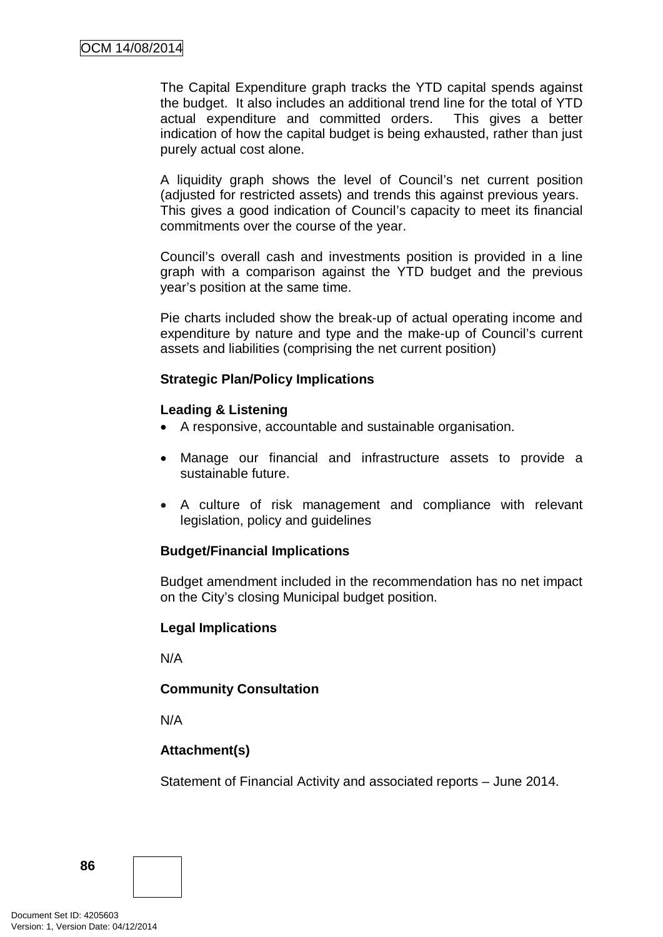The Capital Expenditure graph tracks the YTD capital spends against the budget. It also includes an additional trend line for the total of YTD actual expenditure and committed orders. This gives a better indication of how the capital budget is being exhausted, rather than just purely actual cost alone.

A liquidity graph shows the level of Council's net current position (adjusted for restricted assets) and trends this against previous years. This gives a good indication of Council's capacity to meet its financial commitments over the course of the year.

Council's overall cash and investments position is provided in a line graph with a comparison against the YTD budget and the previous year's position at the same time.

Pie charts included show the break-up of actual operating income and expenditure by nature and type and the make-up of Council's current assets and liabilities (comprising the net current position)

### **Strategic Plan/Policy Implications**

#### **Leading & Listening**

- A responsive, accountable and sustainable organisation.
- Manage our financial and infrastructure assets to provide a sustainable future.
- A culture of risk management and compliance with relevant legislation, policy and guidelines

### **Budget/Financial Implications**

Budget amendment included in the recommendation has no net impact on the City's closing Municipal budget position.

### **Legal Implications**

N/A

### **Community Consultation**

N/A

# **Attachment(s)**

Statement of Financial Activity and associated reports – June 2014.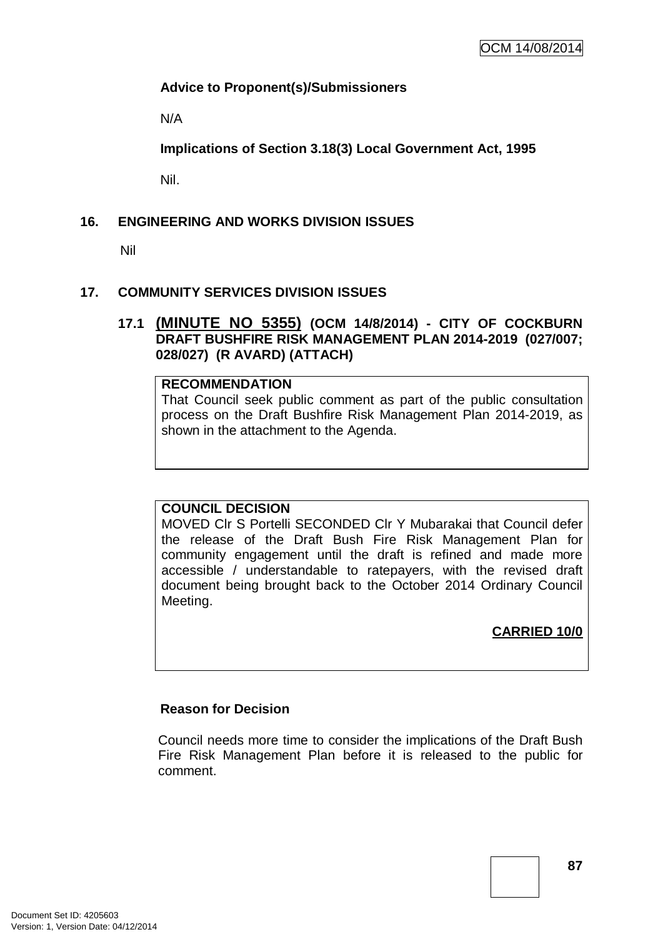## **Advice to Proponent(s)/Submissioners**

N/A

**Implications of Section 3.18(3) Local Government Act, 1995**

Nil.

# **16. ENGINEERING AND WORKS DIVISION ISSUES**

Nil

# **17. COMMUNITY SERVICES DIVISION ISSUES**

## **17.1 (MINUTE NO 5355) (OCM 14/8/2014) - CITY OF COCKBURN DRAFT BUSHFIRE RISK MANAGEMENT PLAN 2014-2019 (027/007; 028/027) (R AVARD) (ATTACH)**

### **RECOMMENDATION**

That Council seek public comment as part of the public consultation process on the Draft Bushfire Risk Management Plan 2014-2019, as shown in the attachment to the Agenda.

### **COUNCIL DECISION**

MOVED Clr S Portelli SECONDED Clr Y Mubarakai that Council defer the release of the Draft Bush Fire Risk Management Plan for community engagement until the draft is refined and made more accessible / understandable to ratepayers, with the revised draft document being brought back to the October 2014 Ordinary Council Meeting.

**CARRIED 10/0**

# **Reason for Decision**

Council needs more time to consider the implications of the Draft Bush Fire Risk Management Plan before it is released to the public for comment.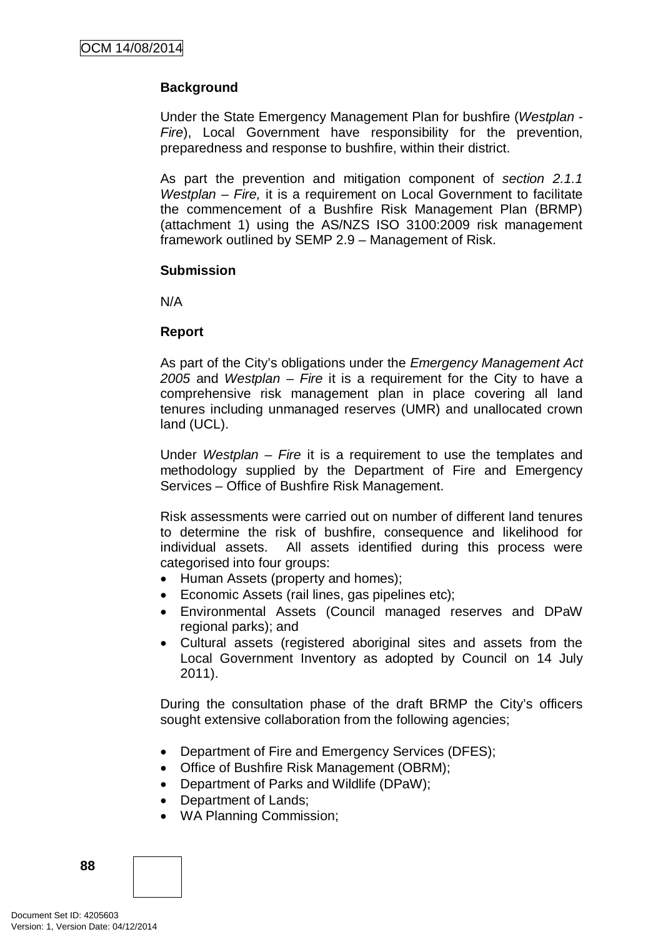## **Background**

Under the State Emergency Management Plan for bushfire (*Westplan - Fire*), Local Government have responsibility for the prevention, preparedness and response to bushfire, within their district.

As part the prevention and mitigation component of *section 2.1.1 Westplan – Fire,* it is a requirement on Local Government to facilitate the commencement of a Bushfire Risk Management Plan (BRMP) (attachment 1) using the AS/NZS ISO 3100:2009 risk management framework outlined by SEMP 2.9 – Management of Risk.

#### **Submission**

N/A

### **Report**

As part of the City's obligations under the *Emergency Management Act 2005* and *Westplan – Fire* it is a requirement for the City to have a comprehensive risk management plan in place covering all land tenures including unmanaged reserves (UMR) and unallocated crown land (UCL).

Under *Westplan – Fire* it is a requirement to use the templates and methodology supplied by the Department of Fire and Emergency Services – Office of Bushfire Risk Management.

Risk assessments were carried out on number of different land tenures to determine the risk of bushfire, consequence and likelihood for individual assets. All assets identified during this process were categorised into four groups:

- Human Assets (property and homes);
- Economic Assets (rail lines, gas pipelines etc);
- Environmental Assets (Council managed reserves and DPaW regional parks); and
- Cultural assets (registered aboriginal sites and assets from the Local Government Inventory as adopted by Council on 14 July 2011).

During the consultation phase of the draft BRMP the City's officers sought extensive collaboration from the following agencies;

- Department of Fire and Emergency Services (DFES);
- Office of Bushfire Risk Management (OBRM);
- Department of Parks and Wildlife (DPaW);
- Department of Lands;
- WA Planning Commission;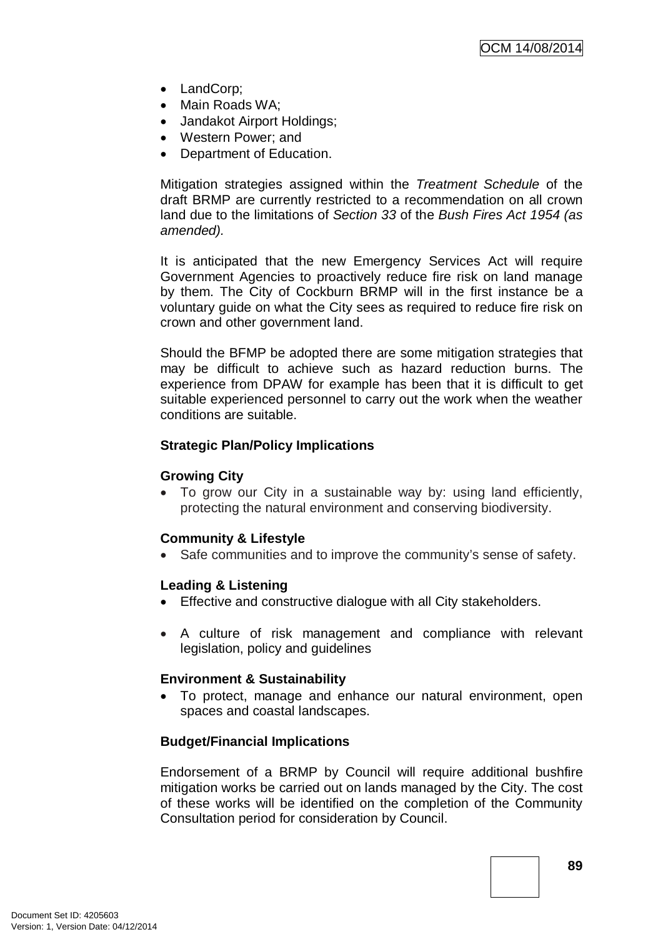- LandCorp;
- Main Roads WA;
- Jandakot Airport Holdings;
- Western Power; and
- Department of Education.

Mitigation strategies assigned within the *Treatment Schedule* of the draft BRMP are currently restricted to a recommendation on all crown land due to the limitations of *Section 33* of the *Bush Fires Act 1954 (as amended).*

It is anticipated that the new Emergency Services Act will require Government Agencies to proactively reduce fire risk on land manage by them. The City of Cockburn BRMP will in the first instance be a voluntary guide on what the City sees as required to reduce fire risk on crown and other government land.

Should the BFMP be adopted there are some mitigation strategies that may be difficult to achieve such as hazard reduction burns. The experience from DPAW for example has been that it is difficult to get suitable experienced personnel to carry out the work when the weather conditions are suitable.

## **Strategic Plan/Policy Implications**

### **Growing City**

• To grow our City in a sustainable way by: using land efficiently, protecting the natural environment and conserving biodiversity.

# **Community & Lifestyle**

Safe communities and to improve the community's sense of safety.

### **Leading & Listening**

- Effective and constructive dialogue with all City stakeholders.
- A culture of risk management and compliance with relevant legislation, policy and guidelines

### **Environment & Sustainability**

• To protect, manage and enhance our natural environment, open spaces and coastal landscapes.

# **Budget/Financial Implications**

Endorsement of a BRMP by Council will require additional bushfire mitigation works be carried out on lands managed by the City. The cost of these works will be identified on the completion of the Community Consultation period for consideration by Council.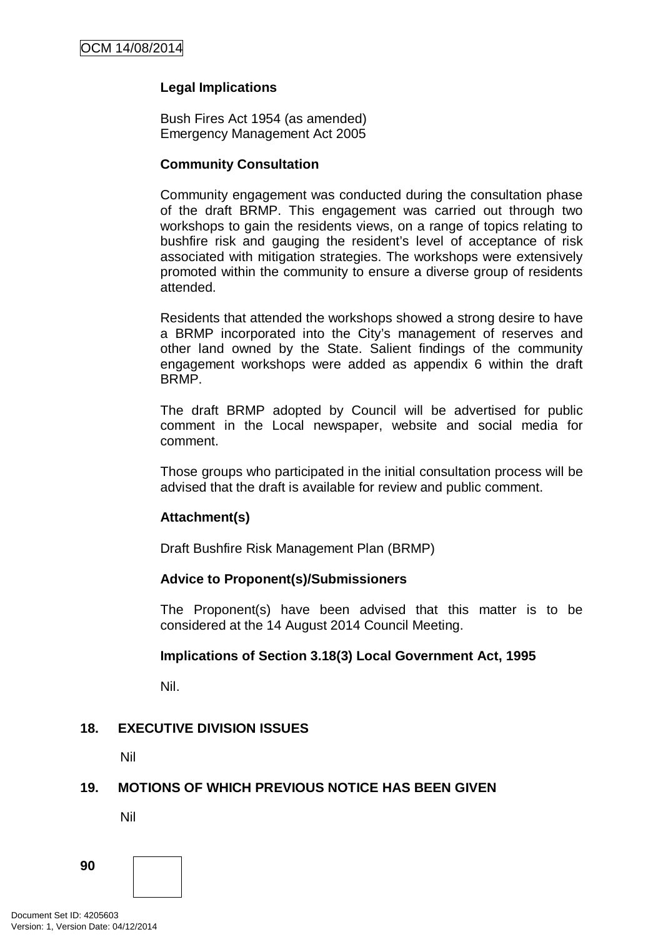### **Legal Implications**

Bush Fires Act 1954 (as amended) Emergency Management Act 2005

#### **Community Consultation**

Community engagement was conducted during the consultation phase of the draft BRMP. This engagement was carried out through two workshops to gain the residents views, on a range of topics relating to bushfire risk and gauging the resident's level of acceptance of risk associated with mitigation strategies. The workshops were extensively promoted within the community to ensure a diverse group of residents attended.

Residents that attended the workshops showed a strong desire to have a BRMP incorporated into the City's management of reserves and other land owned by the State. Salient findings of the community engagement workshops were added as appendix 6 within the draft **BRMP** 

The draft BRMP adopted by Council will be advertised for public comment in the Local newspaper, website and social media for comment.

Those groups who participated in the initial consultation process will be advised that the draft is available for review and public comment.

#### **Attachment(s)**

Draft Bushfire Risk Management Plan (BRMP)

#### **Advice to Proponent(s)/Submissioners**

The Proponent(s) have been advised that this matter is to be considered at the 14 August 2014 Council Meeting.

### **Implications of Section 3.18(3) Local Government Act, 1995**

Nil.

### **18. EXECUTIVE DIVISION ISSUES**

Nil

### **19. MOTIONS OF WHICH PREVIOUS NOTICE HAS BEEN GIVEN**

Nil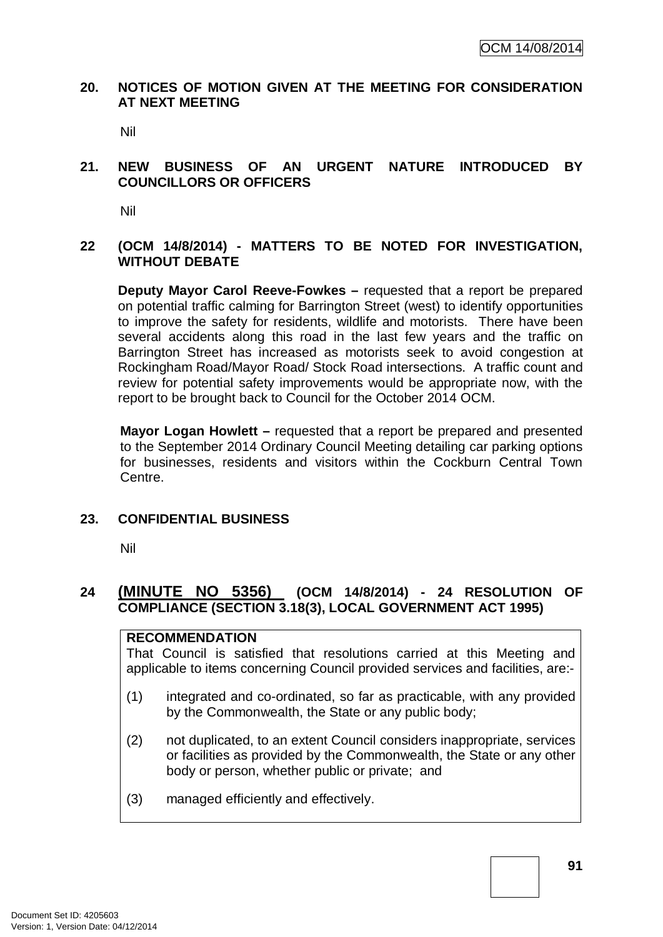#### **20. NOTICES OF MOTION GIVEN AT THE MEETING FOR CONSIDERATION AT NEXT MEETING**

Nil

#### **21. NEW BUSINESS OF AN URGENT NATURE INTRODUCED BY COUNCILLORS OR OFFICERS**

Nil

#### **22 (OCM 14/8/2014) - MATTERS TO BE NOTED FOR INVESTIGATION, WITHOUT DEBATE**

**Deputy Mayor Carol Reeve-Fowkes –** requested that a report be prepared on potential traffic calming for Barrington Street (west) to identify opportunities to improve the safety for residents, wildlife and motorists. There have been several accidents along this road in the last few years and the traffic on Barrington Street has increased as motorists seek to avoid congestion at Rockingham Road/Mayor Road/ Stock Road intersections. A traffic count and review for potential safety improvements would be appropriate now, with the report to be brought back to Council for the October 2014 OCM.

**Mayor Logan Howlett –** requested that a report be prepared and presented to the September 2014 Ordinary Council Meeting detailing car parking options for businesses, residents and visitors within the Cockburn Central Town Centre.

### **23. CONFIDENTIAL BUSINESS**

Nil

## **24 (MINUTE NO 5356) (OCM 14/8/2014) - 24 RESOLUTION OF COMPLIANCE (SECTION 3.18(3), LOCAL GOVERNMENT ACT 1995)**

#### **RECOMMENDATION**

That Council is satisfied that resolutions carried at this Meeting and applicable to items concerning Council provided services and facilities, are:-

- (1) integrated and co-ordinated, so far as practicable, with any provided by the Commonwealth, the State or any public body;
- (2) not duplicated, to an extent Council considers inappropriate, services or facilities as provided by the Commonwealth, the State or any other body or person, whether public or private; and
- (3) managed efficiently and effectively.